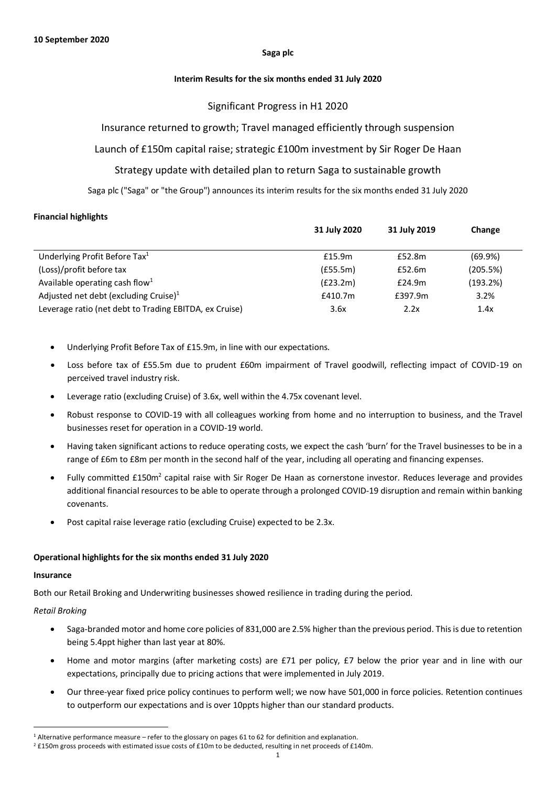#### **Saga plc**

### **Interim Results for the six months ended 31 July 2020**

## Significant Progress in H1 2020

## Insurance returned to growth; Travel managed efficiently through suspension

# Launch of £150m capital raise; strategic £100m investment by Sir Roger De Haan

# Strategy update with detailed plan to return Saga to sustainable growth

Saga plc ("Saga" or "the Group") announces its interim results for the six months ended 31 July 2020

## **Financial highlights**

|                                                        | 31 July 2020<br>31 July 2019 |         | Change   |
|--------------------------------------------------------|------------------------------|---------|----------|
|                                                        |                              |         |          |
| Underlying Profit Before Tax <sup>1</sup>              | £15.9m                       | £52.8m  | (69.9%)  |
| (Loss)/profit before tax                               | (E55.5m)                     | £52.6m  | (205.5%) |
| Available operating cash flow <sup>1</sup>             | (E23.2m)                     | £24.9m  | (193.2%) |
| Adjusted net debt (excluding Cruise) <sup>1</sup>      | £410.7m                      | £397.9m | 3.2%     |
| Leverage ratio (net debt to Trading EBITDA, ex Cruise) | 3.6x                         | 2.2x    | 1.4x     |

- Underlying Profit Before Tax of £15.9m, in line with our expectations.
- Loss before tax of £55.5m due to prudent £60m impairment of Travel goodwill, reflecting impact of COVID-19 on perceived travel industry risk.
- Leverage ratio (excluding Cruise) of 3.6x, well within the 4.75x covenant level.
- Robust response to COVID-19 with all colleagues working from home and no interruption to business, and the Travel businesses reset for operation in a COVID-19 world.
- Having taken significant actions to reduce operating costs, we expect the cash 'burn' for the Travel businesses to be in a range of £6m to £8m per month in the second half of the year, including all operating and financing expenses.
- $\bullet$  Fully committed £150m<sup>2</sup> capital raise with Sir Roger De Haan as cornerstone investor. Reduces leverage and provides additional financial resources to be able to operate through a prolonged COVID-19 disruption and remain within banking covenants.
- Post capital raise leverage ratio (excluding Cruise) expected to be 2.3x.

## **Operational highlights for the six months ended 31 July 2020**

#### **Insurance**

Both our Retail Broking and Underwriting businesses showed resilience in trading during the period.

## *Retail Broking*

- Saga-branded motor and home core policies of 831,000 are 2.5% higher than the previous period. This is due to retention being 5.4ppt higher than last year at 80%.
- Home and motor margins (after marketing costs) are £71 per policy, £7 below the prior year and in line with our expectations, principally due to pricing actions that were implemented in July 2019.
- Our three-year fixed price policy continues to perform well; we now have 501,000 in force policies. Retention continues to outperform our expectations and is over 10ppts higher than our standard products.

<sup>1</sup> Alternative performance measure – refer to the glossary on pages 61 to 62 for definition and explanation.

<sup>&</sup>lt;sup>2</sup> £150m gross proceeds with estimated issue costs of £10m to be deducted, resulting in net proceeds of £140m.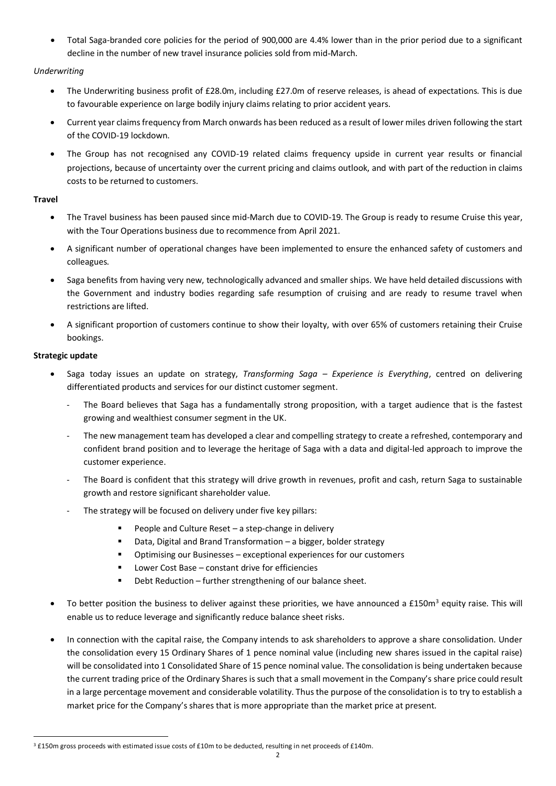• Total Saga-branded core policies for the period of 900,000 are 4.4% lower than in the prior period due to a significant decline in the number of new travel insurance policies sold from mid‐March.

## *Underwriting*

- The Underwriting business profit of £28.0m, including £27.0m of reserve releases, is ahead of expectations. This is due to favourable experience on large bodily injury claims relating to prior accident years.
- Current year claims frequency from March onwards has been reduced as a result of lower miles driven following the start of the COVID-19 lockdown.
- The Group has not recognised any COVID-19 related claims frequency upside in current year results or financial projections, because of uncertainty over the current pricing and claims outlook, and with part of the reduction in claims costs to be returned to customers.

# **Travel**

- The Travel business has been paused since mid-March due to COVID-19. The Group is ready to resume Cruise this year, with the Tour Operations business due to recommence from April 2021.
- A significant number of operational changes have been implemented to ensure the enhanced safety of customers and colleagues.
- Saga benefits from having very new, technologically advanced and smaller ships. We have held detailed discussions with the Government and industry bodies regarding safe resumption of cruising and are ready to resume travel when restrictions are lifted.
- A significant proportion of customers continue to show their loyalty, with over 65% of customers retaining their Cruise bookings.

## **Strategic update**

- Saga today issues an update on strategy, *Transforming Saga – Experience is Everything*, centred on delivering differentiated products and services for our distinct customer segment.
	- The Board believes that Saga has a fundamentally strong proposition, with a target audience that is the fastest growing and wealthiest consumer segment in the UK.
	- The new management team has developed a clear and compelling strategy to create a refreshed, contemporary and confident brand position and to leverage the heritage of Saga with a data and digital-led approach to improve the customer experience.
	- The Board is confident that this strategy will drive growth in revenues, profit and cash, return Saga to sustainable growth and restore significant shareholder value.
	- The strategy will be focused on delivery under five key pillars:
		- People and Culture Reset  $-$  a step-change in delivery
		- Data, Digital and Brand Transformation a bigger, bolder strategy
		- Optimising our Businesses exceptional experiences for our customers
		- Lower Cost Base constant drive for efficiencies
		- Debt Reduction further strengthening of our balance sheet.
- To better position the business to deliver against these priorities, we have announced a £150m<sup>3</sup> equity raise. This will enable us to reduce leverage and significantly reduce balance sheet risks.
- In connection with the capital raise, the Company intends to ask shareholders to approve a share consolidation. Under the consolidation every 15 Ordinary Shares of 1 pence nominal value (including new shares issued in the capital raise) will be consolidated into 1 Consolidated Share of 15 pence nominal value. The consolidation is being undertaken because the current trading price of the Ordinary Shares is such that a small movement in the Company's share price could result in a large percentage movement and considerable volatility. Thus the purpose of the consolidation is to try to establish a market price for the Company's shares that is more appropriate than the market price at present.

<sup>3</sup> £150m gross proceeds with estimated issue costs of £10m to be deducted, resulting in net proceeds of £140m.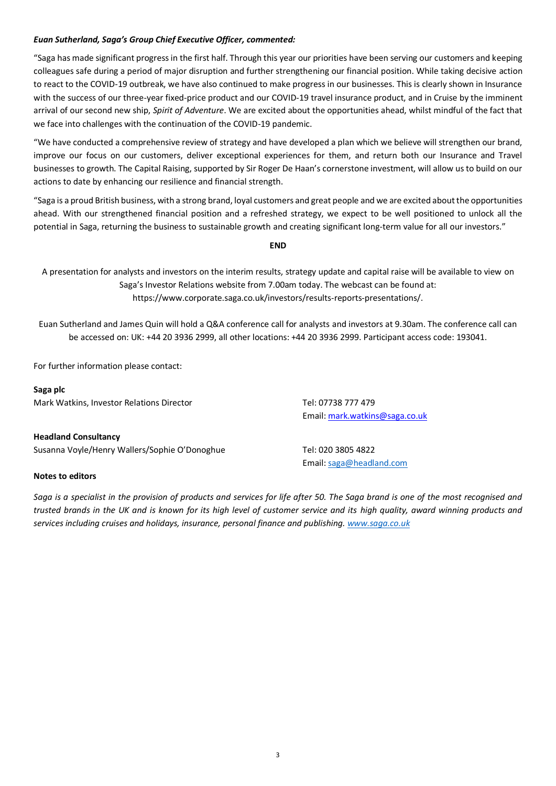## *Euan Sutherland, Saga's Group Chief Executive Officer, commented:*

"Saga has made significant progress in the first half. Through this year our priorities have been serving our customers and keeping colleagues safe during a period of major disruption and further strengthening our financial position. While taking decisive action to react to the COVID-19 outbreak, we have also continued to make progress in our businesses. This is clearly shown in Insurance with the success of our three-year fixed-price product and our COVID-19 travel insurance product, and in Cruise by the imminent arrival of our second new ship, *Spirit of Adventure*. We are excited about the opportunities ahead, whilst mindful of the fact that we face into challenges with the continuation of the COVID-19 pandemic.

"We have conducted a comprehensive review of strategy and have developed a plan which we believe will strengthen our brand, improve our focus on our customers, deliver exceptional experiences for them, and return both our Insurance and Travel businesses to growth. The Capital Raising, supported by Sir Roger De Haan's cornerstone investment, will allow us to build on our actions to date by enhancing our resilience and financial strength.

"Saga is a proud British business, with a strong brand, loyal customers and great people and we are excited about the opportunities ahead. With our strengthened financial position and a refreshed strategy, we expect to be well positioned to unlock all the potential in Saga, returning the business to sustainable growth and creating significant long-term value for all our investors."

**END**

A presentation for analysts and investors on the interim results, strategy update and capital raise will be available to view on Saga's Investor Relations website from 7.00am today. The webcast can be found at: https://www.corporate.saga.co.uk/investors/results-reports-presentations/.

Euan Sutherland and James Quin will hold a Q&A conference call for analysts and investors at 9.30am. The conference call can be accessed on: UK: +44 20 3936 2999, all other locations: +44 20 3936 2999. Participant access code: 193041.

For further information please contact:

**Saga plc** Mark Watkins, Investor Relations Director Tel: 07738 777 479

Email: mark.watkins@saga.co.uk

Email: saga@headland.com

**Headland Consultancy** Susanna Voyle/Henry Wallers/Sophie O'Donoghue Tel: 020 3805 4822

#### **Notes to editors**

*Saga is a specialist in the provision of products and services for life after 50. The Saga brand is one of the most recognised and trusted brands in the UK and is known for its high level of customer service and its high quality, award winning products and services including cruises and holidays, insurance, personal finance and publishing. www.saga.co.uk*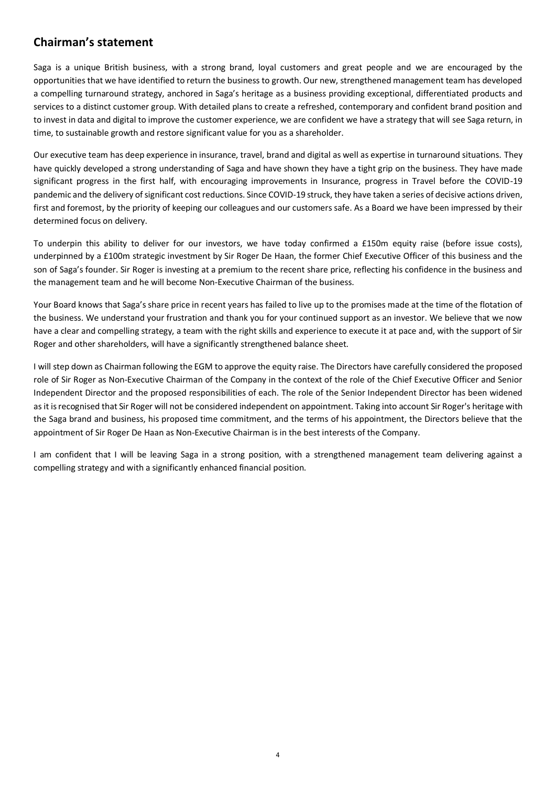# **Chairman's statement**

Saga is a unique British business, with a strong brand, loyal customers and great people and we are encouraged by the opportunities that we have identified to return the business to growth. Our new, strengthened management team has developed a compelling turnaround strategy, anchored in Saga's heritage as a business providing exceptional, differentiated products and services to a distinct customer group. With detailed plans to create a refreshed, contemporary and confident brand position and to invest in data and digital to improve the customer experience, we are confident we have a strategy that will see Saga return, in time, to sustainable growth and restore significant value for you as a shareholder.

Our executive team has deep experience in insurance, travel, brand and digital as well as expertise in turnaround situations. They have quickly developed a strong understanding of Saga and have shown they have a tight grip on the business. They have made significant progress in the first half, with encouraging improvements in Insurance, progress in Travel before the COVID-19 pandemic and the delivery of significant cost reductions. Since COVID-19 struck, they have taken a series of decisive actions driven, first and foremost, by the priority of keeping our colleagues and our customers safe. As a Board we have been impressed by their determined focus on delivery.

To underpin this ability to deliver for our investors, we have today confirmed a £150m equity raise (before issue costs), underpinned by a £100m strategic investment by Sir Roger De Haan, the former Chief Executive Officer of this business and the son of Saga's founder. Sir Roger is investing at a premium to the recent share price, reflecting his confidence in the business and the management team and he will become Non-Executive Chairman of the business.

Your Board knows that Saga's share price in recent years has failed to live up to the promises made at the time of the flotation of the business. We understand your frustration and thank you for your continued support as an investor. We believe that we now have a clear and compelling strategy, a team with the right skills and experience to execute it at pace and, with the support of Sir Roger and other shareholders, will have a significantly strengthened balance sheet.

I will step down as Chairman following the EGM to approve the equity raise. The Directors have carefully considered the proposed role of Sir Roger as Non-Executive Chairman of the Company in the context of the role of the Chief Executive Officer and Senior Independent Director and the proposed responsibilities of each. The role of the Senior Independent Director has been widened as it is recognised that Sir Roger will not be considered independent on appointment. Taking into account Sir Roger's heritage with the Saga brand and business, his proposed time commitment, and the terms of his appointment, the Directors believe that the appointment of Sir Roger De Haan as Non-Executive Chairman is in the best interests of the Company.

I am confident that I will be leaving Saga in a strong position, with a strengthened management team delivering against a compelling strategy and with a significantly enhanced financial position.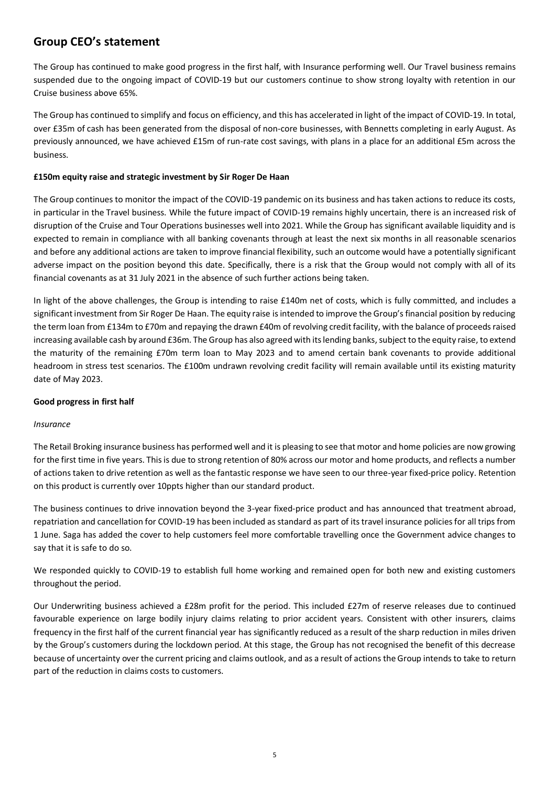# **Group CEO's statement**

The Group has continued to make good progress in the first half, with Insurance performing well. Our Travel business remains suspended due to the ongoing impact of COVID-19 but our customers continue to show strong loyalty with retention in our Cruise business above 65%.

The Group has continued to simplify and focus on efficiency, and this has accelerated in light of the impact of COVID-19. In total, over £35m of cash has been generated from the disposal of non-core businesses, with Bennetts completing in early August. As previously announced, we have achieved £15m of run-rate cost savings, with plans in a place for an additional £5m across the business.

## **£150m equity raise and strategic investment by Sir Roger De Haan**

The Group continues to monitor the impact of the COVID-19 pandemic on its business and has taken actions to reduce its costs, in particular in the Travel business. While the future impact of COVID-19 remains highly uncertain, there is an increased risk of disruption of the Cruise and Tour Operations businesses well into 2021. While the Group has significant available liquidity and is expected to remain in compliance with all banking covenants through at least the next six months in all reasonable scenarios and before any additional actions are taken to improve financial flexibility, such an outcome would have a potentially significant adverse impact on the position beyond this date. Specifically, there is a risk that the Group would not comply with all of its financial covenants as at 31 July 2021 in the absence of such further actions being taken.

In light of the above challenges, the Group is intending to raise £140m net of costs, which is fully committed, and includes a significant investment from Sir Roger De Haan. The equity raise is intended to improve the Group's financial position by reducing the term loan from £134m to £70m and repaying the drawn £40m of revolving credit facility, with the balance of proceeds raised increasing available cash by around £36m. The Group has also agreed with its lending banks, subject to the equity raise, to extend the maturity of the remaining £70m term loan to May 2023 and to amend certain bank covenants to provide additional headroom in stress test scenarios. The £100m undrawn revolving credit facility will remain available until its existing maturity date of May 2023.

#### **Good progress in first half**

#### *Insurance*

The Retail Broking insurance business has performed well and it is pleasing to see that motor and home policies are now growing for the first time in five years. This is due to strong retention of 80% across our motor and home products, and reflects a number of actions taken to drive retention as well as the fantastic response we have seen to our three-year fixed-price policy. Retention on this product is currently over 10ppts higher than our standard product.

The business continues to drive innovation beyond the 3-year fixed-price product and has announced that treatment abroad, repatriation and cancellation for COVID-19 has been included as standard as part of its travel insurance policies for all trips from 1 June. Saga has added the cover to help customers feel more comfortable travelling once the Government advice changes to say that it is safe to do so.

We responded quickly to COVID-19 to establish full home working and remained open for both new and existing customers throughout the period.

Our Underwriting business achieved a £28m profit for the period. This included £27m of reserve releases due to continued favourable experience on large bodily injury claims relating to prior accident years. Consistent with other insurers, claims frequency in the first half of the current financial year has significantly reduced as a result of the sharp reduction in miles driven by the Group's customers during the lockdown period. At this stage, the Group has not recognised the benefit of this decrease because of uncertainty over the current pricing and claims outlook, and as a result of actions the Group intends to take to return part of the reduction in claims costs to customers.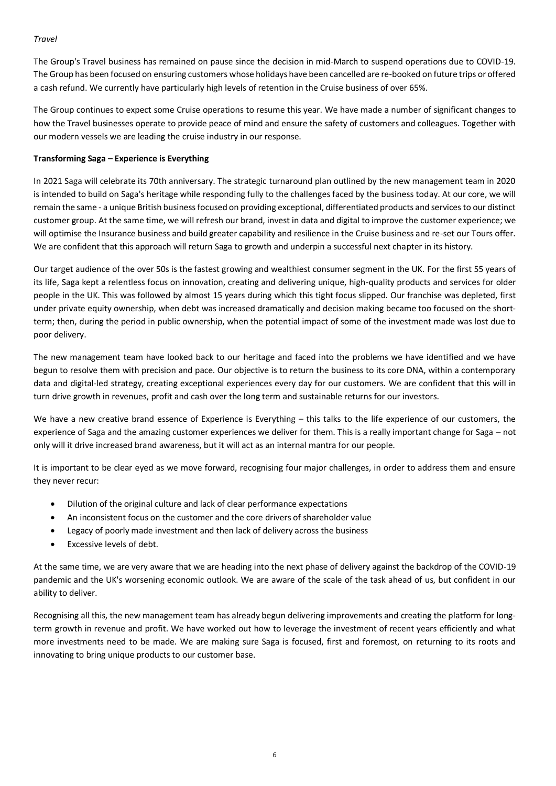### *Travel*

The Group's Travel business has remained on pause since the decision in mid-March to suspend operations due to COVID-19. The Group has been focused on ensuring customers whose holidays have been cancelled are re-booked on future trips or offered a cash refund. We currently have particularly high levels of retention in the Cruise business of over 65%.

The Group continues to expect some Cruise operations to resume this year. We have made a number of significant changes to how the Travel businesses operate to provide peace of mind and ensure the safety of customers and colleagues. Together with our modern vessels we are leading the cruise industry in our response.

## **Transforming Saga – Experience is Everything**

In 2021 Saga will celebrate its 70th anniversary. The strategic turnaround plan outlined by the new management team in 2020 is intended to build on Saga's heritage while responding fully to the challenges faced by the business today. At our core, we will remain the same - a unique British business focused on providing exceptional, differentiated products and services to our distinct customer group. At the same time, we will refresh our brand, invest in data and digital to improve the customer experience; we will optimise the Insurance business and build greater capability and resilience in the Cruise business and re-set our Tours offer. We are confident that this approach will return Saga to growth and underpin a successful next chapter in its history.

Our target audience of the over 50s is the fastest growing and wealthiest consumer segment in the UK. For the first 55 years of its life, Saga kept a relentless focus on innovation, creating and delivering unique, high-quality products and services for older people in the UK. This was followed by almost 15 years during which this tight focus slipped. Our franchise was depleted, first under private equity ownership, when debt was increased dramatically and decision making became too focused on the shortterm; then, during the period in public ownership, when the potential impact of some of the investment made was lost due to poor delivery.

The new management team have looked back to our heritage and faced into the problems we have identified and we have begun to resolve them with precision and pace. Our objective is to return the business to its core DNA, within a contemporary data and digital-led strategy, creating exceptional experiences every day for our customers. We are confident that this will in turn drive growth in revenues, profit and cash over the long term and sustainable returns for our investors.

We have a new creative brand essence of Experience is Everything – this talks to the life experience of our customers, the experience of Saga and the amazing customer experiences we deliver for them. This is a really important change for Saga – not only will it drive increased brand awareness, but it will act as an internal mantra for our people.

It is important to be clear eyed as we move forward, recognising four major challenges, in order to address them and ensure they never recur:

- Dilution of the original culture and lack of clear performance expectations
- An inconsistent focus on the customer and the core drivers of shareholder value
- Legacy of poorly made investment and then lack of delivery across the business
- Excessive levels of debt.

At the same time, we are very aware that we are heading into the next phase of delivery against the backdrop of the COVID-19 pandemic and the UK's worsening economic outlook. We are aware of the scale of the task ahead of us, but confident in our ability to deliver.

Recognising all this, the new management team has already begun delivering improvements and creating the platform for longterm growth in revenue and profit. We have worked out how to leverage the investment of recent years efficiently and what more investments need to be made. We are making sure Saga is focused, first and foremost, on returning to its roots and innovating to bring unique products to our customer base.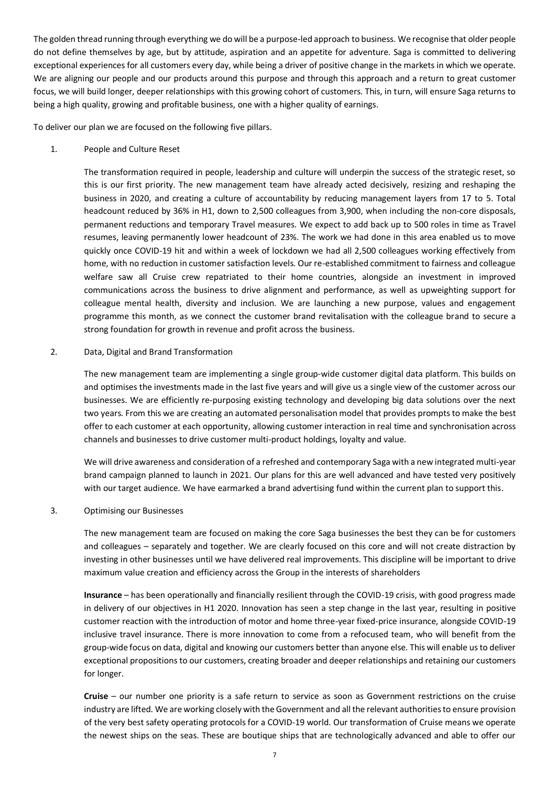The golden thread running through everything we do will be a purpose-led approach to business. We recognise that older people do not define themselves by age, but by attitude, aspiration and an appetite for adventure. Saga is committed to delivering exceptional experiences for all customers every day, while being a driver of positive change in the markets in which we operate. We are aligning our people and our products around this purpose and through this approach and a return to great customer focus, we will build longer, deeper relationships with this growing cohort of customers. This, in turn, will ensure Saga returns to being a high quality, growing and profitable business, one with a higher quality of earnings.

To deliver our plan we are focused on the following five pillars.

1. People and Culture Reset

The transformation required in people, leadership and culture will underpin the success of the strategic reset, so this is our first priority. The new management team have already acted decisively, resizing and reshaping the business in 2020, and creating a culture of accountability by reducing management layers from 17 to 5. Total headcount reduced by 36% in H1, down to 2,500 colleagues from 3,900, when including the non-core disposals, permanent reductions and temporary Travel measures. We expect to add back up to 500 roles in time as Travel resumes, leaving permanently lower headcount of 23%. The work we had done in this area enabled us to move quickly once COVID-19 hit and within a week of lockdown we had all 2,500 colleagues working effectively from home, with no reduction in customer satisfaction levels. Our re-established commitment to fairness and colleague welfare saw all Cruise crew repatriated to their home countries, alongside an investment in improved communications across the business to drive alignment and performance, as well as upweighting support for colleague mental health, diversity and inclusion. We are launching a new purpose, values and engagement programme this month, as we connect the customer brand revitalisation with the colleague brand to secure a strong foundation for growth in revenue and profit across the business.

2. Data, Digital and Brand Transformation

The new management team are implementing a single group-wide customer digital data platform. This builds on and optimises the investments made in the last five years and will give us a single view of the customer across our businesses. We are efficiently re-purposing existing technology and developing big data solutions over the next two years. From this we are creating an automated personalisation model that provides prompts to make the best offer to each customer at each opportunity, allowing customer interaction in real time and synchronisation across channels and businesses to drive customer multi-product holdings, loyalty and value.

We will drive awareness and consideration of a refreshed and contemporary Saga with a new integrated multi-year brand campaign planned to launch in 2021. Our plans for this are well advanced and have tested very positively with our target audience. We have earmarked a brand advertising fund within the current plan to support this.

3. Optimising our Businesses

The new management team are focused on making the core Saga businesses the best they can be for customers and colleagues – separately and together. We are clearly focused on this core and will not create distraction by investing in other businesses until we have delivered real improvements. This discipline will be important to drive maximum value creation and efficiency across the Group in the interests of shareholders

**Insurance** – has been operationally and financially resilient through the COVID-19 crisis, with good progress made in delivery of our objectives in H1 2020. Innovation has seen a step change in the last year, resulting in positive customer reaction with the introduction of motor and home three-year fixed-price insurance, alongside COVID-19 inclusive travel insurance. There is more innovation to come from a refocused team, who will benefit from the group-wide focus on data, digital and knowing our customers better than anyone else. This will enable us to deliver exceptional propositions to our customers, creating broader and deeper relationships and retaining our customers for longer.

**Cruise** – our number one priority is a safe return to service as soon as Government restrictions on the cruise industry are lifted. We are working closely with the Government and all the relevant authorities to ensure provision of the very best safety operating protocols for a COVID-19 world. Our transformation of Cruise means we operate the newest ships on the seas. These are boutique ships that are technologically advanced and able to offer our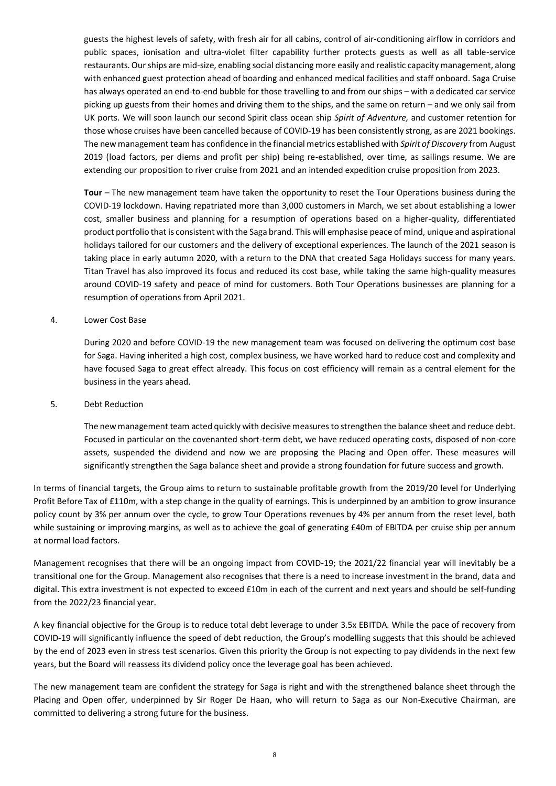guests the highest levels of safety, with fresh air for all cabins, control of air-conditioning airflow in corridors and public spaces, ionisation and ultra-violet filter capability further protects guests as well as all table-service restaurants. Our ships are mid-size, enabling social distancing more easily and realistic capacity management, along with enhanced guest protection ahead of boarding and enhanced medical facilities and staff onboard. Saga Cruise has always operated an end-to-end bubble for those travelling to and from our ships – with a dedicated car service picking up guests from their homes and driving them to the ships, and the same on return – and we only sail from UK ports. We will soon launch our second Spirit class ocean ship *Spirit of Adventure,* and customer retention for those whose cruises have been cancelled because of COVID-19 has been consistently strong, as are 2021 bookings. The new management team has confidence in the financial metrics established with *Spirit of Discovery* from August 2019 (load factors, per diems and profit per ship) being re-established, over time, as sailings resume. We are extending our proposition to river cruise from 2021 and an intended expedition cruise proposition from 2023.

**Tour** – The new management team have taken the opportunity to reset the Tour Operations business during the COVID-19 lockdown. Having repatriated more than 3,000 customers in March, we set about establishing a lower cost, smaller business and planning for a resumption of operations based on a higher-quality, differentiated product portfolio that is consistent with the Saga brand. This will emphasise peace of mind, unique and aspirational holidays tailored for our customers and the delivery of exceptional experiences. The launch of the 2021 season is taking place in early autumn 2020, with a return to the DNA that created Saga Holidays success for many years. Titan Travel has also improved its focus and reduced its cost base, while taking the same high-quality measures around COVID-19 safety and peace of mind for customers. Both Tour Operations businesses are planning for a resumption of operations from April 2021.

#### 4. Lower Cost Base

During 2020 and before COVID-19 the new management team was focused on delivering the optimum cost base for Saga. Having inherited a high cost, complex business, we have worked hard to reduce cost and complexity and have focused Saga to great effect already. This focus on cost efficiency will remain as a central element for the business in the years ahead.

#### 5. Debt Reduction

The new management team acted quickly with decisive measures to strengthen the balance sheet and reduce debt. Focused in particular on the covenanted short-term debt, we have reduced operating costs, disposed of non-core assets, suspended the dividend and now we are proposing the Placing and Open offer. These measures will significantly strengthen the Saga balance sheet and provide a strong foundation for future success and growth.

In terms of financial targets, the Group aims to return to sustainable profitable growth from the 2019/20 level for Underlying Profit Before Tax of £110m, with a step change in the quality of earnings. This is underpinned by an ambition to grow insurance policy count by 3% per annum over the cycle, to grow Tour Operations revenues by 4% per annum from the reset level, both while sustaining or improving margins, as well as to achieve the goal of generating £40m of EBITDA per cruise ship per annum at normal load factors.

Management recognises that there will be an ongoing impact from COVID-19; the 2021/22 financial year will inevitably be a transitional one for the Group. Management also recognises that there is a need to increase investment in the brand, data and digital. This extra investment is not expected to exceed £10m in each of the current and next years and should be self-funding from the 2022/23 financial year.

A key financial objective for the Group is to reduce total debt leverage to under 3.5x EBITDA. While the pace of recovery from COVID-19 will significantly influence the speed of debt reduction, the Group's modelling suggests that this should be achieved by the end of 2023 even in stress test scenarios. Given this priority the Group is not expecting to pay dividends in the next few years, but the Board will reassess its dividend policy once the leverage goal has been achieved.

The new management team are confident the strategy for Saga is right and with the strengthened balance sheet through the Placing and Open offer, underpinned by Sir Roger De Haan, who will return to Saga as our Non-Executive Chairman, are committed to delivering a strong future for the business.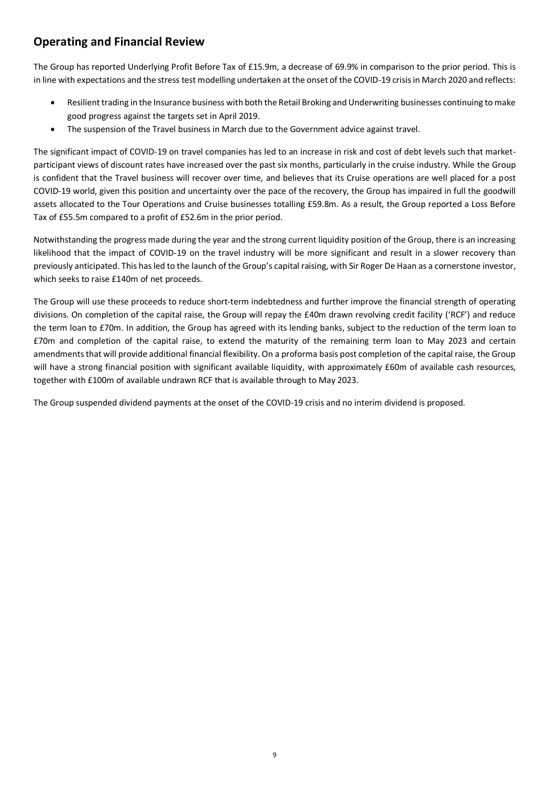# **Operating and Financial Review**

The Group has reported Underlying Profit Before Tax of £15.9m, a decrease of 69.9% in comparison to the prior period. This is in line with expectations and the stress test modelling undertaken at the onset of the COVID-19 crisis in March 2020 and reflects:

- Resilient trading in the Insurance business with both the Retail Broking and Underwriting businesses continuing to make good progress against the targets set in April 2019.
- The suspension of the Travel business in March due to the Government advice against travel.

The significant impact of COVID-19 on travel companies has led to an increase in risk and cost of debt levels such that marketparticipant views of discount rates have increased over the past six months, particularly in the cruise industry. While the Group is confident that the Travel business will recover over time, and believes that its Cruise operations are well placed for a post COVID-19 world, given this position and uncertainty over the pace of the recovery, the Group has impaired in full the goodwill assets allocated to the Tour Operations and Cruise businesses totalling £59.8m. As a result, the Group reported a Loss Before Tax of £55.5m compared to a profit of £52.6m in the prior period.

Notwithstanding the progress made during the year and the strong current liquidity position of the Group, there is an increasing likelihood that the impact of COVID-19 on the travel industry will be more significant and result in a slower recovery than previously anticipated. This has led to the launch of the Group's capital raising, with Sir Roger De Haan as a cornerstone investor, which seeks to raise £140m of net proceeds.

The Group will use these proceeds to reduce short-term indebtedness and further improve the financial strength of operating divisions. On completion of the capital raise, the Group will repay the £40m drawn revolving credit facility ('RCF') and reduce the term loan to £70m. In addition, the Group has agreed with its lending banks, subject to the reduction of the term loan to £70m and completion of the capital raise, to extend the maturity of the remaining term loan to May 2023 and certain amendments that will provide additional financial flexibility. On a proforma basis post completion of the capital raise, the Group will have a strong financial position with significant available liquidity, with approximately £60m of available cash resources, together with £100m of available undrawn RCF that is available through to May 2023.

The Group suspended dividend payments at the onset of the COVID-19 crisis and no interim dividend is proposed.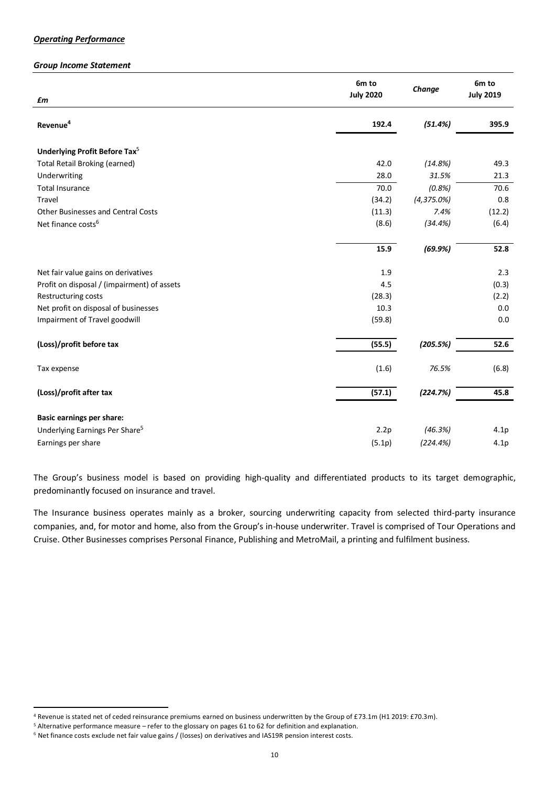#### *Operating Performance*

#### *Group Income Statement*

|                                             | 6m to<br><b>July 2020</b> | Change        | 6m to<br><b>July 2019</b> |
|---------------------------------------------|---------------------------|---------------|---------------------------|
| £m                                          |                           |               |                           |
| Revenue <sup>4</sup>                        | 192.4                     | (51.4%)       | 395.9                     |
| Underlying Profit Before Tax <sup>5</sup>   |                           |               |                           |
| <b>Total Retail Broking (earned)</b>        | 42.0                      | (14.8%)       | 49.3                      |
| Underwriting                                | 28.0                      | 31.5%         | 21.3                      |
| <b>Total Insurance</b>                      | 70.0                      | (0.8%)        | 70.6                      |
| Travel                                      | (34.2)                    | $(4,375.0\%)$ | 0.8                       |
| <b>Other Businesses and Central Costs</b>   | (11.3)                    | 7.4%          | (12.2)                    |
| Net finance costs <sup>6</sup>              | (8.6)                     | (34.4%)       | (6.4)                     |
|                                             | 15.9                      | (69.9%)       | 52.8                      |
| Net fair value gains on derivatives         | 1.9                       |               | 2.3                       |
| Profit on disposal / (impairment) of assets | 4.5                       |               | (0.3)                     |
| Restructuring costs                         | (28.3)                    |               | (2.2)                     |
| Net profit on disposal of businesses        | 10.3                      |               | 0.0                       |
| Impairment of Travel goodwill               | (59.8)                    |               | 0.0                       |
| (Loss)/profit before tax                    | (55.5)                    | (205.5%)      | 52.6                      |
| Tax expense                                 | (1.6)                     | 76.5%         | (6.8)                     |
| (Loss)/profit after tax                     | (57.1)                    | (224.7%)      | 45.8                      |
| <b>Basic earnings per share:</b>            |                           |               |                           |
| Underlying Earnings Per Share <sup>5</sup>  | 2.2p                      | (46.3%)       | 4.1p                      |
| Earnings per share                          | (5.1p)                    | (224.4%)      | 4.1p                      |

The Group's business model is based on providing high-quality and differentiated products to its target demographic, predominantly focused on insurance and travel.

The Insurance business operates mainly as a broker, sourcing underwriting capacity from selected third-party insurance companies, and, for motor and home, also from the Group's in-house underwriter. Travel is comprised of Tour Operations and Cruise. Other Businesses comprises Personal Finance, Publishing and MetroMail, a printing and fulfilment business.

<sup>4</sup> Revenue is stated net of ceded reinsurance premiums earned on business underwritten by the Group of £73.1m (H1 2019: £70.3m).

<sup>5</sup> Alternative performance measure – refer to the glossary on pages 61 to 62 for definition and explanation.

<sup>6</sup> Net finance costs exclude net fair value gains / (losses) on derivatives and IAS19R pension interest costs.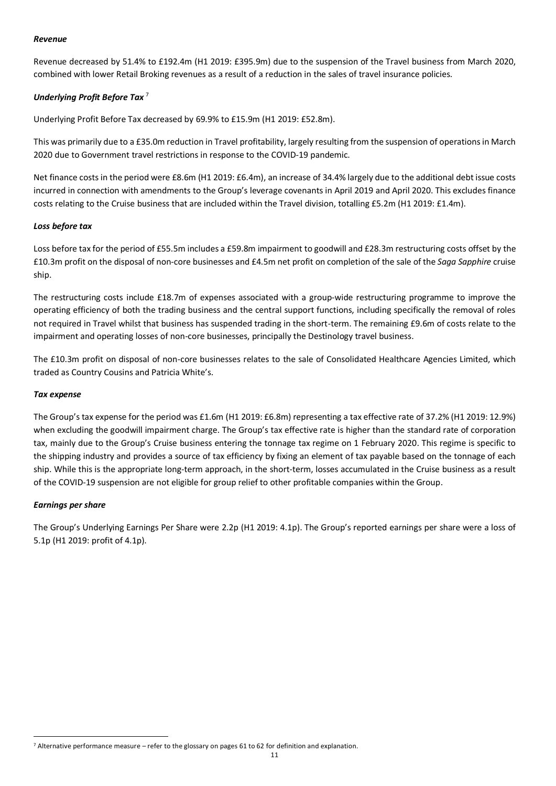#### *Revenue*

Revenue decreased by 51.4% to £192.4m (H1 2019: £395.9m) due to the suspension of the Travel business from March 2020, combined with lower Retail Broking revenues as a result of a reduction in the sales of travel insurance policies.

## *Underlying Profit Before Tax* <sup>7</sup>

Underlying Profit Before Tax decreased by 69.9% to £15.9m (H1 2019: £52.8m).

This was primarily due to a £35.0m reduction in Travel profitability, largely resulting from the suspension of operations in March 2020 due to Government travel restrictions in response to the COVID-19 pandemic.

Net finance costs in the period were £8.6m (H1 2019: £6.4m), an increase of 34.4% largely due to the additional debt issue costs incurred in connection with amendments to the Group's leverage covenants in April 2019 and April 2020. This excludes finance costs relating to the Cruise business that are included within the Travel division, totalling £5.2m (H1 2019: £1.4m).

#### *Loss before tax*

Loss before tax for the period of £55.5m includes a £59.8m impairment to goodwill and £28.3m restructuring costs offset by the £10.3m profit on the disposal of non-core businesses and £4.5m net profit on completion of the sale of the *Saga Sapphire* cruise ship.

The restructuring costs include £18.7m of expenses associated with a group-wide restructuring programme to improve the operating efficiency of both the trading business and the central support functions, including specifically the removal of roles not required in Travel whilst that business has suspended trading in the short-term. The remaining £9.6m of costs relate to the impairment and operating losses of non-core businesses, principally the Destinology travel business.

The £10.3m profit on disposal of non-core businesses relates to the sale of Consolidated Healthcare Agencies Limited, which traded as Country Cousins and Patricia White's.

#### *Tax expense*

The Group's tax expense for the period was £1.6m (H1 2019: £6.8m) representing a tax effective rate of 37.2% (H1 2019: 12.9%) when excluding the goodwill impairment charge. The Group's tax effective rate is higher than the standard rate of corporation tax, mainly due to the Group's Cruise business entering the tonnage tax regime on 1 February 2020. This regime is specific to the shipping industry and provides a source of tax efficiency by fixing an element of tax payable based on the tonnage of each ship. While this is the appropriate long-term approach, in the short-term, losses accumulated in the Cruise business as a result of the COVID-19 suspension are not eligible for group relief to other profitable companies within the Group.

#### *Earnings per share*

The Group's Underlying Earnings Per Share were 2.2p (H1 2019: 4.1p). The Group's reported earnings per share were a loss of 5.1p (H1 2019: profit of 4.1p).

<sup>7</sup> Alternative performance measure – refer to the glossary on pages 61 to 62 for definition and explanation.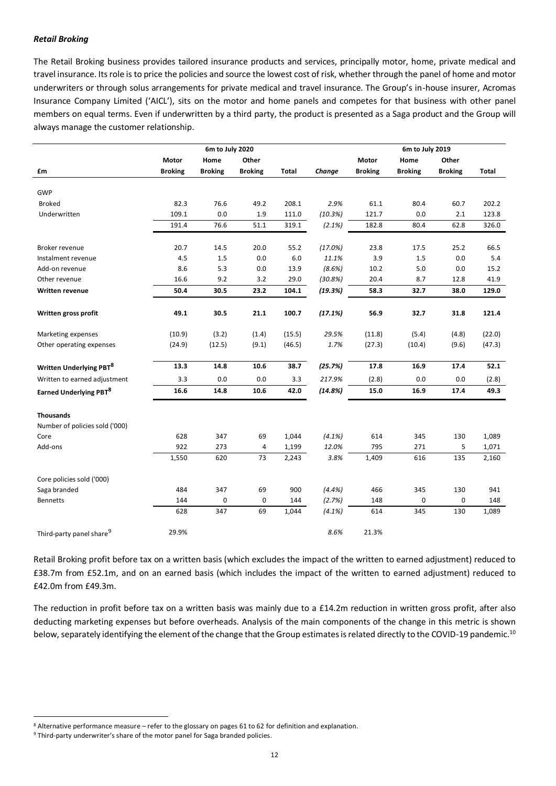#### *Retail Broking*

The Retail Broking business provides tailored insurance products and services, principally motor, home, private medical and travel insurance. Its role is to price the policies and source the lowest cost of risk, whether through the panel of home and motor underwriters or through solus arrangements for private medical and travel insurance. The Group's in-house insurer, Acromas Insurance Company Limited ('AICL'), sits on the motor and home panels and competes for that business with other panel members on equal terms. Even if underwritten by a third party, the product is presented as a Saga product and the Group will always manage the customer relationship.

|                                                    |                | 6m to July 2020 |                | 6m to July 2019 |           |                |                |                |        |  |  |  |
|----------------------------------------------------|----------------|-----------------|----------------|-----------------|-----------|----------------|----------------|----------------|--------|--|--|--|
|                                                    | Motor          | Home            | Other          |                 |           | Motor          | Home           | Other          |        |  |  |  |
| £m                                                 | <b>Broking</b> | <b>Broking</b>  | <b>Broking</b> | Total           | Change    | <b>Broking</b> | <b>Broking</b> | <b>Broking</b> | Total  |  |  |  |
|                                                    |                |                 |                |                 |           |                |                |                |        |  |  |  |
| GWP                                                |                |                 |                |                 |           |                |                |                |        |  |  |  |
| <b>Broked</b>                                      | 82.3           | 76.6            | 49.2           | 208.1           | 2.9%      | 61.1           | 80.4           | 60.7           | 202.2  |  |  |  |
| Underwritten                                       | 109.1          | 0.0             | 1.9            | 111.0           | (10.3%)   | 121.7          | 0.0            | 2.1            | 123.8  |  |  |  |
|                                                    | 191.4          | 76.6            | 51.1           | 319.1           | (2.1%)    | 182.8          | 80.4           | 62.8           | 326.0  |  |  |  |
| Broker revenue                                     | 20.7           | 14.5            | 20.0           | 55.2            | (17.0%)   | 23.8           | 17.5           | 25.2           | 66.5   |  |  |  |
| Instalment revenue                                 | 4.5            | 1.5             | 0.0            | 6.0             | 11.1%     | 3.9            | 1.5            | 0.0            | 5.4    |  |  |  |
| Add-on revenue                                     | 8.6            | 5.3             | 0.0            | 13.9            | (8.6%)    | 10.2           | 5.0            | 0.0            | 15.2   |  |  |  |
| Other revenue                                      | 16.6           | 9.2             | 3.2            | 29.0            | (30.8%)   | 20.4           | 8.7            | 12.8           | 41.9   |  |  |  |
| <b>Written revenue</b>                             | 50.4           | 30.5            | 23.2           | 104.1           | (19.3%)   | 58.3           | 32.7           | 38.0           | 129.0  |  |  |  |
|                                                    |                |                 |                |                 |           |                |                |                |        |  |  |  |
| Written gross profit                               | 49.1           | 30.5            | 21.1           | 100.7           | (17.1%)   | 56.9           | 32.7           | 31.8           | 121.4  |  |  |  |
| Marketing expenses                                 | (10.9)         | (3.2)           | (1.4)          | (15.5)          | 29.5%     | (11.8)         | (5.4)          | (4.8)          | (22.0) |  |  |  |
| Other operating expenses                           | (24.9)         | (12.5)          | (9.1)          | (46.5)          | 1.7%      | (27.3)         | (10.4)         | (9.6)          | (47.3) |  |  |  |
| <b>Written Underlying PBT</b> <sup>8</sup>         | 13.3           | 14.8            | 10.6           | 38.7            | (25.7%)   | 17.8           | 16.9           | 17.4           | 52.1   |  |  |  |
| Written to earned adjustment                       | 3.3            | 0.0             | 0.0            | 3.3             | 217.9%    | (2.8)          | 0.0            | 0.0            | (2.8)  |  |  |  |
| Earned Underlying PBT <sup>8</sup>                 | 16.6           | 14.8            | 10.6           | 42.0            | (14.8%)   | 15.0           | 16.9           | 17.4           | 49.3   |  |  |  |
|                                                    |                |                 |                |                 |           |                |                |                |        |  |  |  |
| <b>Thousands</b><br>Number of policies sold ('000) |                |                 |                |                 |           |                |                |                |        |  |  |  |
| Core                                               | 628            | 347             | 69             | 1,044           | $(4.1\%)$ | 614            | 345            | 130            | 1,089  |  |  |  |
| Add-ons                                            | 922            | 273             | 4              | 1,199           | 12.0%     | 795            | 271            | 5              | 1,071  |  |  |  |
|                                                    | 1,550          | 620             | 73             | 2,243           | 3.8%      | 1,409          | 616            | 135            | 2,160  |  |  |  |
|                                                    |                |                 |                |                 |           |                |                |                |        |  |  |  |
| Core policies sold ('000)                          |                |                 |                |                 |           |                |                |                |        |  |  |  |
| Saga branded                                       | 484            | 347             | 69             | 900             | (4.4%)    | 466            | 345            | 130            | 941    |  |  |  |
| <b>Bennetts</b>                                    | 144            | 0               | 0              | 144             | (2.7%)    | 148            | 0              | 0              | 148    |  |  |  |
|                                                    | 628            | 347             | 69             | 1,044           | $(4.1\%)$ | 614            | 345            | 130            | 1,089  |  |  |  |
| Third-party panel share <sup>9</sup>               | 29.9%          |                 |                |                 | 8.6%      | 21.3%          |                |                |        |  |  |  |

Retail Broking profit before tax on a written basis (which excludes the impact of the written to earned adjustment) reduced to £38.7m from £52.1m, and on an earned basis (which includes the impact of the written to earned adjustment) reduced to £42.0m from £49.3m.

The reduction in profit before tax on a written basis was mainly due to a £14.2m reduction in written gross profit, after also deducting marketing expenses but before overheads. Analysis of the main components of the change in this metric is shown below, separately identifying the element of the change that the Group estimates is related directly to the COVID-19 pandemic.<sup>10</sup>

<sup>8</sup> Alternative performance measure – refer to the glossary on pages 61 to 62 for definition and explanation.

<sup>9</sup> Third-party underwriter's share of the motor panel for Saga branded policies.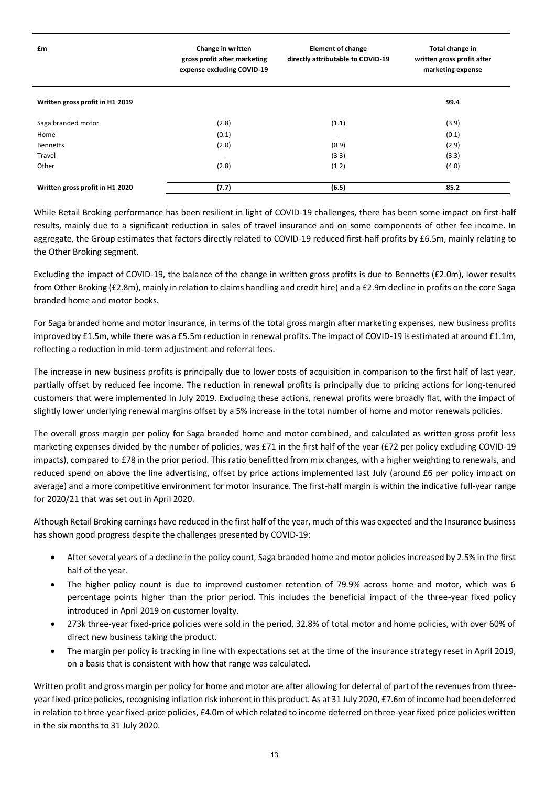| £m                              | Change in written<br>gross profit after marketing<br>expense excluding COVID-19 | <b>Element of change</b><br>directly attributable to COVID-19 | Total change in<br>written gross profit after<br>marketing expense |
|---------------------------------|---------------------------------------------------------------------------------|---------------------------------------------------------------|--------------------------------------------------------------------|
| Written gross profit in H1 2019 |                                                                                 |                                                               | 99.4                                                               |
| Saga branded motor              | (2.8)                                                                           | (1.1)                                                         | (3.9)                                                              |
| Home                            | (0.1)                                                                           | $\overline{\phantom{0}}$                                      | (0.1)                                                              |
| <b>Bennetts</b>                 | (2.0)                                                                           | (09)                                                          | (2.9)                                                              |
| Travel                          | $\overline{\phantom{a}}$                                                        | (33)                                                          | (3.3)                                                              |
| Other                           | (2.8)                                                                           | (12)                                                          | (4.0)                                                              |
| Written gross profit in H1 2020 | (7.7)                                                                           | (6.5)                                                         | 85.2                                                               |

While Retail Broking performance has been resilient in light of COVID-19 challenges, there has been some impact on first-half results, mainly due to a significant reduction in sales of travel insurance and on some components of other fee income. In aggregate, the Group estimates that factors directly related to COVID-19 reduced first-half profits by £6.5m, mainly relating to the Other Broking segment.

Excluding the impact of COVID-19, the balance of the change in written gross profits is due to Bennetts (£2.0m), lower results from Other Broking (£2.8m), mainly in relation to claims handling and credit hire) and a £2.9m decline in profits on the core Saga branded home and motor books.

For Saga branded home and motor insurance, in terms of the total gross margin after marketing expenses, new business profits improved by £1.5m, while there was a £5.5m reduction in renewal profits. The impact of COVID-19 is estimated at around £1.1m, reflecting a reduction in mid-term adjustment and referral fees.

The increase in new business profits is principally due to lower costs of acquisition in comparison to the first half of last year, partially offset by reduced fee income. The reduction in renewal profits is principally due to pricing actions for long-tenured customers that were implemented in July 2019. Excluding these actions, renewal profits were broadly flat, with the impact of slightly lower underlying renewal margins offset by a 5% increase in the total number of home and motor renewals policies.

The overall gross margin per policy for Saga branded home and motor combined, and calculated as written gross profit less marketing expenses divided by the number of policies, was £71 in the first half of the year (£72 per policy excluding COVID-19 impacts), compared to £78 in the prior period. This ratio benefitted from mix changes, with a higher weighting to renewals, and reduced spend on above the line advertising, offset by price actions implemented last July (around £6 per policy impact on average) and a more competitive environment for motor insurance. The first-half margin is within the indicative full-year range for 2020/21 that was set out in April 2020.

Although Retail Broking earnings have reduced in the first half of the year, much of this was expected and the Insurance business has shown good progress despite the challenges presented by COVID-19:

- After several years of a decline in the policy count, Saga branded home and motor policies increased by 2.5% in the first half of the year.
- The higher policy count is due to improved customer retention of 79.9% across home and motor, which was 6 percentage points higher than the prior period. This includes the beneficial impact of the three-year fixed policy introduced in April 2019 on customer loyalty.
- 273k three-year fixed-price policies were sold in the period, 32.8% of total motor and home policies, with over 60% of direct new business taking the product.
- The margin per policy is tracking in line with expectations set at the time of the insurance strategy reset in April 2019, on a basis that is consistent with how that range was calculated.

Written profit and gross margin per policy for home and motor are after allowing for deferral of part of the revenues from threeyear fixed-price policies, recognising inflation risk inherent in this product. As at 31 July 2020, £7.6m of income had been deferred in relation to three-year fixed-price policies, £4.0m of which related to income deferred on three-year fixed price policies written in the six months to 31 July 2020.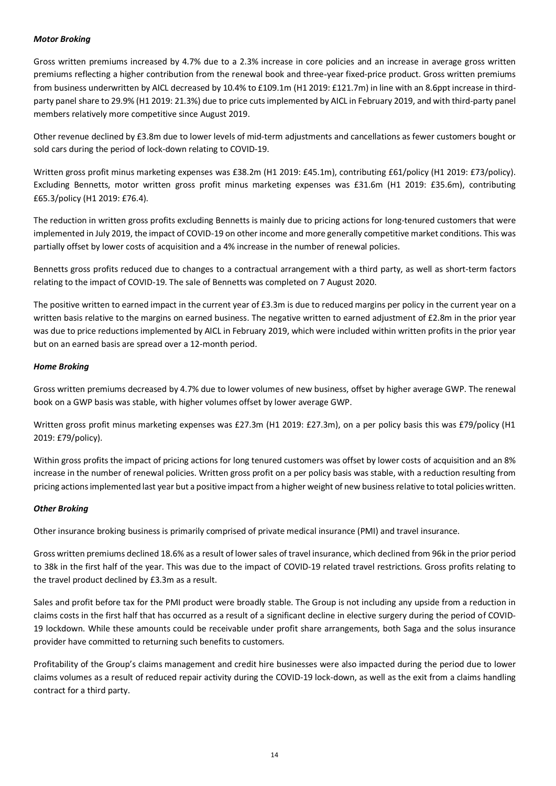### *Motor Broking*

Gross written premiums increased by 4.7% due to a 2.3% increase in core policies and an increase in average gross written premiums reflecting a higher contribution from the renewal book and three-year fixed-price product. Gross written premiums from business underwritten by AICL decreased by 10.4% to £109.1m (H1 2019: £121.7m) in line with an 8.6ppt increase in thirdparty panel share to 29.9% (H1 2019: 21.3%) due to price cuts implemented by AICL in February 2019, and with third-party panel members relatively more competitive since August 2019.

Other revenue declined by £3.8m due to lower levels of mid-term adjustments and cancellations as fewer customers bought or sold cars during the period of lock-down relating to COVID-19.

Written gross profit minus marketing expenses was £38.2m (H1 2019: £45.1m), contributing £61/policy (H1 2019: £73/policy). Excluding Bennetts, motor written gross profit minus marketing expenses was £31.6m (H1 2019: £35.6m), contributing £65.3/policy (H1 2019: £76.4).

The reduction in written gross profits excluding Bennetts is mainly due to pricing actions for long-tenured customers that were implemented in July 2019, the impact of COVID-19 on other income and more generally competitive market conditions. This was partially offset by lower costs of acquisition and a 4% increase in the number of renewal policies.

Bennetts gross profits reduced due to changes to a contractual arrangement with a third party, as well as short-term factors relating to the impact of COVID-19. The sale of Bennetts was completed on 7 August 2020.

The positive written to earned impact in the current year of  $£3.3m$  is due to reduced margins per policy in the current year on a written basis relative to the margins on earned business. The negative written to earned adjustment of £2.8m in the prior year was due to price reductions implemented by AICL in February 2019, which were included within written profits in the prior year but on an earned basis are spread over a 12-month period.

## *Home Broking*

Gross written premiums decreased by 4.7% due to lower volumes of new business, offset by higher average GWP. The renewal book on a GWP basis was stable, with higher volumes offset by lower average GWP.

Written gross profit minus marketing expenses was £27.3m (H1 2019: £27.3m), on a per policy basis this was £79/policy (H1 2019: £79/policy).

Within gross profits the impact of pricing actions for long tenured customers was offset by lower costs of acquisition and an 8% increase in the number of renewal policies. Written gross profit on a per policy basis was stable, with a reduction resulting from pricing actions implemented last year but a positive impact from a higher weight of new business relative to total policies written.

#### *Other Broking*

Other insurance broking business is primarily comprised of private medical insurance (PMI) and travel insurance.

Gross written premiums declined 18.6% as a result of lower sales of travel insurance, which declined from 96k in the prior period to 38k in the first half of the year. This was due to the impact of COVID-19 related travel restrictions. Gross profits relating to the travel product declined by £3.3m as a result.

Sales and profit before tax for the PMI product were broadly stable. The Group is not including any upside from a reduction in claims costs in the first half that has occurred as a result of a significant decline in elective surgery during the period of COVID-19 lockdown. While these amounts could be receivable under profit share arrangements, both Saga and the solus insurance provider have committed to returning such benefits to customers.

Profitability of the Group's claims management and credit hire businesses were also impacted during the period due to lower claims volumes as a result of reduced repair activity during the COVID-19 lock-down, as well as the exit from a claims handling contract for a third party.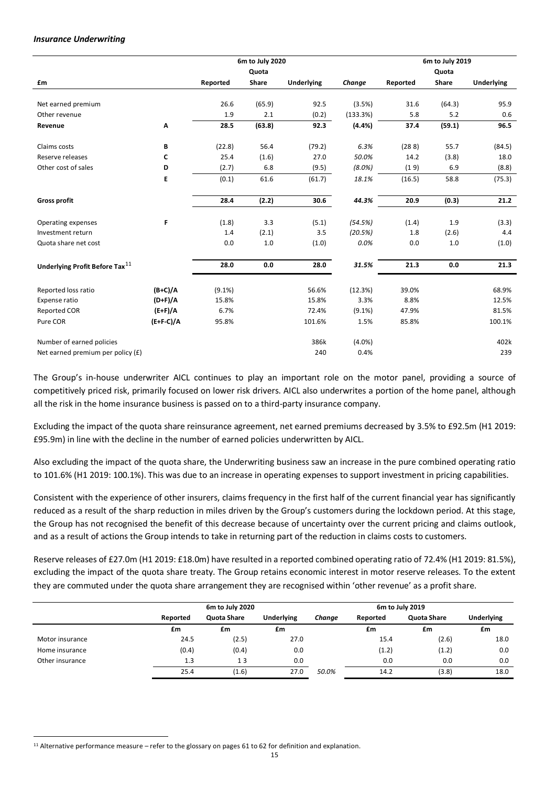#### *Insurance Underwriting*

|                                            |                                 |           | 6m to July 2020 |                   |           |          | 6m to July 2019 |                   |
|--------------------------------------------|---------------------------------|-----------|-----------------|-------------------|-----------|----------|-----------------|-------------------|
|                                            |                                 |           | Quota           |                   |           |          | Quota           |                   |
| £m                                         |                                 | Reported  | Share           | <b>Underlying</b> | Change    | Reported | Share           | <b>Underlying</b> |
|                                            |                                 |           |                 |                   |           |          |                 |                   |
| Net earned premium                         |                                 | 26.6      | (65.9)          | 92.5              | (3.5%)    | 31.6     | (64.3)          | 95.9              |
| Other revenue                              |                                 | 1.9       | 2.1             | (0.2)             | (133.3%)  | 5.8      | 5.2             | 0.6               |
| Revenue                                    | $\boldsymbol{\mathsf{\Lambda}}$ | 28.5      | (63.8)          | 92.3              | (4.4% )   | 37.4     | (59.1)          | 96.5              |
| Claims costs                               | В                               | (22.8)    | 56.4            | (79.2)            | 6.3%      | (288)    | 55.7            | (84.5)            |
| Reserve releases                           | c                               | 25.4      | (1.6)           | 27.0              | 50.0%     | 14.2     | (3.8)           | 18.0              |
| Other cost of sales                        | D                               | (2.7)     | 6.8             | (9.5)             | $(8.0\%)$ | (19)     | 6.9             | (8.8)             |
|                                            | E                               | (0.1)     | 61.6            | (61.7)            | 18.1%     | (16.5)   | 58.8            | (75.3)            |
| <b>Gross profit</b>                        |                                 | 28.4      | (2.2)           | 30.6              | 44.3%     | 20.9     | (0.3)           | 21.2              |
|                                            |                                 |           |                 |                   |           |          |                 |                   |
| Operating expenses                         | F                               | (1.8)     | 3.3             | (5.1)             | (54.5%)   | (1.4)    | 1.9             | (3.3)             |
| Investment return                          |                                 | 1.4       | (2.1)           | 3.5               | (20.5%)   | 1.8      | (2.6)           | 4.4               |
| Quota share net cost                       |                                 | 0.0       | $1.0$           | (1.0)             | 0.0%      | 0.0      | 1.0             | (1.0)             |
| Underlying Profit Before Tax <sup>11</sup> |                                 | 28.0      | 0.0             | 28.0              | 31.5%     | 21.3     | 0.0             | 21.3              |
| Reported loss ratio                        | $(B+C)/A$                       | $(9.1\%)$ |                 | 56.6%             | (12.3%)   | 39.0%    |                 | 68.9%             |
| Expense ratio                              | $(D+F)/A$                       | 15.8%     |                 | 15.8%             | 3.3%      | 8.8%     |                 | 12.5%             |
| <b>Reported COR</b>                        | $(E+F)/A$                       | 6.7%      |                 | 72.4%             | $(9.1\%)$ | 47.9%    |                 | 81.5%             |
| Pure COR                                   | $(E+F-C)/A$                     | 95.8%     |                 | 101.6%            | 1.5%      | 85.8%    |                 | 100.1%            |
|                                            |                                 |           |                 |                   |           |          |                 |                   |
| Number of earned policies                  |                                 |           |                 | 386k              | $(4.0\%)$ |          |                 | 402k              |
| Net earned premium per policy (£)          |                                 |           |                 | 240               | 0.4%      |          |                 | 239               |

The Group's in-house underwriter AICL continues to play an important role on the motor panel, providing a source of competitively priced risk, primarily focused on lower risk drivers. AICL also underwrites a portion of the home panel, although all the risk in the home insurance business is passed on to a third-party insurance company.

Excluding the impact of the quota share reinsurance agreement, net earned premiums decreased by 3.5% to £92.5m (H1 2019: £95.9m) in line with the decline in the number of earned policies underwritten by AICL.

Also excluding the impact of the quota share, the Underwriting business saw an increase in the pure combined operating ratio to 101.6% (H1 2019: 100.1%). This was due to an increase in operating expenses to support investment in pricing capabilities.

Consistent with the experience of other insurers, claims frequency in the first half of the current financial year has significantly reduced as a result of the sharp reduction in miles driven by the Group's customers during the lockdown period. At this stage, the Group has not recognised the benefit of this decrease because of uncertainty over the current pricing and claims outlook, and as a result of actions the Group intends to take in returning part of the reduction in claims costs to customers.

Reserve releases of £27.0m (H1 2019: £18.0m) have resulted in a reported combined operating ratio of 72.4% (H1 2019: 81.5%), excluding the impact of the quota share treaty. The Group retains economic interest in motor reserve releases. To the extent they are commuted under the quota share arrangement they are recognised within 'other revenue' as a profit share.

|                 |          | 6m to July 2020    |            |        | 6m to July 2019 |             |                   |
|-----------------|----------|--------------------|------------|--------|-----------------|-------------|-------------------|
|                 | Reported | <b>Quota Share</b> | Underlying | Change | Reported        | Quota Share | <b>Underlying</b> |
|                 | £m       | £m                 | £m         |        | £m              | £m          | £m                |
| Motor insurance | 24.5     | (2.5)              | 27.0       |        | 15.4            | (2.6)       | 18.0              |
| Home insurance  | (0.4)    | (0.4)              | 0.0        |        | (1.2)           | (1.2)       | 0.0               |
| Other insurance | 1.3      | 13                 | 0.0        |        | 0.0             | 0.0         | 0.0               |
|                 | 25.4     | (1.6)              | 27.0       | 50.0%  | 14.2            | (3.8)       | 18.0              |

<sup>11</sup> Alternative performance measure – refer to the glossary on pages 61 to 62 for definition and explanation.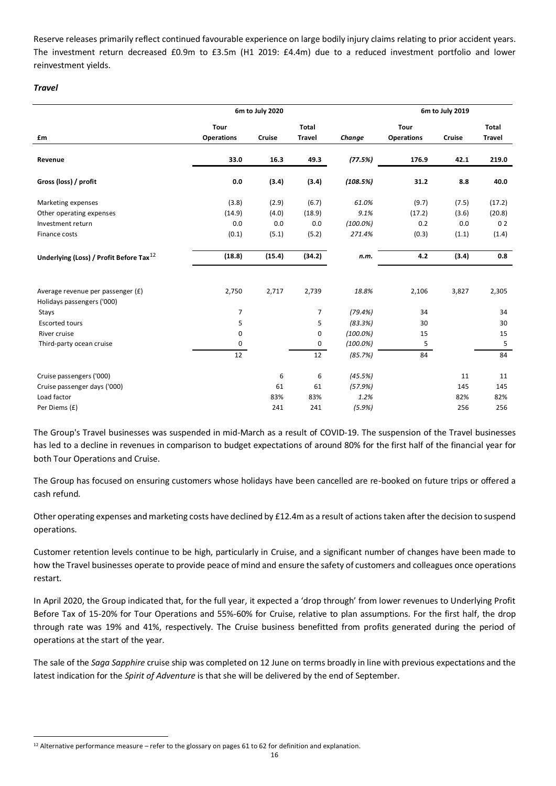Reserve releases primarily reflect continued favourable experience on large bodily injury claims relating to prior accident years. The investment return decreased £0.9m to £3.5m (H1 2019: £4.4m) due to a reduced investment portfolio and lower reinvestment yields.

### *Travel*

|                                                     | 6m to July 2020   |        |                | 6m to July 2019 |                   |        |                |
|-----------------------------------------------------|-------------------|--------|----------------|-----------------|-------------------|--------|----------------|
|                                                     | <b>Tour</b>       |        | <b>Total</b>   |                 | <b>Tour</b>       |        | <b>Total</b>   |
| £m                                                  | <b>Operations</b> | Cruise | <b>Travel</b>  | Change          | <b>Operations</b> | Cruise | <b>Travel</b>  |
| Revenue                                             | 33.0              | 16.3   | 49.3           | (77.5%)         | 176.9             | 42.1   | 219.0          |
| Gross (loss) / profit                               | 0.0               | (3.4)  | (3.4)          | (108.5%)        | 31.2              | 8.8    | 40.0           |
| Marketing expenses                                  | (3.8)             | (2.9)  | (6.7)          | 61.0%           | (9.7)             | (7.5)  | (17.2)         |
| Other operating expenses                            | (14.9)            | (4.0)  | (18.9)         | 9.1%            | (17.2)            | (3.6)  | (20.8)         |
| Investment return                                   | 0.0               | 0.0    | 0.0            | $(100.0\%)$     | 0.2               | 0.0    | 0 <sub>2</sub> |
| Finance costs                                       | (0.1)             | (5.1)  | (5.2)          | 271.4%          | (0.3)             | (1.1)  | (1.4)          |
| Underlying (Loss) / Profit Before Tax <sup>12</sup> | (18.8)            | (15.4) | (34.2)         | n.m.            | 4.2               | (3.4)  | 0.8            |
| Average revenue per passenger (£)                   | 2,750             | 2,717  | 2,739          | 18.8%           | 2,106             | 3,827  | 2,305          |
| Holidays passengers ('000)                          |                   |        |                |                 |                   |        |                |
| Stays                                               | 7                 |        | $\overline{7}$ | (79.4%)         | 34                |        | 34             |
| <b>Escorted tours</b>                               | 5                 |        | 5              | (83.3%)         | 30                |        | 30             |
| River cruise                                        | 0                 |        | 0              | $(100.0\%)$     | 15                |        | 15             |
| Third-party ocean cruise                            | 0                 |        | 0              | $(100.0\%)$     | 5                 |        | 5              |
|                                                     | 12                |        | 12             | (85.7%)         | 84                |        | 84             |
| Cruise passengers ('000)                            |                   | 6      | 6              | (45.5%)         |                   | 11     | 11             |
| Cruise passenger days ('000)                        |                   | 61     | 61             | (57.9%)         |                   | 145    | 145            |
| Load factor                                         |                   | 83%    | 83%            | 1.2%            |                   | 82%    | 82%            |
| Per Diems (£)                                       |                   | 241    | 241            | (5.9%)          |                   | 256    | 256            |

The Group's Travel businesses was suspended in mid-March as a result of COVID-19. The suspension of the Travel businesses has led to a decline in revenues in comparison to budget expectations of around 80% for the first half of the financial year for both Tour Operations and Cruise.

The Group has focused on ensuring customers whose holidays have been cancelled are re-booked on future trips or offered a cash refund.

Other operating expenses and marketing costs have declined by £12.4m as a result of actions taken after the decision to suspend operations.

Customer retention levels continue to be high, particularly in Cruise, and a significant number of changes have been made to how the Travel businesses operate to provide peace of mind and ensure the safety of customers and colleagues once operations restart.

In April 2020, the Group indicated that, for the full year, it expected a 'drop through' from lower revenues to Underlying Profit Before Tax of 15-20% for Tour Operations and 55%-60% for Cruise, relative to plan assumptions. For the first half, the drop through rate was 19% and 41%, respectively. The Cruise business benefitted from profits generated during the period of operations at the start of the year.

The sale of the *Saga Sapphire* cruise ship was completed on 12 June on terms broadly in line with previous expectations and the latest indication for the *Spirit of Adventure* is that she will be delivered by the end of September.

<sup>12</sup> Alternative performance measure – refer to the glossary on pages 61 to 62 for definition and explanation.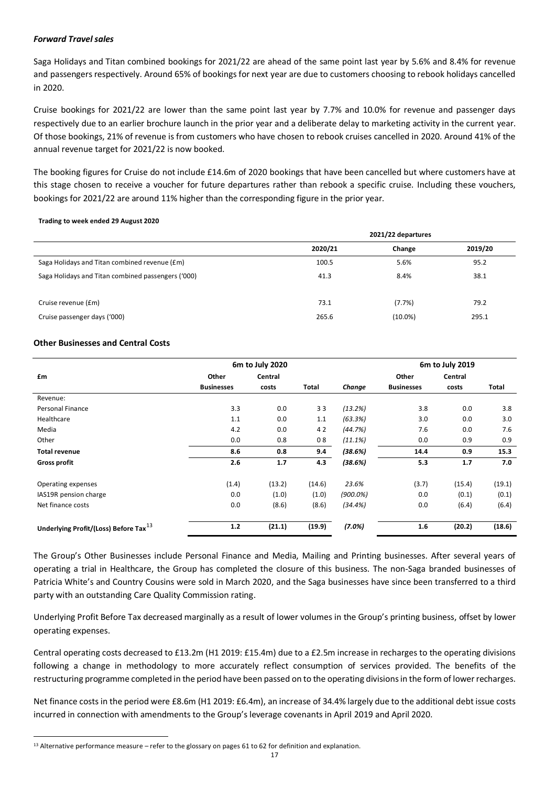#### *Forward Travel sales*

Saga Holidays and Titan combined bookings for 2021/22 are ahead of the same point last year by 5.6% and 8.4% for revenue and passengers respectively. Around 65% of bookings for next year are due to customers choosing to rebook holidays cancelled in 2020.

Cruise bookings for 2021/22 are lower than the same point last year by 7.7% and 10.0% for revenue and passenger days respectively due to an earlier brochure launch in the prior year and a deliberate delay to marketing activity in the current year. Of those bookings, 21% of revenue is from customers who have chosen to rebook cruises cancelled in 2020. Around 41% of the annual revenue target for 2021/22 is now booked.

The booking figures for Cruise do not include £14.6m of 2020 bookings that have been cancelled but where customers have at this stage chosen to receive a voucher for future departures rather than rebook a specific cruise. Including these vouchers, bookings for 2021/22 are around 11% higher than the corresponding figure in the prior year.

#### **Trading to week ended 29 August 2020**

| 2021/22 departures |            |         |  |  |
|--------------------|------------|---------|--|--|
| 2020/21            | Change     | 2019/20 |  |  |
| 100.5              | 5.6%       | 95.2    |  |  |
| 41.3               | 8.4%       |         |  |  |
|                    |            |         |  |  |
| 73.1               | (7.7%)     | 79.2    |  |  |
| 265.6              | $(10.0\%)$ | 295.1   |  |  |
|                    |            |         |  |  |

#### **Other Businesses and Central Costs**

|                                                   |                   | 6m to July 2020 |              |             |                   | 6m to July 2019 |        |
|---------------------------------------------------|-------------------|-----------------|--------------|-------------|-------------------|-----------------|--------|
| £m                                                | Other             | Central         |              |             | Other             | Central         |        |
|                                                   | <b>Businesses</b> | costs           | <b>Total</b> | Change      | <b>Businesses</b> | costs           | Total  |
| Revenue:                                          |                   |                 |              |             |                   |                 |        |
| Personal Finance                                  | 3.3               | 0.0             | 33           | (13.2%)     | 3.8               | 0.0             | 3.8    |
| Healthcare                                        | 1.1               | 0.0             | 1.1          | (63.3%)     | 3.0               | 0.0             | 3.0    |
| Media                                             | 4.2               | 0.0             | 42           | (44.7%)     | 7.6               | 0.0             | 7.6    |
| Other                                             | 0.0               | 0.8             | 08           | (11.1%)     | 0.0               | 0.9             | 0.9    |
| <b>Total revenue</b>                              | 8.6               | 0.8             | 9.4          | (38.6%)     | 14.4              | 0.9             | 15.3   |
| <b>Gross profit</b>                               | 2.6               | 1.7             | 4.3          | (38.6%)     | 5.3               | 1.7             | 7.0    |
| Operating expenses                                | (1.4)             | (13.2)          | (14.6)       | 23.6%       | (3.7)             | (15.4)          | (19.1) |
| IAS19R pension charge                             | 0.0               | (1.0)           | (1.0)        | $(900.0\%)$ | 0.0               | (0.1)           | (0.1)  |
| Net finance costs                                 | 0.0               | (8.6)           | (8.6)        | (34.4%)     | 0.0               | (6.4)           | (6.4)  |
| Underlying Profit/(Loss) Before Tax <sup>13</sup> | $1.2$             | (21.1)          | (19.9)       | (7.0%)      | 1.6               | (20.2)          | (18.6) |

The Group's Other Businesses include Personal Finance and Media, Mailing and Printing businesses. After several years of operating a trial in Healthcare, the Group has completed the closure of this business. The non-Saga branded businesses of Patricia White's and Country Cousins were sold in March 2020, and the Saga businesses have since been transferred to a third party with an outstanding Care Quality Commission rating.

Underlying Profit Before Tax decreased marginally as a result of lower volumes in the Group's printing business, offset by lower operating expenses.

Central operating costs decreased to £13.2m (H1 2019: £15.4m) due to a £2.5m increase in recharges to the operating divisions following a change in methodology to more accurately reflect consumption of services provided. The benefits of the restructuring programme completed in the period have been passed on to the operating divisions in the form of lower recharges.

Net finance costs in the period were £8.6m (H1 2019: £6.4m), an increase of 34.4% largely due to the additional debt issue costs incurred in connection with amendments to the Group's leverage covenants in April 2019 and April 2020.

<sup>13</sup> Alternative performance measure – refer to the glossary on pages 61 to 62 for definition and explanation.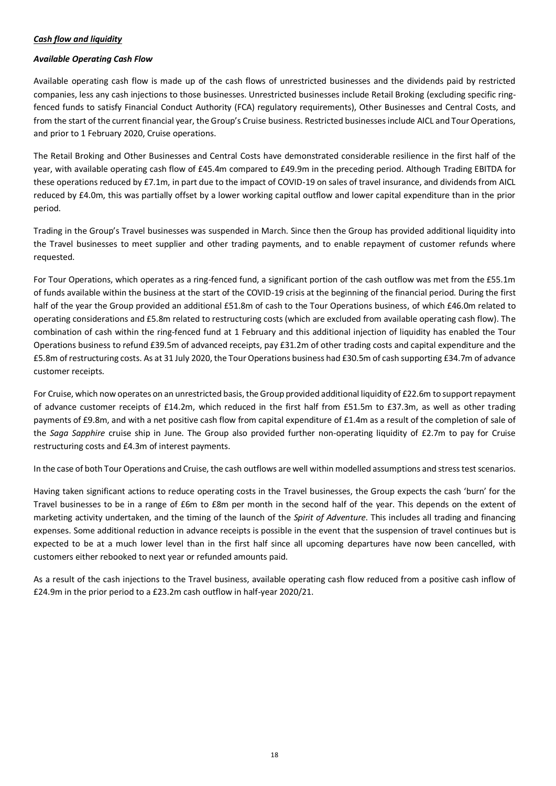### *Cash flow and liquidity*

#### *Available Operating Cash Flow*

Available operating cash flow is made up of the cash flows of unrestricted businesses and the dividends paid by restricted companies, less any cash injections to those businesses. Unrestricted businesses include Retail Broking (excluding specific ringfenced funds to satisfy Financial Conduct Authority (FCA) regulatory requirements), Other Businesses and Central Costs, and from the start of the current financial year, the Group's Cruise business. Restricted businesses include AICL and Tour Operations, and prior to 1 February 2020, Cruise operations.

The Retail Broking and Other Businesses and Central Costs have demonstrated considerable resilience in the first half of the year, with available operating cash flow of £45.4m compared to £49.9m in the preceding period. Although Trading EBITDA for these operations reduced by £7.1m, in part due to the impact of COVID-19 on sales of travel insurance, and dividends from AICL reduced by £4.0m, this was partially offset by a lower working capital outflow and lower capital expenditure than in the prior period.

Trading in the Group's Travel businesses was suspended in March. Since then the Group has provided additional liquidity into the Travel businesses to meet supplier and other trading payments, and to enable repayment of customer refunds where requested.

For Tour Operations, which operates as a ring-fenced fund, a significant portion of the cash outflow was met from the £55.1m of funds available within the business at the start of the COVID-19 crisis at the beginning of the financial period. During the first half of the year the Group provided an additional £51.8m of cash to the Tour Operations business, of which £46.0m related to operating considerations and £5.8m related to restructuring costs (which are excluded from available operating cash flow). The combination of cash within the ring-fenced fund at 1 February and this additional injection of liquidity has enabled the Tour Operations business to refund £39.5m of advanced receipts, pay £31.2m of other trading costs and capital expenditure and the £5.8m of restructuring costs. As at 31 July 2020, the Tour Operations business had £30.5m of cash supporting £34.7m of advance customer receipts.

For Cruise, which now operates on an unrestricted basis, the Group provided additional liquidity of £22.6m to support repayment of advance customer receipts of £14.2m, which reduced in the first half from £51.5m to £37.3m, as well as other trading payments of £9.8m, and with a net positive cash flow from capital expenditure of £1.4m as a result of the completion of sale of the *Saga Sapphire* cruise ship in June. The Group also provided further non-operating liquidity of £2.7m to pay for Cruise restructuring costs and £4.3m of interest payments.

In the case of both Tour Operations and Cruise, the cash outflows are well within modelled assumptions and stress test scenarios.

Having taken significant actions to reduce operating costs in the Travel businesses, the Group expects the cash 'burn' for the Travel businesses to be in a range of £6m to £8m per month in the second half of the year. This depends on the extent of marketing activity undertaken, and the timing of the launch of the *Spirit of Adventure*. This includes all trading and financing expenses. Some additional reduction in advance receipts is possible in the event that the suspension of travel continues but is expected to be at a much lower level than in the first half since all upcoming departures have now been cancelled, with customers either rebooked to next year or refunded amounts paid.

As a result of the cash injections to the Travel business, available operating cash flow reduced from a positive cash inflow of £24.9m in the prior period to a £23.2m cash outflow in half-year 2020/21.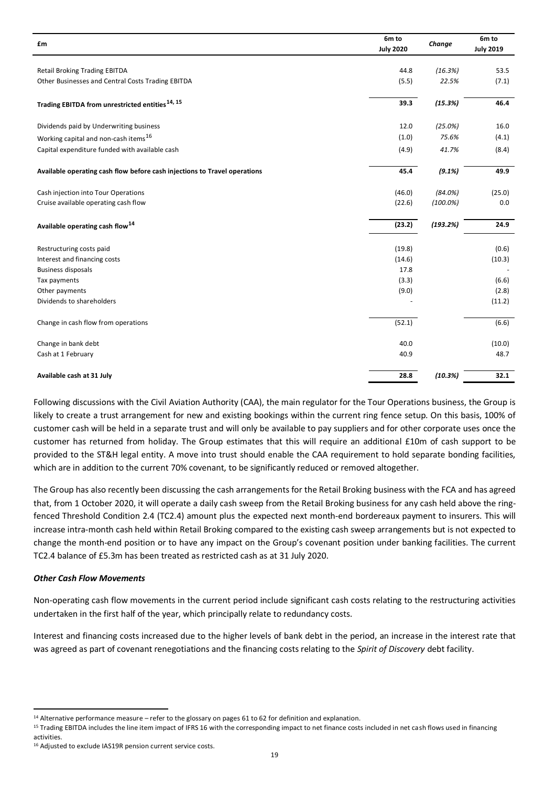| £m                                                                        | 6m to            | Change      | 6m to            |
|---------------------------------------------------------------------------|------------------|-------------|------------------|
|                                                                           | <b>July 2020</b> |             | <b>July 2019</b> |
| <b>Retail Broking Trading EBITDA</b>                                      | 44.8             | (16.3%)     | 53.5             |
|                                                                           |                  |             |                  |
| Other Businesses and Central Costs Trading EBITDA                         | (5.5)            | 22.5%       | (7.1)            |
| Trading EBITDA from unrestricted entities <sup>14, 15</sup>               | 39.3             | (15.3%)     | 46.4             |
| Dividends paid by Underwriting business                                   | 12.0             | (25.0%)     | 16.0             |
| Working capital and non-cash items <sup>16</sup>                          | (1.0)            | 75.6%       | (4.1)            |
| Capital expenditure funded with available cash                            | (4.9)            | 41.7%       | (8.4)            |
| Available operating cash flow before cash injections to Travel operations | 45.4             | (9.1%)      | 49.9             |
| Cash injection into Tour Operations                                       | (46.0)           | (84.0%)     | (25.0)           |
| Cruise available operating cash flow                                      | (22.6)           | $(100.0\%)$ | 0.0              |
| Available operating cash flow <sup>14</sup>                               | (23.2)           | (193.2%)    | 24.9             |
| Restructuring costs paid                                                  | (19.8)           |             | (0.6)            |
| Interest and financing costs                                              | (14.6)           |             | (10.3)           |
| <b>Business disposals</b>                                                 | 17.8             |             |                  |
| Tax payments                                                              | (3.3)            |             | (6.6)            |
| Other payments                                                            | (9.0)            |             | (2.8)            |
| Dividends to shareholders                                                 |                  |             | (11.2)           |
| Change in cash flow from operations                                       | (52.1)           |             | (6.6)            |
| Change in bank debt                                                       | 40.0             |             | (10.0)           |
| Cash at 1 February                                                        | 40.9             |             | 48.7             |
| Available cash at 31 July                                                 | 28.8             | (10.3%)     | 32.1             |

Following discussions with the Civil Aviation Authority (CAA), the main regulator for the Tour Operations business, the Group is likely to create a trust arrangement for new and existing bookings within the current ring fence setup. On this basis, 100% of customer cash will be held in a separate trust and will only be available to pay suppliers and for other corporate uses once the customer has returned from holiday. The Group estimates that this will require an additional £10m of cash support to be provided to the ST&H legal entity. A move into trust should enable the CAA requirement to hold separate bonding facilities, which are in addition to the current 70% covenant, to be significantly reduced or removed altogether.

The Group has also recently been discussing the cash arrangements for the Retail Broking business with the FCA and has agreed that, from 1 October 2020, it will operate a daily cash sweep from the Retail Broking business for any cash held above the ringfenced Threshold Condition 2.4 (TC2.4) amount plus the expected next month-end bordereaux payment to insurers. This will increase intra-month cash held within Retail Broking compared to the existing cash sweep arrangements but is not expected to change the month-end position or to have any impact on the Group's covenant position under banking facilities. The current TC2.4 balance of £5.3m has been treated as restricted cash as at 31 July 2020.

#### *Other Cash Flow Movements*

Non-operating cash flow movements in the current period include significant cash costs relating to the restructuring activities undertaken in the first half of the year, which principally relate to redundancy costs.

Interest and financing costs increased due to the higher levels of bank debt in the period, an increase in the interest rate that was agreed as part of covenant renegotiations and the financing costs relating to the *Spirit of Discovery* debt facility.

<sup>14</sup> Alternative performance measure – refer to the glossary on pages 61 to 62 for definition and explanation.

<sup>&</sup>lt;sup>15</sup> Trading EBITDA includes the line item impact of IFRS 16 with the corresponding impact to net finance costs included in net cash flows used in financing activities.

<sup>&</sup>lt;sup>16</sup> Adjusted to exclude IAS19R pension current service costs.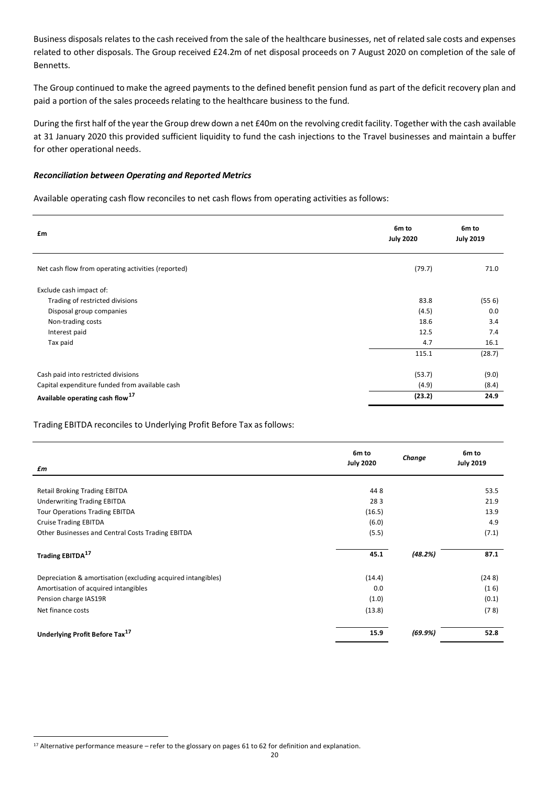Business disposals relates to the cash received from the sale of the healthcare businesses, net of related sale costs and expenses related to other disposals. The Group received £24.2m of net disposal proceeds on 7 August 2020 on completion of the sale of Bennetts.

The Group continued to make the agreed payments to the defined benefit pension fund as part of the deficit recovery plan and paid a portion of the sales proceeds relating to the healthcare business to the fund.

During the first half of the year the Group drew down a net £40m on the revolving credit facility. Together with the cash available at 31 January 2020 this provided sufficient liquidity to fund the cash injections to the Travel businesses and maintain a buffer for other operational needs.

#### *Reconciliation between Operating and Reported Metrics*

Available operating cash flow reconciles to net cash flows from operating activities as follows:

| £m                                                 | 6m to<br><b>July 2020</b> | 6m to<br><b>July 2019</b> |
|----------------------------------------------------|---------------------------|---------------------------|
| Net cash flow from operating activities (reported) | (79.7)                    | 71.0                      |
| Exclude cash impact of:                            |                           |                           |
| Trading of restricted divisions                    | 83.8                      | (556)                     |
| Disposal group companies                           | (4.5)                     | 0.0                       |
| Non-trading costs                                  | 18.6                      | 3.4                       |
| Interest paid                                      | 12.5                      | 7.4                       |
| Tax paid                                           | 4.7                       | 16.1                      |
|                                                    | 115.1                     | (28.7)                    |
| Cash paid into restricted divisions                | (53.7)                    | (9.0)                     |
| Capital expenditure funded from available cash     | (4.9)                     | (8.4)                     |
| Available operating cash flow <sup>17</sup>        | (23.2)                    | 24.9                      |

Trading EBITDA reconciles to Underlying Profit Before Tax as follows:

| £m                                                           | 6m to<br><b>July 2020</b> | Change  | 6m to<br><b>July 2019</b> |
|--------------------------------------------------------------|---------------------------|---------|---------------------------|
|                                                              |                           |         |                           |
| <b>Retail Broking Trading EBITDA</b>                         | 448                       |         | 53.5                      |
| <b>Underwriting Trading EBITDA</b>                           | 283                       |         | 21.9                      |
| <b>Tour Operations Trading EBITDA</b>                        | (16.5)                    |         | 13.9                      |
| <b>Cruise Trading EBITDA</b>                                 | (6.0)                     |         | 4.9                       |
| Other Businesses and Central Costs Trading EBITDA            | (5.5)                     |         | (7.1)                     |
| Trading EBITDA <sup>17</sup>                                 | 45.1                      | (48.2%) | 87.1                      |
| Depreciation & amortisation (excluding acquired intangibles) | (14.4)                    |         | (248)                     |
| Amortisation of acquired intangibles                         | 0.0                       |         | (16)                      |
| Pension charge IAS19R                                        | (1.0)                     |         | (0.1)                     |
| Net finance costs                                            | (13.8)                    |         | (78)                      |
| Underlying Profit Before Tax <sup>17</sup>                   | 15.9                      | (69.9%) | 52.8                      |

<sup>17</sup> Alternative performance measure – refer to the glossary on pages 61 to 62 for definition and explanation.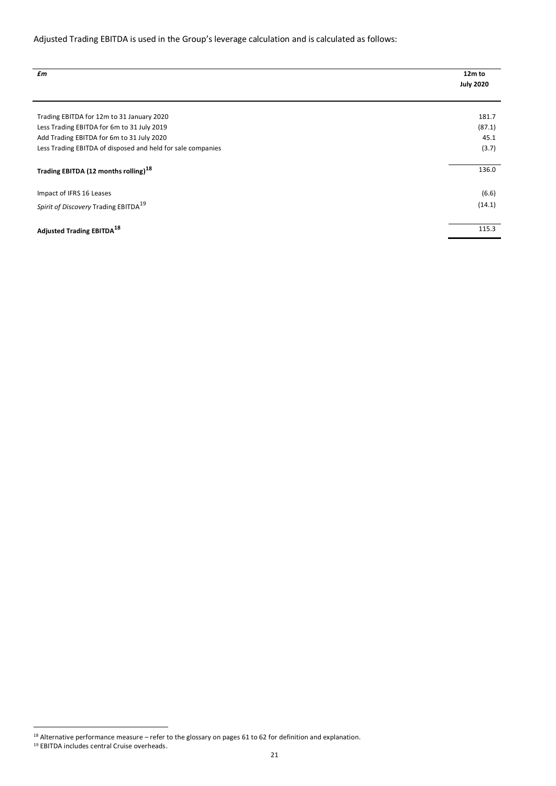## Adjusted Trading EBITDA is used in the Group's leverage calculation and is calculated as follows:

| £m                                                          | 12m to<br><b>July 2020</b> |
|-------------------------------------------------------------|----------------------------|
| Trading EBITDA for 12m to 31 January 2020                   | 181.7                      |
| Less Trading EBITDA for 6m to 31 July 2019                  | (87.1)                     |
| Add Trading EBITDA for 6m to 31 July 2020                   | 45.1                       |
| Less Trading EBITDA of disposed and held for sale companies | (3.7)                      |
| Trading EBITDA (12 months rolling) <sup>18</sup>            | 136.0                      |
| Impact of IFRS 16 Leases                                    | (6.6)                      |
| Spirit of Discovery Trading EBITDA <sup>19</sup>            | (14.1)                     |
| <b>Adjusted Trading EBITDA<sup>18</sup></b>                 | 115.3                      |

<sup>18</sup> Alternative performance measure – refer to the glossary on pages 61 to 62 for definition and explanation.

<sup>19</sup> EBITDA includes central Cruise overheads.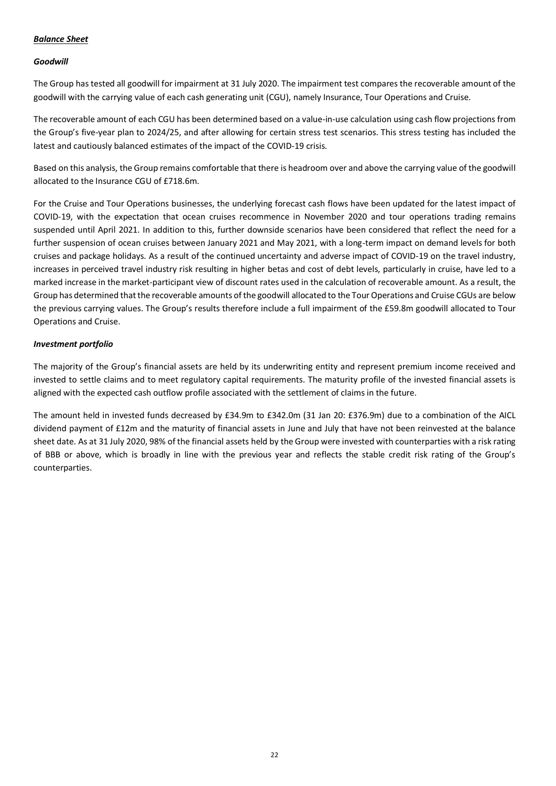## *Balance Sheet*

## *Goodwill*

The Group has tested all goodwill for impairment at 31 July 2020. The impairment test compares the recoverable amount of the goodwill with the carrying value of each cash generating unit (CGU), namely Insurance, Tour Operations and Cruise.

The recoverable amount of each CGU has been determined based on a value-in-use calculation using cash flow projections from the Group's five-year plan to 2024/25, and after allowing for certain stress test scenarios. This stress testing has included the latest and cautiously balanced estimates of the impact of the COVID-19 crisis.

Based on this analysis, the Group remains comfortable that there is headroom over and above the carrying value of the goodwill allocated to the Insurance CGU of £718.6m.

For the Cruise and Tour Operations businesses, the underlying forecast cash flows have been updated for the latest impact of COVID-19, with the expectation that ocean cruises recommence in November 2020 and tour operations trading remains suspended until April 2021. In addition to this, further downside scenarios have been considered that reflect the need for a further suspension of ocean cruises between January 2021 and May 2021, with a long-term impact on demand levels for both cruises and package holidays. As a result of the continued uncertainty and adverse impact of COVID-19 on the travel industry, increases in perceived travel industry risk resulting in higher betas and cost of debt levels, particularly in cruise, have led to a marked increase in the market-participant view of discount rates used in the calculation of recoverable amount. As a result, the Group has determined that the recoverable amounts of the goodwill allocated to the Tour Operations and Cruise CGUs are below the previous carrying values. The Group's results therefore include a full impairment of the £59.8m goodwill allocated to Tour Operations and Cruise.

## *Investment portfolio*

The majority of the Group's financial assets are held by its underwriting entity and represent premium income received and invested to settle claims and to meet regulatory capital requirements. The maturity profile of the invested financial assets is aligned with the expected cash outflow profile associated with the settlement of claims in the future.

The amount held in invested funds decreased by £34.9m to £342.0m (31 Jan 20: £376.9m) due to a combination of the AICL dividend payment of £12m and the maturity of financial assets in June and July that have not been reinvested at the balance sheet date. As at 31 July 2020, 98% of the financial assets held by the Group were invested with counterparties with a risk rating of BBB or above, which is broadly in line with the previous year and reflects the stable credit risk rating of the Group's counterparties.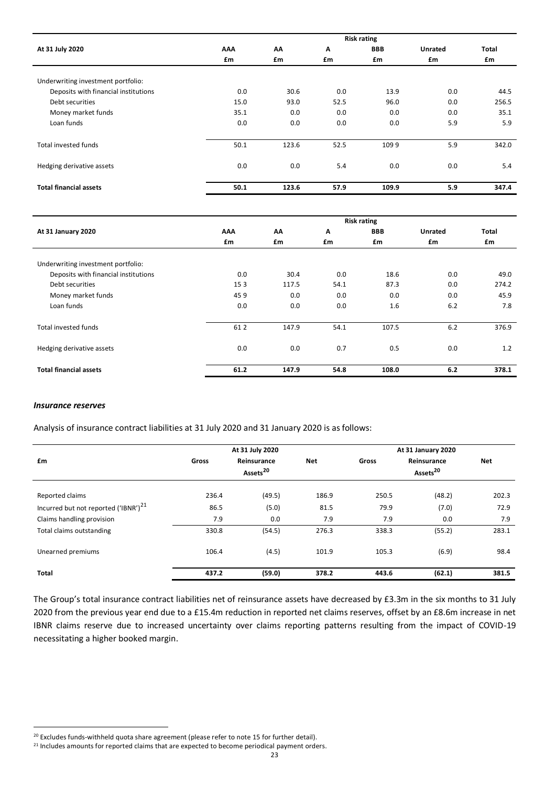|                                      | <b>Risk rating</b> |       |      |            |                |              |
|--------------------------------------|--------------------|-------|------|------------|----------------|--------------|
| At 31 July 2020                      | AAA                | AΛ    | A    | <b>BBB</b> | <b>Unrated</b> | <b>Total</b> |
|                                      | £m                 | £m    | £m   | £m         | £m             | £m           |
|                                      |                    |       |      |            |                |              |
| Underwriting investment portfolio:   |                    |       |      |            |                |              |
| Deposits with financial institutions | 0.0                | 30.6  | 0.0  | 13.9       | 0.0            | 44.5         |
| Debt securities                      | 15.0               | 93.0  | 52.5 | 96.0       | 0.0            | 256.5        |
| Money market funds                   | 35.1               | 0.0   | 0.0  | 0.0        | 0.0            | 35.1         |
| Loan funds                           | 0.0                | 0.0   | 0.0  | 0.0        | 5.9            | 5.9          |
|                                      |                    |       |      |            |                |              |
| <b>Total invested funds</b>          | 50.1               | 123.6 | 52.5 | 1099       | 5.9            | 342.0        |
|                                      |                    |       |      |            |                |              |
| Hedging derivative assets            | 0.0                | 0.0   | 5.4  | 0.0        | 0.0            | 5.4          |
|                                      |                    |       |      |            |                |              |
| <b>Total financial assets</b>        | 50.1               | 123.6 | 57.9 | 109.9      | 5.9            | 347.4        |
|                                      |                    |       |      |            |                |              |

|                                      | <b>Risk rating</b> |       |      |            |                |              |  |
|--------------------------------------|--------------------|-------|------|------------|----------------|--------------|--|
| At 31 January 2020                   | AAA                | AΛ    | A    | <b>BBB</b> | <b>Unrated</b> | <b>Total</b> |  |
|                                      | £m                 | £m    | £m   | £m         | £m             | £m           |  |
|                                      |                    |       |      |            |                |              |  |
| Underwriting investment portfolio:   |                    |       |      |            |                |              |  |
| Deposits with financial institutions | 0.0                | 30.4  | 0.0  | 18.6       | 0.0            | 49.0         |  |
| Debt securities                      | 153                | 117.5 | 54.1 | 87.3       | 0.0            | 274.2        |  |
| Money market funds                   | 459                | 0.0   | 0.0  | 0.0        | 0.0            | 45.9         |  |
| Loan funds                           | 0.0                | 0.0   | 0.0  | 1.6        | 6.2            | 7.8          |  |
|                                      |                    |       |      |            |                |              |  |
| Total invested funds                 | 61 2               | 147.9 | 54.1 | 107.5      | 6.2            | 376.9        |  |
| Hedging derivative assets            | 0.0                | 0.0   | 0.7  | 0.5        | 0.0            | 1.2          |  |
| <b>Total financial assets</b>        | 61.2               | 147.9 | 54.8 | 108.0      | 6.2            | 378.1        |  |

#### *Insurance reserves*

Analysis of insurance contract liabilities at 31 July 2020 and 31 January 2020 is as follows:

<span id="page-22-0"></span>

| At 31 July 2020                                  |       |                                     | At 31 January 2020 |       |                                     |       |
|--------------------------------------------------|-------|-------------------------------------|--------------------|-------|-------------------------------------|-------|
| £m                                               | Gross | Reinsurance<br>Assets <sup>20</sup> | Net                | Gross | Reinsurance<br>Assets <sup>20</sup> | Net   |
| Reported claims                                  | 236.4 | (49.5)                              | 186.9              | 250.5 | (48.2)                              | 202.3 |
| Incurred but not reported ('IBNR') <sup>21</sup> | 86.5  | (5.0)                               | 81.5               | 79.9  | (7.0)                               | 72.9  |
| Claims handling provision                        | 7.9   | 0.0                                 | 7.9                | 7.9   | 0.0                                 | 7.9   |
| Total claims outstanding                         | 330.8 | (54.5)                              | 276.3              | 338.3 | (55.2)                              | 283.1 |
| Unearned premiums                                | 106.4 | (4.5)                               | 101.9              | 105.3 | (6.9)                               | 98.4  |
| <b>Total</b>                                     | 437.2 | (59.0)                              | 378.2              | 443.6 | (62.1)                              | 381.5 |

The Group's total insurance contract liabilities net of reinsurance assets have decreased by £3.3m in the six months to 31 July 2020 from the previous year end due to a £15.4m reduction in reported net claims reserves, offset by an £8.6m increase in net IBNR claims reserve due to increased uncertainty over claims reporting patterns resulting from the impact of COVID-19 necessitating a higher booked margin.

<sup>&</sup>lt;sup>20</sup> Excludes funds-withheld quota share agreement (please refer to note 15 for further detail).

<sup>&</sup>lt;sup>21</sup> Includes amounts for reported claims that are expected to become periodical payment orders.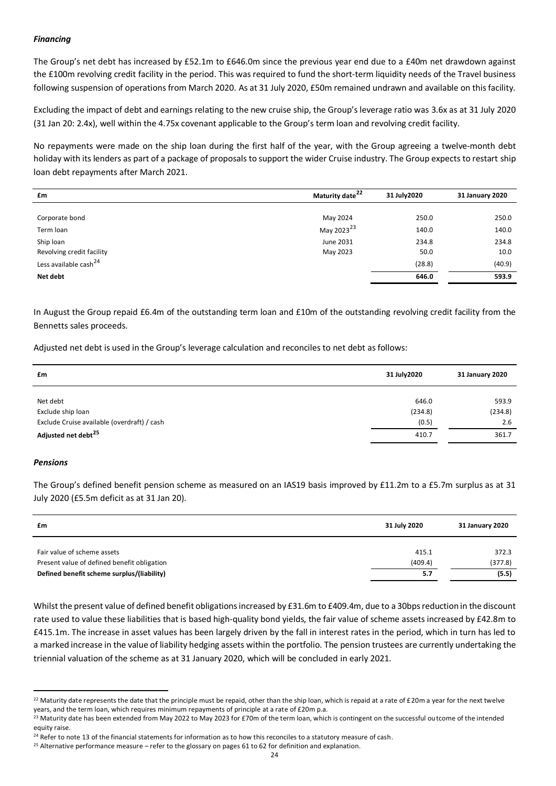#### *Financing*

The Group's net debt has increased by £52.1m to £646.0m since the previous year end due to a £40m net drawdown against the £100m revolving credit facility in the period. This was required to fund the short-term liquidity needs of the Travel business following suspension of operations from March 2020. As at 31 July 2020, £50m remained undrawn and available on this facility.

Excluding the impact of debt and earnings relating to the new cruise ship, the Group's leverage ratio was 3.6x as at 31 July 2020 (31 Jan 20: 2.4x), well within the 4.75x covenant applicable to the Group's term loan and revolving credit facility.

No repayments were made on the ship loan during the first half of the year, with the Group agreeing a twelve-month debt holiday with its lenders as part of a package of proposals to support the wider Cruise industry. The Group expects to restart ship loan debt repayments after March 2021.

| £m                                | Maturity date <sup>22</sup> | 31 July 2020 | 31 January 2020 |
|-----------------------------------|-----------------------------|--------------|-----------------|
|                                   |                             |              |                 |
| Corporate bond                    | May 2024                    | 250.0        | 250.0           |
| Term loan                         | May 2023 <sup>23</sup>      | 140.0        | 140.0           |
| Ship loan                         | June 2031                   | 234.8        | 234.8           |
| Revolving credit facility         | May 2023                    | 50.0         | 10.0            |
| Less available cash <sup>24</sup> |                             | (28.8)       | (40.9)          |
| Net debt                          |                             | 646.0        | 593.9           |
|                                   |                             |              |                 |

In August the Group repaid £6.4m of the outstanding term loan and £10m of the outstanding revolving credit facility from the Bennetts sales proceeds.

Adjusted net debt is used in the Group's leverage calculation and reconciles to net debt as follows:

| £m                                          | 31 July 2020 | 31 January 2020 |
|---------------------------------------------|--------------|-----------------|
|                                             |              |                 |
| Net debt                                    | 646.0        | 593.9           |
| Exclude ship loan                           | (234.8)      | (234.8)         |
| Exclude Cruise available (overdraft) / cash | (0.5)        | 2.6             |
| Adjusted net debt <sup>25</sup>             | 410.7        | 361.7           |

#### *Pensions*

The Group's defined benefit pension scheme as measured on an IAS19 basis improved by £11.2m to a £5.7m surplus as at 31 July 2020 (£5.5m deficit as at 31 Jan 20).

| £m                                          | 31 July 2020 | 31 January 2020 |
|---------------------------------------------|--------------|-----------------|
|                                             |              |                 |
| Fair value of scheme assets                 | 415.1        | 372.3           |
| Present value of defined benefit obligation | (409.4)      | (377.8)         |
| Defined benefit scheme surplus/(liability)  | 5.7          | (5.5)           |

Whilst the present value of defined benefit obligations increased by £31.6m to £409.4m, due to a 30bps reduction in the discount rate used to value these liabilities that is based high-quality bond yields, the fair value of scheme assets increased by £42.8m to £415.1m. The increase in asset values has been largely driven by the fall in interest rates in the period, which in turn has led to a marked increase in the value of liability hedging assets within the portfolio. The pension trustees are currently undertaking the triennial valuation of the scheme as at 31 January 2020, which will be concluded in early 2021.

<sup>&</sup>lt;sup>22</sup> Maturity date represents the date that the principle must be repaid, other than the ship loan, which is repaid at a rate of £20m a year for the next twelve years, and the term loan, which requires minimum repayments of principle at a rate of £20m p.a.

<sup>&</sup>lt;sup>23</sup> Maturity date has been extended from May 2022 to May 2023 for £70m of the term loan, which is contingent on the successful outcome of the intended equity raise.

<sup>&</sup>lt;sup>24</sup> Refer to note 13 of the financial statements for information as to how this reconciles to a statutory measure of cash.

<sup>&</sup>lt;sup>25</sup> Alternative performance measure – refer to the glossary on pages 61 to 62 for definition and explanation.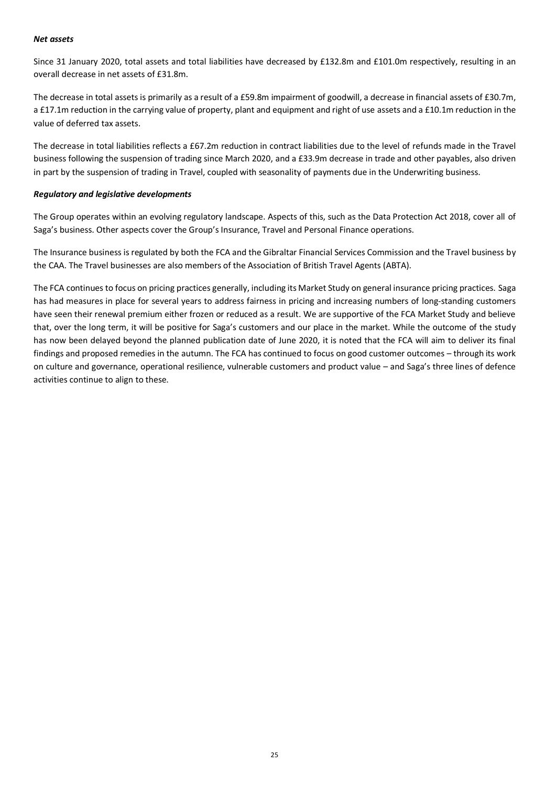#### *Net assets*

Since 31 January 2020, total assets and total liabilities have decreased by £132.8m and £101.0m respectively, resulting in an overall decrease in net assets of £31.8m.

The decrease in total assets is primarily as a result of a £59.8m impairment of goodwill, a decrease in financial assets of £30.7m, a £17.1m reduction in the carrying value of property, plant and equipment and right of use assets and a £10.1m reduction in the value of deferred tax assets.

The decrease in total liabilities reflects a £67.2m reduction in contract liabilities due to the level of refunds made in the Travel business following the suspension of trading since March 2020, and a £33.9m decrease in trade and other payables, also driven in part by the suspension of trading in Travel, coupled with seasonality of payments due in the Underwriting business.

#### *Regulatory and legislative developments*

The Group operates within an evolving regulatory landscape. Aspects of this, such as the Data Protection Act 2018, cover all of Saga's business. Other aspects cover the Group's Insurance, Travel and Personal Finance operations.

The Insurance business is regulated by both the FCA and the Gibraltar Financial Services Commission and the Travel business by the CAA. The Travel businesses are also members of the Association of British Travel Agents (ABTA).

The FCA continues to focus on pricing practices generally, including its Market Study on general insurance pricing practices. Saga has had measures in place for several years to address fairness in pricing and increasing numbers of long-standing customers have seen their renewal premium either frozen or reduced as a result. We are supportive of the FCA Market Study and believe that, over the long term, it will be positive for Saga's customers and our place in the market. While the outcome of the study has now been delayed beyond the planned publication date of June 2020, it is noted that the FCA will aim to deliver its final findings and proposed remedies in the autumn. The FCA has continued to focus on good customer outcomes – through its work on culture and governance, operational resilience, vulnerable customers and product value – and Saga's three lines of defence activities continue to align to these.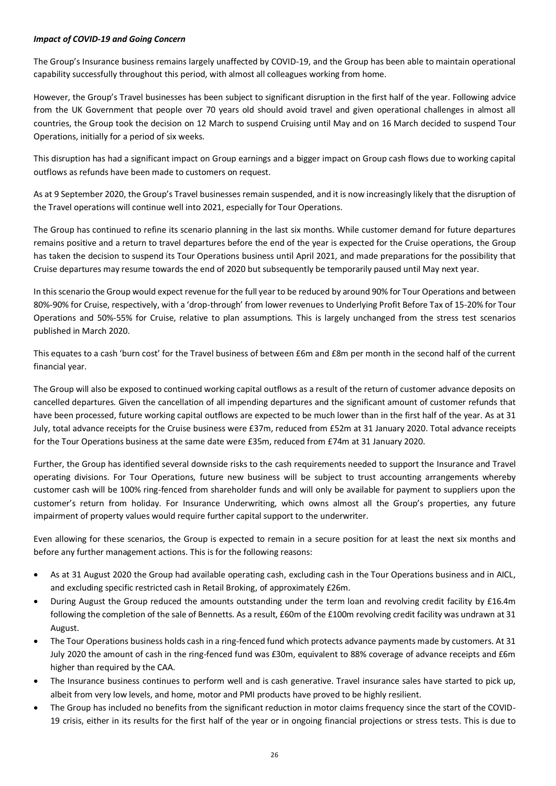#### *Impact of COVID-19 and Going Concern*

The Group's Insurance business remains largely unaffected by COVID-19, and the Group has been able to maintain operational capability successfully throughout this period, with almost all colleagues working from home.

However, the Group's Travel businesses has been subject to significant disruption in the first half of the year. Following advice from the UK Government that people over 70 years old should avoid travel and given operational challenges in almost all countries, the Group took the decision on 12 March to suspend Cruising until May and on 16 March decided to suspend Tour Operations, initially for a period of six weeks.

This disruption has had a significant impact on Group earnings and a bigger impact on Group cash flows due to working capital outflows as refunds have been made to customers on request.

As at 9 September 2020, the Group's Travel businesses remain suspended, and it is now increasingly likely that the disruption of the Travel operations will continue well into 2021, especially for Tour Operations.

The Group has continued to refine its scenario planning in the last six months. While customer demand for future departures remains positive and a return to travel departures before the end of the year is expected for the Cruise operations, the Group has taken the decision to suspend its Tour Operations business until April 2021, and made preparations for the possibility that Cruise departures may resume towards the end of 2020 but subsequently be temporarily paused until May next year.

In this scenario the Group would expect revenue for the full year to be reduced by around 90% for Tour Operations and between 80%-90% for Cruise, respectively, with a 'drop-through' from lower revenues to Underlying Profit Before Tax of 15-20% for Tour Operations and 50%-55% for Cruise, relative to plan assumptions. This is largely unchanged from the stress test scenarios published in March 2020.

This equates to a cash 'burn cost' for the Travel business of between £6m and £8m per month in the second half of the current financial year.

The Group will also be exposed to continued working capital outflows as a result of the return of customer advance deposits on cancelled departures. Given the cancellation of all impending departures and the significant amount of customer refunds that have been processed, future working capital outflows are expected to be much lower than in the first half of the year. As at 31 July, total advance receipts for the Cruise business were £37m, reduced from £52m at 31 January 2020. Total advance receipts for the Tour Operations business at the same date were £35m, reduced from £74m at 31 January 2020.

Further, the Group has identified several downside risks to the cash requirements needed to support the Insurance and Travel operating divisions. For Tour Operations, future new business will be subject to trust accounting arrangements whereby customer cash will be 100% ring-fenced from shareholder funds and will only be available for payment to suppliers upon the customer's return from holiday. For Insurance Underwriting, which owns almost all the Group's properties, any future impairment of property values would require further capital support to the underwriter.

Even allowing for these scenarios, the Group is expected to remain in a secure position for at least the next six months and before any further management actions. This is for the following reasons:

- As at 31 August 2020 the Group had available operating cash, excluding cash in the Tour Operations business and in AICL, and excluding specific restricted cash in Retail Broking, of approximately £26m.
- During August the Group reduced the amounts outstanding under the term loan and revolving credit facility by £16.4m following the completion of the sale of Bennetts. As a result, £60m of the £100m revolving credit facility was undrawn at 31 August.
- The Tour Operations business holds cash in a ring-fenced fund which protects advance payments made by customers. At 31 July 2020 the amount of cash in the ring-fenced fund was £30m, equivalent to 88% coverage of advance receipts and £6m higher than required by the CAA.
- The Insurance business continues to perform well and is cash generative. Travel insurance sales have started to pick up, albeit from very low levels, and home, motor and PMI products have proved to be highly resilient.
- The Group has included no benefits from the significant reduction in motor claims frequency since the start of the COVID-19 crisis, either in its results for the first half of the year or in ongoing financial projections or stress tests. This is due to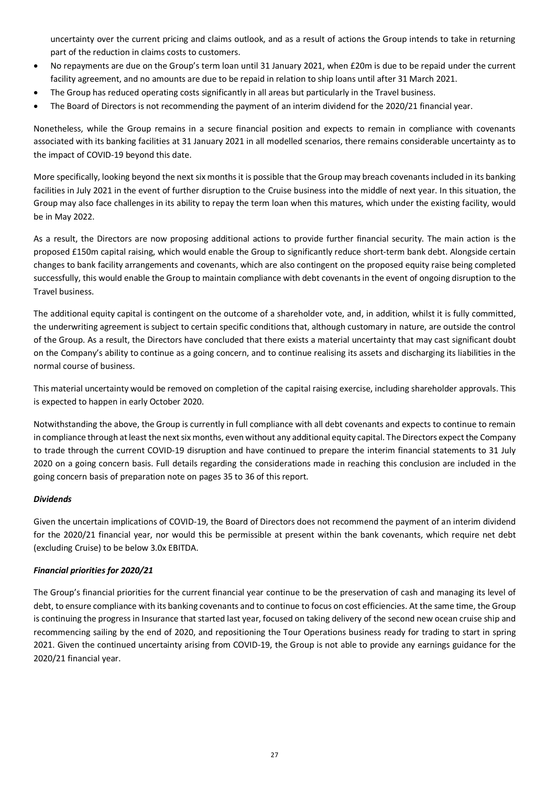uncertainty over the current pricing and claims outlook, and as a result of actions the Group intends to take in returning part of the reduction in claims costs to customers.

- No repayments are due on the Group's term loan until 31 January 2021, when £20m is due to be repaid under the current facility agreement, and no amounts are due to be repaid in relation to ship loans until after 31 March 2021.
- The Group has reduced operating costs significantly in all areas but particularly in the Travel business.
- The Board of Directors is not recommending the payment of an interim dividend for the 2020/21 financial year.

Nonetheless, while the Group remains in a secure financial position and expects to remain in compliance with covenants associated with its banking facilities at 31 January 2021 in all modelled scenarios, there remains considerable uncertainty as to the impact of COVID-19 beyond this date.

More specifically, looking beyond the next six months it is possible that the Group may breach covenants included in its banking facilities in July 2021 in the event of further disruption to the Cruise business into the middle of next year. In this situation, the Group may also face challenges in its ability to repay the term loan when this matures, which under the existing facility, would be in May 2022.

As a result, the Directors are now proposing additional actions to provide further financial security. The main action is the proposed £150m capital raising, which would enable the Group to significantly reduce short-term bank debt. Alongside certain changes to bank facility arrangements and covenants, which are also contingent on the proposed equity raise being completed successfully, this would enable the Group to maintain compliance with debt covenants in the event of ongoing disruption to the Travel business.

The additional equity capital is contingent on the outcome of a shareholder vote, and, in addition, whilst it is fully committed, the underwriting agreement is subject to certain specific conditions that, although customary in nature, are outside the control of the Group. As a result, the Directors have concluded that there exists a material uncertainty that may cast significant doubt on the Company's ability to continue as a going concern, and to continue realising its assets and discharging its liabilities in the normal course of business.

This material uncertainty would be removed on completion of the capital raising exercise, including shareholder approvals. This is expected to happen in early October 2020.

Notwithstanding the above, the Group is currently in full compliance with all debt covenants and expects to continue to remain in compliance through at least the next six months, even without any additional equity capital. The Directors expect the Company to trade through the current COVID-19 disruption and have continued to prepare the interim financial statements to 31 July 2020 on a going concern basis. Full details regarding the considerations made in reaching this conclusion are included in the going concern basis of preparation note on pages 35 to 36 of this report.

#### *Dividends*

Given the uncertain implications of COVID-19, the Board of Directors does not recommend the payment of an interim dividend for the 2020/21 financial year, nor would this be permissible at present within the bank covenants, which require net debt (excluding Cruise) to be below 3.0x EBITDA.

#### *Financial priorities for 2020/21*

The Group's financial priorities for the current financial year continue to be the preservation of cash and managing its level of debt, to ensure compliance with its banking covenants and to continue to focus on cost efficiencies. At the same time, the Group is continuing the progress in Insurance that started last year, focused on taking delivery of the second new ocean cruise ship and recommencing sailing by the end of 2020, and repositioning the Tour Operations business ready for trading to start in spring 2021. Given the continued uncertainty arising from COVID-19, the Group is not able to provide any earnings guidance for the 2020/21 financial year.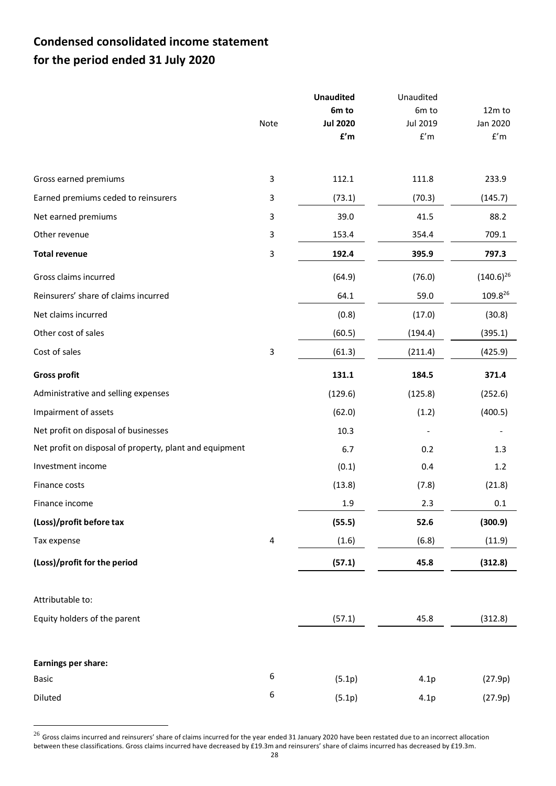# **Condensed consolidated income statement for the period ended 31 July 2020**

|                                                         |      | <b>Unaudited</b>        | Unaudited               |                         |
|---------------------------------------------------------|------|-------------------------|-------------------------|-------------------------|
|                                                         |      | 6m to                   | 6m to                   | 12m to                  |
|                                                         | Note | <b>Jul 2020</b>         | Jul 2019                | Jan 2020                |
|                                                         |      | $\mathbf{f}'\mathsf{m}$ | $\mathsf{f}'\mathsf{m}$ | $\mathsf{f}'\mathsf{m}$ |
| Gross earned premiums                                   | 3    | 112.1                   | 111.8                   | 233.9                   |
| Earned premiums ceded to reinsurers                     | 3    | (73.1)                  | (70.3)                  | (145.7)                 |
| Net earned premiums                                     | 3    | 39.0                    | 41.5                    | 88.2                    |
| Other revenue                                           | 3    | 153.4                   | 354.4                   | 709.1                   |
| <b>Total revenue</b>                                    | 3    | 192.4                   | 395.9                   | 797.3                   |
| Gross claims incurred                                   |      | (64.9)                  | (76.0)                  | $(140.6)^{26}$          |
| Reinsurers' share of claims incurred                    |      | 64.1                    | 59.0                    | 109.826                 |
| Net claims incurred                                     |      | (0.8)                   | (17.0)                  | (30.8)                  |
| Other cost of sales                                     |      | (60.5)                  | (194.4)                 | (395.1)                 |
| Cost of sales                                           | 3    | (61.3)                  | (211.4)                 | (425.9)                 |
| <b>Gross profit</b>                                     |      | 131.1                   | 184.5                   | 371.4                   |
| Administrative and selling expenses                     |      | (129.6)                 | (125.8)                 | (252.6)                 |
| Impairment of assets                                    |      | (62.0)                  | (1.2)                   | (400.5)                 |
| Net profit on disposal of businesses                    |      | 10.3                    |                         |                         |
| Net profit on disposal of property, plant and equipment |      | 6.7                     | 0.2                     | 1.3                     |
| Investment income                                       |      | (0.1)                   | 0.4                     | 1.2                     |
| Finance costs                                           |      | (13.8)                  | (7.8)                   | (21.8)                  |
| Finance income                                          |      | 1.9                     | 2.3                     | 0.1                     |
| (Loss)/profit before tax                                |      | (55.5)                  | 52.6                    | (300.9)                 |
| Tax expense                                             | 4    | (1.6)                   | (6.8)                   | (11.9)                  |
| (Loss)/profit for the period                            |      | (57.1)                  | 45.8                    | (312.8)                 |
| Attributable to:                                        |      |                         |                         |                         |
| Equity holders of the parent                            |      | (57.1)                  | 45.8                    | (312.8)                 |
| Earnings per share:                                     |      |                         |                         |                         |
| <b>Basic</b>                                            | 6    | (5.1p)                  | 4.1p                    | (27.9p)                 |
| Diluted                                                 | 6    | (5.1p)                  | 4.1p                    | (27.9p)                 |

 $^{26}$  Gross claims incurred and reinsurers' share of claims incurred for the year ended 31 January 2020 have been restated due to an incorrect allocation between these classifications. Gross claims incurred have decreased by £19.3m and reinsurers' share of claims incurred has decreased by £19.3m.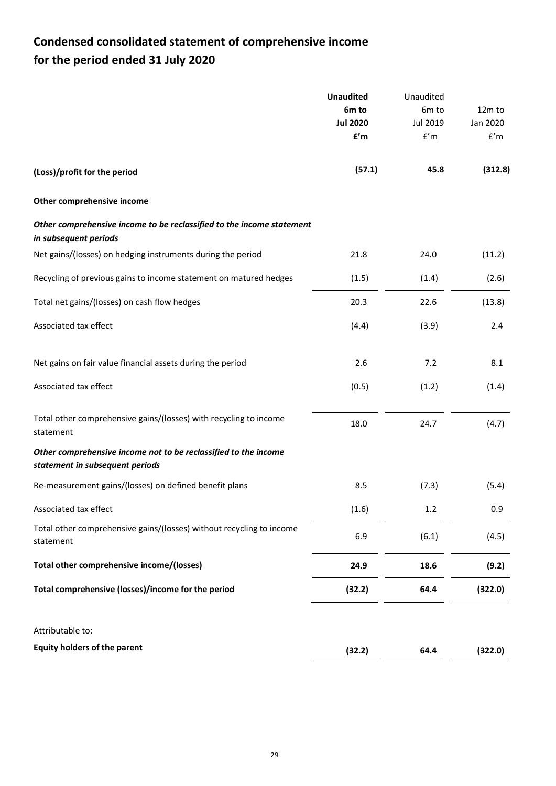# **Condensed consolidated statement of comprehensive income for the period ended 31 July 2020**

|                                                                                                    | <b>Unaudited</b> | Unaudited               |          |
|----------------------------------------------------------------------------------------------------|------------------|-------------------------|----------|
|                                                                                                    | 6m to            | 6m to                   | 12m to   |
|                                                                                                    | <b>Jul 2020</b>  | Jul 2019                | Jan 2020 |
|                                                                                                    | f'm              | $\mathsf{f}'\mathsf{m}$ | f'm      |
| (Loss)/profit for the period                                                                       | (57.1)           | 45.8                    | (312.8)  |
| Other comprehensive income                                                                         |                  |                         |          |
| Other comprehensive income to be reclassified to the income statement<br>in subsequent periods     |                  |                         |          |
| Net gains/(losses) on hedging instruments during the period                                        | 21.8             | 24.0                    | (11.2)   |
| Recycling of previous gains to income statement on matured hedges                                  | (1.5)            | (1.4)                   | (2.6)    |
| Total net gains/(losses) on cash flow hedges                                                       | 20.3             | 22.6                    | (13.8)   |
| Associated tax effect                                                                              | (4.4)            | (3.9)                   | 2.4      |
| Net gains on fair value financial assets during the period                                         | 2.6              | 7.2                     | 8.1      |
| Associated tax effect                                                                              | (0.5)            | (1.2)                   | (1.4)    |
| Total other comprehensive gains/(losses) with recycling to income<br>statement                     | 18.0             | 24.7                    | (4.7)    |
| Other comprehensive income not to be reclassified to the income<br>statement in subsequent periods |                  |                         |          |
| Re-measurement gains/(losses) on defined benefit plans                                             | 8.5              | (7.3)                   | (5.4)    |
| Associated tax effect                                                                              | (1.6)            | 1.2                     | 0.9      |
| Total other comprehensive gains/(losses) without recycling to income<br>statement                  | 6.9              | (6.1)                   | (4.5)    |
| Total other comprehensive income/(losses)                                                          | 24.9             | 18.6                    | (9.2)    |
| Total comprehensive (losses)/income for the period                                                 | (32.2)           | 64.4                    | (322.0)  |
| Attributable to:                                                                                   |                  |                         |          |
| <b>Equity holders of the parent</b>                                                                | (32.2)           | 64.4                    | (322.0)  |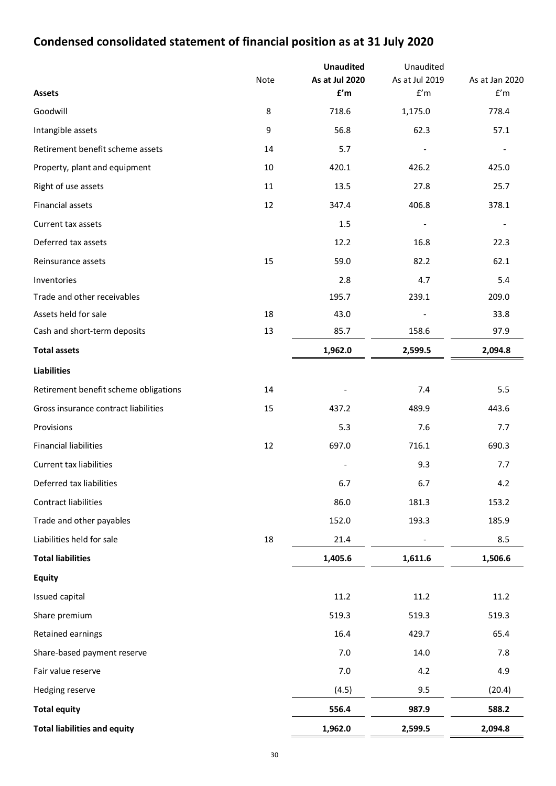# **Condensed consolidated statement of financial position as at 31 July 2020**

|                                       |      | <b>Unaudited</b>                          | Unaudited             |                                           |
|---------------------------------------|------|-------------------------------------------|-----------------------|-------------------------------------------|
|                                       | Note | As at Jul 2020<br>$\mathbf{f}'\mathsf{m}$ | As at Jul 2019<br>f'm | As at Jan 2020<br>$\mathsf{f}'\mathsf{m}$ |
| <b>Assets</b>                         |      |                                           |                       |                                           |
| Goodwill                              | 8    | 718.6                                     | 1,175.0               | 778.4                                     |
| Intangible assets                     | 9    | 56.8                                      | 62.3                  | 57.1                                      |
| Retirement benefit scheme assets      | 14   | 5.7                                       |                       |                                           |
| Property, plant and equipment         | 10   | 420.1                                     | 426.2                 | 425.0                                     |
| Right of use assets                   | 11   | 13.5                                      | 27.8                  | 25.7                                      |
| Financial assets                      | 12   | 347.4                                     | 406.8                 | 378.1                                     |
| Current tax assets                    |      | 1.5                                       |                       |                                           |
| Deferred tax assets                   |      | 12.2                                      | 16.8                  | 22.3                                      |
| Reinsurance assets                    | 15   | 59.0                                      | 82.2                  | 62.1                                      |
| Inventories                           |      | 2.8                                       | 4.7                   | 5.4                                       |
| Trade and other receivables           |      | 195.7                                     | 239.1                 | 209.0                                     |
| Assets held for sale                  | 18   | 43.0                                      |                       | 33.8                                      |
| Cash and short-term deposits          | 13   | 85.7                                      | 158.6                 | 97.9                                      |
| <b>Total assets</b>                   |      | 1,962.0                                   | 2,599.5               | 2,094.8                                   |
| <b>Liabilities</b>                    |      |                                           |                       |                                           |
| Retirement benefit scheme obligations | 14   |                                           | 7.4                   | 5.5                                       |
| Gross insurance contract liabilities  | 15   | 437.2                                     | 489.9                 | 443.6                                     |
| Provisions                            |      | 5.3                                       | 7.6                   | 7.7                                       |
| <b>Financial liabilities</b>          | 12   | 697.0                                     | 716.1                 | 690.3                                     |
| <b>Current tax liabilities</b>        |      |                                           | 9.3                   | 7.7                                       |
| Deferred tax liabilities              |      | 6.7                                       | 6.7                   | 4.2                                       |
| Contract liabilities                  |      | 86.0                                      | 181.3                 | 153.2                                     |
| Trade and other payables              |      | 152.0                                     | 193.3                 | 185.9                                     |
| Liabilities held for sale             | 18   | 21.4                                      |                       | 8.5                                       |
| <b>Total liabilities</b>              |      | 1,405.6                                   | 1,611.6               | 1,506.6                                   |
| <b>Equity</b>                         |      |                                           |                       |                                           |
| Issued capital                        |      | 11.2                                      | 11.2                  | 11.2                                      |
| Share premium                         |      | 519.3                                     | 519.3                 | 519.3                                     |
| Retained earnings                     |      | 16.4                                      | 429.7                 | 65.4                                      |
| Share-based payment reserve           |      | 7.0                                       | 14.0                  | 7.8                                       |
| Fair value reserve                    |      | 7.0                                       | 4.2                   | 4.9                                       |
| Hedging reserve                       |      | (4.5)                                     | 9.5                   | (20.4)                                    |
| <b>Total equity</b>                   |      | 556.4                                     | 987.9                 | 588.2                                     |
| <b>Total liabilities and equity</b>   |      | 1,962.0                                   | 2,599.5               | 2,094.8                                   |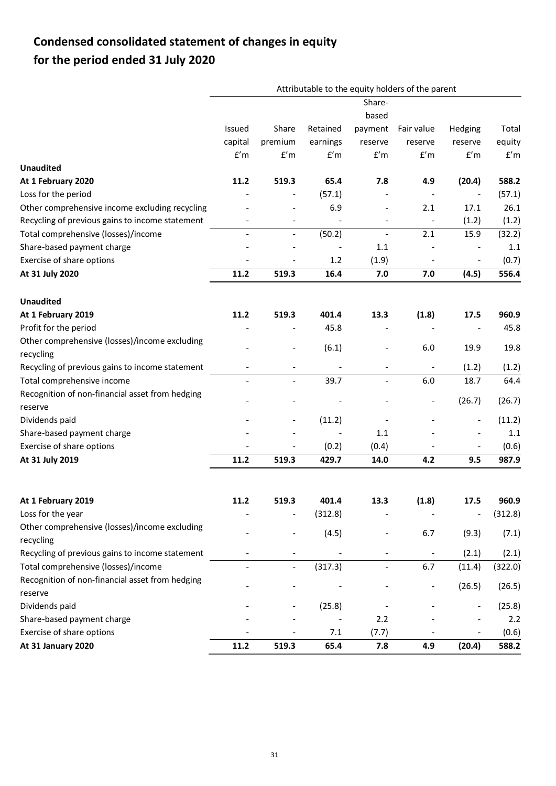# **Condensed consolidated statement of changes in equity for the period ended 31 July 2020**

|                                                            |                              |                          |          |                          | Attributable to the equity holders of the parent |                              |         |
|------------------------------------------------------------|------------------------------|--------------------------|----------|--------------------------|--------------------------------------------------|------------------------------|---------|
|                                                            |                              |                          |          | Share-                   |                                                  |                              |         |
|                                                            |                              |                          |          | based                    |                                                  |                              |         |
|                                                            | Issued                       | Share                    | Retained | payment                  | Fair value                                       | Hedging                      | Total   |
|                                                            | capital                      | premium                  | earnings | reserve                  | reserve                                          | reserve                      | equity  |
|                                                            | f'm                          | f'm                      | f'm      | f'm                      | f'm                                              | f'm                          | f'm     |
| <b>Unaudited</b>                                           |                              |                          |          |                          |                                                  |                              |         |
| At 1 February 2020                                         | 11.2                         | 519.3                    | 65.4     | 7.8                      | 4.9                                              | (20.4)                       | 588.2   |
| Loss for the period                                        |                              |                          | (57.1)   |                          |                                                  |                              | (57.1)  |
| Other comprehensive income excluding recycling             |                              |                          | 6.9      | $\overline{\phantom{a}}$ | 2.1                                              | 17.1                         | 26.1    |
| Recycling of previous gains to income statement            | $\qquad \qquad \blacksquare$ | $\overline{\phantom{a}}$ |          | $\overline{\phantom{a}}$ | $\overline{\phantom{a}}$                         | (1.2)                        | (1.2)   |
| Total comprehensive (losses)/income                        | $\overline{\phantom{a}}$     | $\overline{\phantom{a}}$ | (50.2)   | $\overline{\phantom{a}}$ | 2.1                                              | 15.9                         | (32.2)  |
| Share-based payment charge                                 |                              |                          |          | 1.1                      |                                                  |                              | 1.1     |
| Exercise of share options                                  |                              |                          | 1.2      | (1.9)                    |                                                  |                              | (0.7)   |
| At 31 July 2020                                            | 11.2                         | 519.3                    | 16.4     | 7.0                      | 7.0                                              | (4.5)                        | 556.4   |
| <b>Unaudited</b>                                           |                              |                          |          |                          |                                                  |                              |         |
| At 1 February 2019                                         | 11.2                         | 519.3                    | 401.4    | 13.3                     | (1.8)                                            | 17.5                         | 960.9   |
| Profit for the period                                      |                              |                          | 45.8     |                          |                                                  |                              | 45.8    |
| Other comprehensive (losses)/income excluding              |                              |                          |          |                          |                                                  |                              |         |
| recycling                                                  |                              |                          | (6.1)    |                          | 6.0                                              | 19.9                         | 19.8    |
| Recycling of previous gains to income statement            |                              |                          |          |                          | $\overline{\phantom{a}}$                         | (1.2)                        | (1.2)   |
| Total comprehensive income                                 |                              | $\blacksquare$           | 39.7     | $\blacksquare$           | 6.0                                              | 18.7                         | 64.4    |
| Recognition of non-financial asset from hedging            |                              |                          |          |                          |                                                  |                              |         |
| reserve                                                    |                              |                          |          |                          | $\overline{\phantom{0}}$                         | (26.7)                       | (26.7)  |
| Dividends paid                                             |                              | $\overline{\phantom{a}}$ | (11.2)   |                          |                                                  | $\overline{\phantom{a}}$     | (11.2)  |
| Share-based payment charge                                 |                              |                          |          | 1.1                      |                                                  |                              | 1.1     |
| Exercise of share options                                  |                              |                          | (0.2)    | (0.4)                    |                                                  |                              | (0.6)   |
| At 31 July 2019                                            | 11.2                         | 519.3                    | 429.7    | 14.0                     | 4.2                                              | 9.5                          | 987.9   |
|                                                            |                              |                          |          |                          |                                                  |                              |         |
| At 1 February 2019                                         | 11.2                         | 519.3                    | 401.4    | 13.3                     | (1.8)                                            | 17.5                         | 960.9   |
| Loss for the year                                          |                              |                          | (312.8)  |                          |                                                  | $\qquad \qquad \blacksquare$ | (312.8) |
| Other comprehensive (losses)/income excluding<br>recycling |                              |                          | (4.5)    |                          | 6.7                                              | (9.3)                        | (7.1)   |
| Recycling of previous gains to income statement            |                              |                          |          |                          |                                                  | (2.1)                        | (2.1)   |
| Total comprehensive (losses)/income                        |                              |                          | (317.3)  |                          | 6.7                                              | (11.4)                       | (322.0) |
| Recognition of non-financial asset from hedging            |                              |                          |          |                          |                                                  |                              |         |
| reserve                                                    |                              |                          |          |                          |                                                  | (26.5)                       | (26.5)  |
| Dividends paid                                             |                              |                          | (25.8)   |                          |                                                  |                              | (25.8)  |
| Share-based payment charge                                 |                              |                          |          | 2.2                      |                                                  |                              | 2.2     |
| Exercise of share options                                  |                              |                          | 7.1      | (7.7)                    |                                                  |                              | (0.6)   |
| At 31 January 2020                                         | 11.2                         | 519.3                    | 65.4     | 7.8                      | 4.9                                              | (20.4)                       | 588.2   |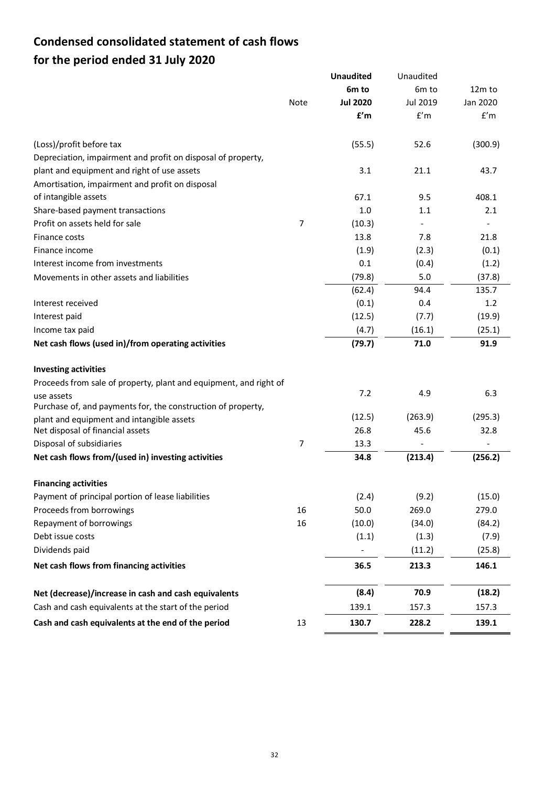# **Condensed consolidated statement of cash flows for the period ended 31 July 2020**

|                                                                   |             | <b>Unaudited</b>  | Unaudited         |          |
|-------------------------------------------------------------------|-------------|-------------------|-------------------|----------|
|                                                                   |             | 6 <sub>m</sub> to | 6 <sub>m</sub> to | 12m to   |
|                                                                   | <b>Note</b> | <b>Jul 2020</b>   | Jul 2019          | Jan 2020 |
|                                                                   |             | f'm               | f'm               | f'm      |
| (Loss)/profit before tax                                          |             | (55.5)            | 52.6              | (300.9)  |
| Depreciation, impairment and profit on disposal of property,      |             |                   |                   |          |
| plant and equipment and right of use assets                       |             | 3.1               | 21.1              | 43.7     |
| Amortisation, impairment and profit on disposal                   |             |                   |                   |          |
| of intangible assets                                              |             | 67.1              | 9.5               | 408.1    |
| Share-based payment transactions                                  |             | 1.0               | 1.1               | 2.1      |
| Profit on assets held for sale                                    | 7           | (10.3)            |                   |          |
| Finance costs                                                     |             | 13.8              | 7.8               | 21.8     |
| Finance income                                                    |             | (1.9)             | (2.3)             | (0.1)    |
| Interest income from investments                                  |             | 0.1               | (0.4)             | (1.2)    |
| Movements in other assets and liabilities                         |             | (79.8)            | 5.0               | (37.8)   |
|                                                                   |             | (62.4)            | 94.4              | 135.7    |
| Interest received                                                 |             | (0.1)             | 0.4               | 1.2      |
| Interest paid                                                     |             | (12.5)            | (7.7)             | (19.9)   |
| Income tax paid                                                   |             | (4.7)             | (16.1)            | (25.1)   |
| Net cash flows (used in)/from operating activities                |             | (79.7)            | 71.0              | 91.9     |
| <b>Investing activities</b>                                       |             |                   |                   |          |
| Proceeds from sale of property, plant and equipment, and right of |             |                   |                   |          |
| use assets                                                        |             | 7.2               | 4.9               | 6.3      |
| Purchase of, and payments for, the construction of property,      |             |                   |                   |          |
| plant and equipment and intangible assets                         |             | (12.5)<br>26.8    | (263.9)           | (295.3)  |
| Net disposal of financial assets<br>Disposal of subsidiaries      | 7           |                   | 45.6              | 32.8     |
| Net cash flows from/(used in) investing activities                |             | 13.3<br>34.8      |                   | (256.2)  |
|                                                                   |             |                   | (213.4)           |          |
| <b>Financing activities</b>                                       |             |                   |                   |          |
| Payment of principal portion of lease liabilities                 |             | (2.4)             | (9.2)             | (15.0)   |
| Proceeds from borrowings                                          | 16          | 50.0              | 269.0             | 279.0    |
| Repayment of borrowings                                           | 16          | (10.0)            | (34.0)            | (84.2)   |
| Debt issue costs                                                  |             | (1.1)             | (1.3)             | (7.9)    |
| Dividends paid                                                    |             |                   | (11.2)            | (25.8)   |
| Net cash flows from financing activities                          |             | 36.5              | 213.3             | 146.1    |
| Net (decrease)/increase in cash and cash equivalents              |             | (8.4)             | 70.9              | (18.2)   |
| Cash and cash equivalents at the start of the period              |             | 139.1             | 157.3             | 157.3    |
| Cash and cash equivalents at the end of the period                | 13          | 130.7             | 228.2             | 139.1    |
|                                                                   |             |                   |                   |          |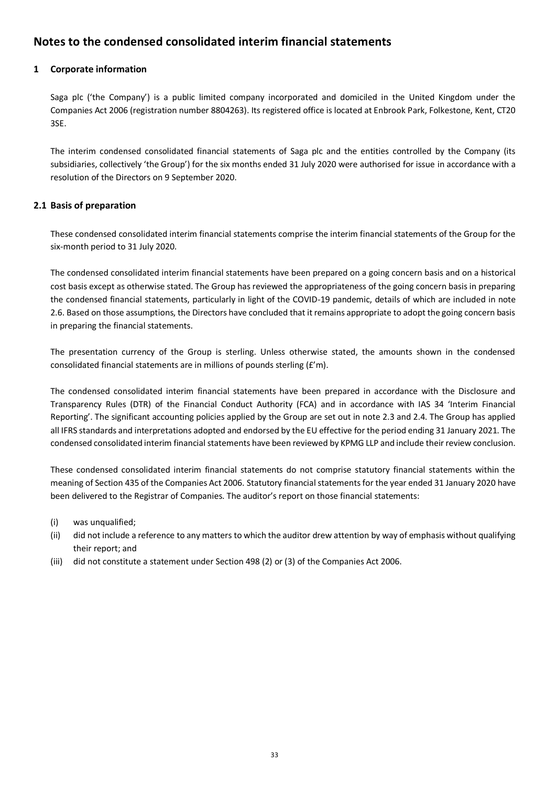# **Notes to the condensed consolidated interim financial statements**

## **1 Corporate information**

Saga plc ('the Company') is a public limited company incorporated and domiciled in the United Kingdom under the Companies Act 2006 (registration number 8804263). Its registered office is located at Enbrook Park, Folkestone, Kent, CT20 3SE.

The interim condensed consolidated financial statements of Saga plc and the entities controlled by the Company (its subsidiaries, collectively 'the Group') for the six months ended 31 July 2020 were authorised for issue in accordance with a resolution of the Directors on 9 September 2020.

## **2.1 Basis of preparation**

These condensed consolidated interim financial statements comprise the interim financial statements of the Group for the six-month period to 31 July 2020.

The condensed consolidated interim financial statements have been prepared on a going concern basis and on a historical cost basis except as otherwise stated. The Group has reviewed the appropriateness of the going concern basis in preparing the condensed financial statements, particularly in light of the COVID-19 pandemic, details of which are included in note 2.6. Based on those assumptions, the Directors have concluded that it remains appropriate to adopt the going concern basis in preparing the financial statements.

The presentation currency of the Group is sterling. Unless otherwise stated, the amounts shown in the condensed consolidated financial statements are in millions of pounds sterling (£'m).

The condensed consolidated interim financial statements have been prepared in accordance with the Disclosure and Transparency Rules (DTR) of the Financial Conduct Authority (FCA) and in accordance with IAS 34 'Interim Financial Reporting'. The significant accounting policies applied by the Group are set out in note 2.3 and 2.4. The Group has applied all IFRS standards and interpretations adopted and endorsed by the EU effective for the period ending 31 January 2021. The condensed consolidated interim financial statements have been reviewed by KPMG LLP and include their review conclusion.

These condensed consolidated interim financial statements do not comprise statutory financial statements within the meaning of Section 435 of the Companies Act 2006. Statutory financial statements for the year ended 31 January 2020 have been delivered to the Registrar of Companies. The auditor's report on those financial statements:

- (i) was unqualified;
- (ii) did not include a reference to any matters to which the auditor drew attention by way of emphasis without qualifying their report; and
- (iii) did not constitute a statement under Section 498 (2) or (3) of the Companies Act 2006.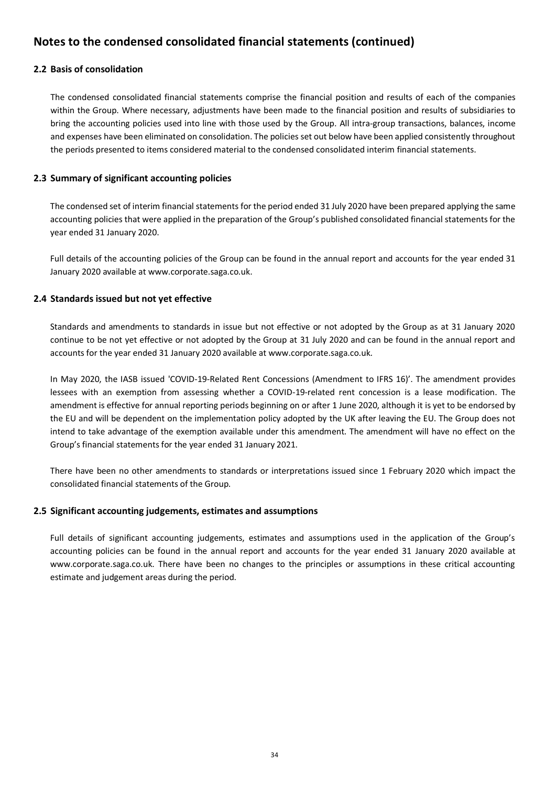## **2.2 Basis of consolidation**

The condensed consolidated financial statements comprise the financial position and results of each of the companies within the Group. Where necessary, adjustments have been made to the financial position and results of subsidiaries to bring the accounting policies used into line with those used by the Group. All intra-group transactions, balances, income and expenses have been eliminated on consolidation. The policies set out below have been applied consistently throughout the periods presented to items considered material to the condensed consolidated interim financial statements.

## **2.3 Summary of significant accounting policies**

The condensed set of interim financial statements for the period ended 31 July 2020 have been prepared applying the same accounting policies that were applied in the preparation of the Group's published consolidated financial statements for the year ended 31 January 2020.

Full details of the accounting policies of the Group can be found in the annual report and accounts for the year ended 31 January 2020 available at www.corporate.saga.co.uk.

## **2.4 Standards issued but not yet effective**

Standards and amendments to standards in issue but not effective or not adopted by the Group as at 31 January 2020 continue to be not yet effective or not adopted by the Group at 31 July 2020 and can be found in the annual report and accounts for the year ended 31 January 2020 available at www.corporate.saga.co.uk.

In May 2020, the IASB issued 'COVID-19-Related Rent Concessions (Amendment to IFRS 16)'. The amendment provides lessees with an exemption from assessing whether a COVID-19-related rent concession is a lease modification. The amendment is effective for annual reporting periods beginning on or after 1 June 2020, although it is yet to be endorsed by the EU and will be dependent on the implementation policy adopted by the UK after leaving the EU. The Group does not intend to take advantage of the exemption available under this amendment. The amendment will have no effect on the Group's financial statements for the year ended 31 January 2021.

There have been no other amendments to standards or interpretations issued since 1 February 2020 which impact the consolidated financial statements of the Group.

## **2.5 Significant accounting judgements, estimates and assumptions**

Full details of significant accounting judgements, estimates and assumptions used in the application of the Group's accounting policies can be found in the annual report and accounts for the year ended 31 January 2020 available at www.corporate.saga.co.uk. There have been no changes to the principles or assumptions in these critical accounting estimate and judgement areas during the period.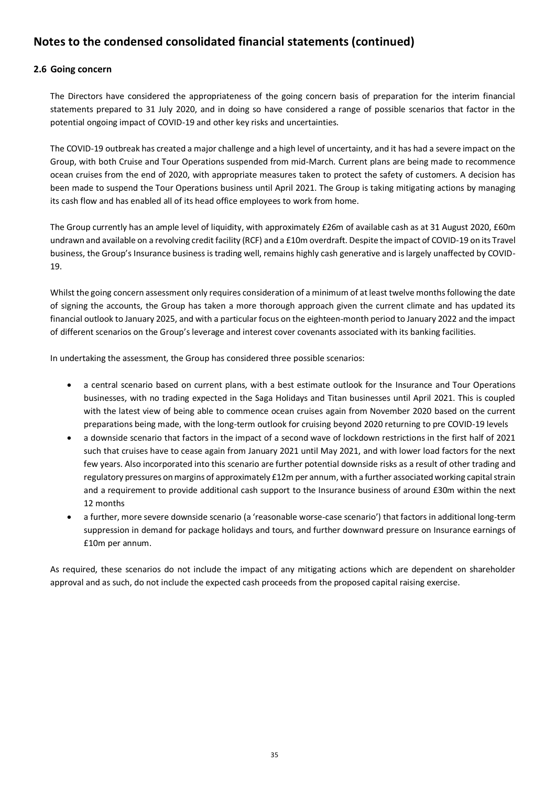## **2.6 Going concern**

The Directors have considered the appropriateness of the going concern basis of preparation for the interim financial statements prepared to 31 July 2020, and in doing so have considered a range of possible scenarios that factor in the potential ongoing impact of COVID-19 and other key risks and uncertainties.

The COVID-19 outbreak has created a major challenge and a high level of uncertainty, and it has had a severe impact on the Group, with both Cruise and Tour Operations suspended from mid-March. Current plans are being made to recommence ocean cruises from the end of 2020, with appropriate measures taken to protect the safety of customers. A decision has been made to suspend the Tour Operations business until April 2021. The Group is taking mitigating actions by managing its cash flow and has enabled all of its head office employees to work from home.

The Group currently has an ample level of liquidity, with approximately £26m of available cash as at 31 August 2020, £60m undrawn and available on a revolving credit facility (RCF) and a £10m overdraft. Despite the impact of COVID-19 on its Travel business, the Group's Insurance business is trading well, remains highly cash generative and is largely unaffected by COVID-19.

Whilst the going concern assessment only requires consideration of a minimum of at least twelve months following the date of signing the accounts, the Group has taken a more thorough approach given the current climate and has updated its financial outlook to January 2025, and with a particular focus on the eighteen-month period to January 2022 and the impact of different scenarios on the Group's leverage and interest cover covenants associated with its banking facilities.

In undertaking the assessment, the Group has considered three possible scenarios:

- a central scenario based on current plans, with a best estimate outlook for the Insurance and Tour Operations businesses, with no trading expected in the Saga Holidays and Titan businesses until April 2021. This is coupled with the latest view of being able to commence ocean cruises again from November 2020 based on the current preparations being made, with the long-term outlook for cruising beyond 2020 returning to pre COVID-19 levels
- a downside scenario that factors in the impact of a second wave of lockdown restrictions in the first half of 2021 such that cruises have to cease again from January 2021 until May 2021, and with lower load factors for the next few years. Also incorporated into this scenario are further potential downside risks as a result of other trading and regulatory pressures on margins of approximately £12m per annum, with a further associated working capital strain and a requirement to provide additional cash support to the Insurance business of around £30m within the next 12 months
- a further, more severe downside scenario (a 'reasonable worse-case scenario') that factors in additional long-term suppression in demand for package holidays and tours, and further downward pressure on Insurance earnings of £10m per annum.

As required, these scenarios do not include the impact of any mitigating actions which are dependent on shareholder approval and as such, do not include the expected cash proceeds from the proposed capital raising exercise.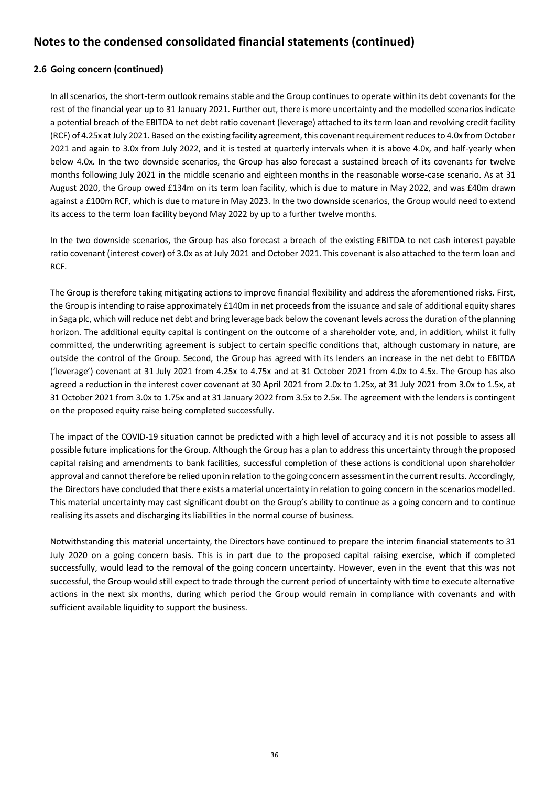## **2.6 Going concern (continued)**

In all scenarios, the short-term outlook remains stable and the Group continues to operate within its debt covenants for the rest of the financial year up to 31 January 2021. Further out, there is more uncertainty and the modelled scenarios indicate a potential breach of the EBITDA to net debt ratio covenant (leverage) attached to its term loan and revolving credit facility (RCF) of 4.25x at July 2021. Based on the existing facility agreement, this covenant requirement reduces to 4.0x from October 2021 and again to 3.0x from July 2022, and it is tested at quarterly intervals when it is above 4.0x, and half-yearly when below 4.0x. In the two downside scenarios, the Group has also forecast a sustained breach of its covenants for twelve months following July 2021 in the middle scenario and eighteen months in the reasonable worse-case scenario. As at 31 August 2020, the Group owed £134m on its term loan facility, which is due to mature in May 2022, and was £40m drawn against a £100m RCF, which is due to mature in May 2023. In the two downside scenarios, the Group would need to extend its access to the term loan facility beyond May 2022 by up to a further twelve months.

In the two downside scenarios, the Group has also forecast a breach of the existing EBITDA to net cash interest payable ratio covenant (interest cover) of 3.0x as at July 2021 and October 2021. This covenant is also attached to the term loan and RCF.

The Group is therefore taking mitigating actions to improve financial flexibility and address the aforementioned risks. First, the Group is intending to raise approximately £140m in net proceeds from the issuance and sale of additional equity shares in Saga plc, which will reduce net debt and bring leverage back below the covenant levels across the duration of the planning horizon. The additional equity capital is contingent on the outcome of a shareholder vote, and, in addition, whilst it fully committed, the underwriting agreement is subject to certain specific conditions that, although customary in nature, are outside the control of the Group. Second, the Group has agreed with its lenders an increase in the net debt to EBITDA ('leverage') covenant at 31 July 2021 from 4.25x to 4.75x and at 31 October 2021 from 4.0x to 4.5x. The Group has also agreed a reduction in the interest cover covenant at 30 April 2021 from 2.0x to 1.25x, at 31 July 2021 from 3.0x to 1.5x, at 31 October 2021 from 3.0x to 1.75x and at 31 January 2022 from 3.5x to 2.5x. The agreement with the lenders is contingent on the proposed equity raise being completed successfully.

The impact of the COVID-19 situation cannot be predicted with a high level of accuracy and it is not possible to assess all possible future implications for the Group. Although the Group has a plan to address this uncertainty through the proposed capital raising and amendments to bank facilities, successful completion of these actions is conditional upon shareholder approval and cannot therefore be relied upon in relation to the going concern assessment in the current results. Accordingly, the Directors have concluded that there exists a material uncertainty in relation to going concern in the scenarios modelled. This material uncertainty may cast significant doubt on the Group's ability to continue as a going concern and to continue realising its assets and discharging its liabilities in the normal course of business.

Notwithstanding this material uncertainty, the Directors have continued to prepare the interim financial statements to 31 July 2020 on a going concern basis. This is in part due to the proposed capital raising exercise, which if completed successfully, would lead to the removal of the going concern uncertainty. However, even in the event that this was not successful, the Group would still expect to trade through the current period of uncertainty with time to execute alternative actions in the next six months, during which period the Group would remain in compliance with covenants and with sufficient available liquidity to support the business.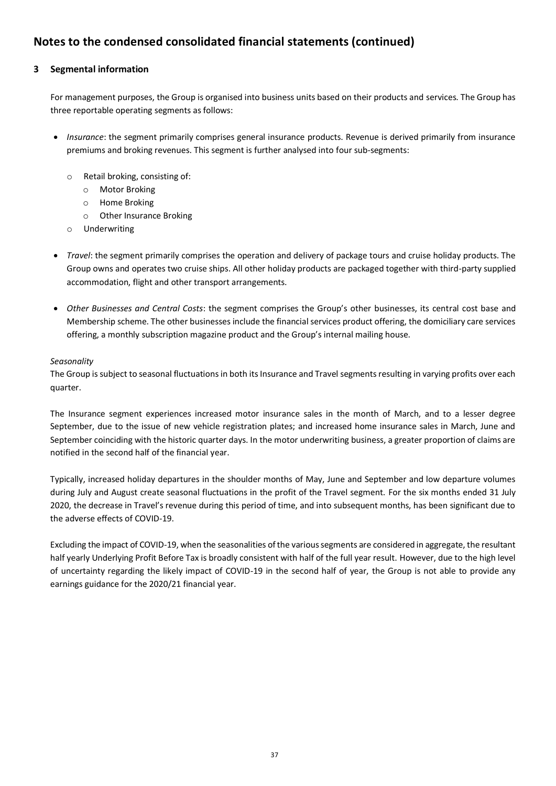## **3 Segmental information**

For management purposes, the Group is organised into business units based on their products and services. The Group has three reportable operating segments as follows:

- *Insurance*: the segment primarily comprises general insurance products. Revenue is derived primarily from insurance premiums and broking revenues. This segment is further analysed into four sub-segments:
	- o Retail broking, consisting of:
		- o Motor Broking
		- o Home Broking
		- o Other Insurance Broking
	- o Underwriting
- *Travel*: the segment primarily comprises the operation and delivery of package tours and cruise holiday products. The Group owns and operates two cruise ships. All other holiday products are packaged together with third-party supplied accommodation, flight and other transport arrangements.
- *Other Businesses and Central Costs*: the segment comprises the Group's other businesses, its central cost base and Membership scheme. The other businesses include the financial services product offering, the domiciliary care services offering, a monthly subscription magazine product and the Group's internal mailing house.

## *Seasonality*

The Group is subject to seasonal fluctuations in both its Insurance and Travel segments resulting in varying profits over each quarter.

The Insurance segment experiences increased motor insurance sales in the month of March, and to a lesser degree September, due to the issue of new vehicle registration plates; and increased home insurance sales in March, June and September coinciding with the historic quarter days. In the motor underwriting business, a greater proportion of claims are notified in the second half of the financial year.

Typically, increased holiday departures in the shoulder months of May, June and September and low departure volumes during July and August create seasonal fluctuations in the profit of the Travel segment. For the six months ended 31 July 2020, the decrease in Travel's revenue during this period of time, and into subsequent months, has been significant due to the adverse effects of COVID-19.

Excluding the impact of COVID-19, when the seasonalities of the various segments are considered in aggregate, the resultant half yearly Underlying Profit Before Tax is broadly consistent with half of the full year result. However, due to the high level of uncertainty regarding the likely impact of COVID-19 in the second half of year, the Group is not able to provide any earnings guidance for the 2020/21 financial year.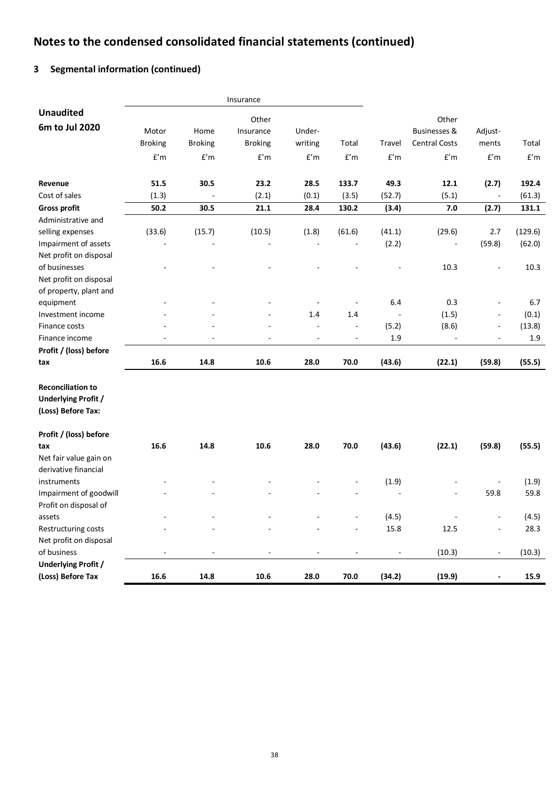# **3 Segmental information (continued)**

|                            |                |                          | Insurance      |         |                          |        |                         |                          |         |
|----------------------------|----------------|--------------------------|----------------|---------|--------------------------|--------|-------------------------|--------------------------|---------|
| <b>Unaudited</b>           |                |                          | Other          |         |                          |        | Other                   |                          |         |
| 6m to Jul 2020             | Motor          | Home                     | Insurance      | Under-  |                          |        | <b>Businesses &amp;</b> | Adjust-                  |         |
|                            | <b>Broking</b> | <b>Broking</b>           | <b>Broking</b> | writing | Total                    | Travel | <b>Central Costs</b>    | ments                    | Total   |
|                            |                |                          |                |         |                          |        |                         |                          |         |
|                            | f'm            | f'm                      | f'm            | f'm     | f'm                      | f'm    | f'm                     | f'm                      | f'm     |
| Revenue                    | 51.5           | 30.5                     | 23.2           | 28.5    | 133.7                    | 49.3   | 12.1                    | (2.7)                    | 192.4   |
| Cost of sales              | (1.3)          |                          | (2.1)          | (0.1)   | (3.5)                    | (52.7) | (5.1)                   |                          | (61.3)  |
| <b>Gross profit</b>        | $50.2$         | 30.5                     | 21.1           | 28.4    | 130.2                    | (3.4)  | 7.0                     | (2.7)                    | 131.1   |
| Administrative and         |                |                          |                |         |                          |        |                         |                          |         |
| selling expenses           | (33.6)         | (15.7)                   | (10.5)         | (1.8)   | (61.6)                   | (41.1) | (29.6)                  | 2.7                      | (129.6) |
| Impairment of assets       |                |                          |                |         |                          | (2.2)  |                         | (59.8)                   | (62.0)  |
| Net profit on disposal     |                |                          |                |         |                          |        |                         |                          |         |
| of businesses              |                |                          |                |         |                          |        | 10.3                    | $\overline{\phantom{0}}$ | 10.3    |
| Net profit on disposal     |                |                          |                |         |                          |        |                         |                          |         |
| of property, plant and     |                |                          |                |         |                          |        |                         |                          |         |
| equipment                  |                |                          |                |         |                          | 6.4    | 0.3                     | $\overline{\phantom{a}}$ | 6.7     |
| Investment income          |                |                          |                | 1.4     | 1.4                      |        | (1.5)                   | $\blacksquare$           | (0.1)   |
| Finance costs              |                |                          |                | ä,      | $\overline{\phantom{a}}$ | (5.2)  | (8.6)                   | $\blacksquare$           | (13.8)  |
| Finance income             |                |                          |                | ÷,      |                          | 1.9    |                         |                          | 1.9     |
| Profit / (loss) before     |                |                          |                |         |                          |        |                         |                          |         |
| tax                        | 16.6           | 14.8                     | 10.6           | 28.0    | 70.0                     | (43.6) | (22.1)                  | (59.8)                   | (55.5)  |
| <b>Reconciliation to</b>   |                |                          |                |         |                          |        |                         |                          |         |
| <b>Underlying Profit /</b> |                |                          |                |         |                          |        |                         |                          |         |
| (Loss) Before Tax:         |                |                          |                |         |                          |        |                         |                          |         |
| Profit / (loss) before     |                |                          |                |         |                          |        |                         |                          |         |
| tax                        | 16.6           | 14.8                     | 10.6           | 28.0    | 70.0                     | (43.6) | (22.1)                  | (59.8)                   | (55.5)  |
| Net fair value gain on     |                |                          |                |         |                          |        |                         |                          |         |
| derivative financial       |                |                          |                |         |                          |        |                         |                          |         |
| instruments                |                |                          |                |         |                          | (1.9)  |                         |                          | (1.9)   |
| Impairment of goodwill     |                |                          |                |         |                          |        |                         | 59.8                     | 59.8    |
| Profit on disposal of      |                |                          |                |         |                          |        |                         |                          |         |
| assets                     |                |                          |                |         |                          | (4.5)  |                         |                          | (4.5)   |
| Restructuring costs        |                |                          |                |         |                          | 15.8   | 12.5                    |                          | 28.3    |
| Net profit on disposal     |                |                          |                |         |                          |        |                         |                          |         |
| of business                | $\overline{a}$ | $\overline{\phantom{a}}$ |                |         | ÷                        |        | (10.3)                  | ÷,                       | (10.3)  |
| <b>Underlying Profit /</b> |                |                          |                |         |                          |        |                         |                          |         |
| (Loss) Before Tax          | $16.6\,$       | 14.8                     | 10.6           | 28.0    | 70.0                     | (34.2) | (19.9)                  |                          | 15.9    |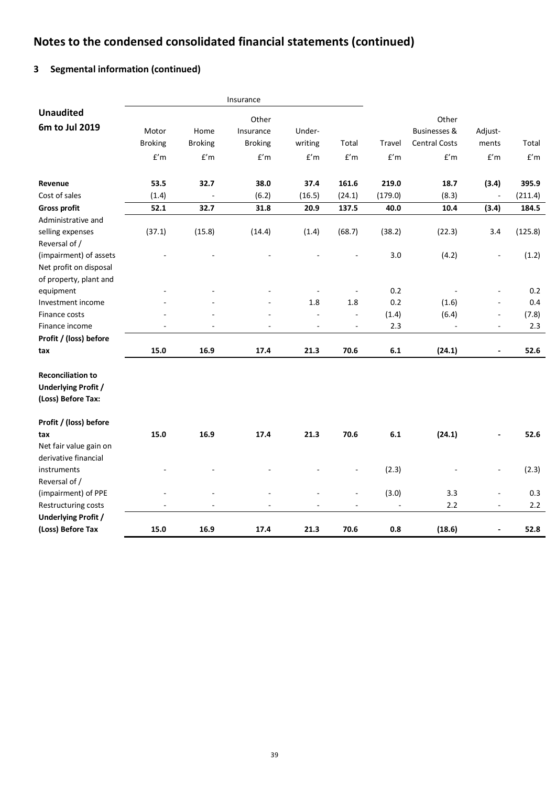# **3 Segmental information (continued)**

|                                                                              |                         |                | Insurance      |                          |                         |         |                         |                |                         |
|------------------------------------------------------------------------------|-------------------------|----------------|----------------|--------------------------|-------------------------|---------|-------------------------|----------------|-------------------------|
| <b>Unaudited</b>                                                             |                         |                | Other          |                          |                         |         | Other                   |                |                         |
| 6m to Jul 2019                                                               | Motor                   | Home           | Insurance      | Under-                   |                         |         | <b>Businesses &amp;</b> | Adjust-        |                         |
|                                                                              | <b>Broking</b>          | <b>Broking</b> | <b>Broking</b> | writing                  | Total                   | Travel  | <b>Central Costs</b>    | ments          | Total                   |
|                                                                              | $\mathsf{f}'\mathsf{m}$ | f'm            | f'm            | f'm                      | $\mathsf{f}'\mathsf{m}$ | f'm     | $\mathsf{f}'\mathsf{m}$ | f'm            | $\mathsf{f}'\mathsf{m}$ |
| Revenue                                                                      | 53.5                    | 32.7           | 38.0           | 37.4                     | 161.6                   | 219.0   | 18.7                    | (3.4)          | 395.9                   |
| Cost of sales                                                                | (1.4)                   |                | (6.2)          | (16.5)                   | (24.1)                  | (179.0) | (8.3)                   |                | (211.4)                 |
| <b>Gross profit</b>                                                          | 52.1                    | 32.7           | 31.8           | 20.9                     | 137.5                   | 40.0    | 10.4                    | (3.4)          | 184.5                   |
| Administrative and                                                           |                         |                |                |                          |                         |         |                         |                |                         |
| selling expenses<br>Reversal of /                                            | (37.1)                  | (15.8)         | (14.4)         | (1.4)                    | (68.7)                  | (38.2)  | (22.3)                  | 3.4            | (125.8)                 |
| (impairment) of assets<br>Net profit on disposal<br>of property, plant and   |                         |                |                |                          |                         | 3.0     | (4.2)                   |                | (1.2)                   |
| equipment                                                                    |                         |                |                |                          |                         | 0.2     |                         | $\overline{a}$ | 0.2                     |
| Investment income                                                            |                         |                |                | 1.8                      | 1.8                     | 0.2     | (1.6)                   |                | 0.4                     |
| Finance costs                                                                |                         |                |                | $\blacksquare$           | $\blacksquare$          | (1.4)   | (6.4)                   | $\blacksquare$ | (7.8)                   |
| Finance income                                                               |                         |                |                | $\overline{\phantom{a}}$ | ÷,                      | 2.3     |                         | $\blacksquare$ | 2.3                     |
| Profit / (loss) before                                                       |                         |                |                |                          |                         |         |                         |                |                         |
| tax                                                                          | 15.0                    | 16.9           | 17.4           | 21.3                     | 70.6                    | 6.1     | (24.1)                  | $\blacksquare$ | 52.6                    |
| <b>Reconciliation to</b><br><b>Underlying Profit /</b><br>(Loss) Before Tax: |                         |                |                |                          |                         |         |                         |                |                         |
| Profit / (loss) before                                                       |                         |                |                |                          |                         |         |                         |                |                         |
| tax<br>Net fair value gain on                                                | 15.0                    | 16.9           | 17.4           | 21.3                     | 70.6                    | 6.1     | (24.1)                  |                | 52.6                    |
| derivative financial<br>instruments                                          |                         |                |                |                          |                         | (2.3)   |                         | $\blacksquare$ | (2.3)                   |
| Reversal of /                                                                |                         |                |                |                          |                         |         |                         |                |                         |
| (impairment) of PPE                                                          |                         |                |                |                          | $\overline{a}$          | (3.0)   | 3.3                     | L.             | 0.3                     |
| Restructuring costs                                                          |                         |                |                |                          |                         |         | 2.2                     | $\blacksquare$ | 2.2                     |
| <b>Underlying Profit /</b>                                                   |                         |                |                |                          |                         |         |                         |                |                         |
| (Loss) Before Tax                                                            | 15.0                    | 16.9           | 17.4           | 21.3                     | 70.6                    | 0.8     | (18.6)                  |                | 52.8                    |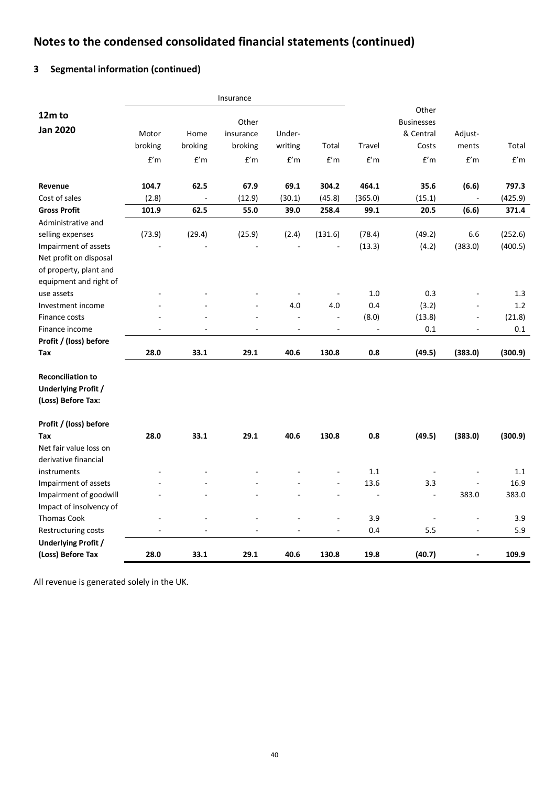# **3 Segmental information (continued)**

|                            |                |         | Insurance |                |                |                          |                   |                          |         |
|----------------------------|----------------|---------|-----------|----------------|----------------|--------------------------|-------------------|--------------------------|---------|
| 12m to                     |                |         |           |                |                |                          | Other             |                          |         |
| <b>Jan 2020</b>            |                |         | Other     |                |                |                          | <b>Businesses</b> |                          |         |
|                            | Motor          | Home    | insurance | Under-         |                |                          | & Central         | Adjust-                  |         |
|                            | broking        | broking | broking   | writing        | Total          | Travel                   | Costs             | ments                    | Total   |
|                            | f'm            | f'm     | f'm       | f'm            | f'm            | f'm                      | f'm               | f'm                      | f'm     |
| Revenue                    | 104.7          | 62.5    | 67.9      | 69.1           | 304.2          | 464.1                    | 35.6              | (6.6)                    | 797.3   |
| Cost of sales              | (2.8)          | $\Box$  | (12.9)    | (30.1)         | (45.8)         | (365.0)                  | (15.1)            | $\overline{\phantom{a}}$ | (425.9) |
| <b>Gross Profit</b>        | 101.9          | 62.5    | 55.0      | 39.0           | 258.4          | 99.1                     | 20.5              | (6.6)                    | 371.4   |
| Administrative and         |                |         |           |                |                |                          |                   |                          |         |
| selling expenses           | (73.9)         | (29.4)  | (25.9)    | (2.4)          | (131.6)        | (78.4)                   | (49.2)            | 6.6                      | (252.6) |
| Impairment of assets       |                |         |           |                |                | (13.3)                   | (4.2)             | (383.0)                  | (400.5) |
| Net profit on disposal     |                |         |           |                |                |                          |                   |                          |         |
| of property, plant and     |                |         |           |                |                |                          |                   |                          |         |
| equipment and right of     |                |         |           |                |                |                          |                   |                          |         |
| use assets                 |                |         |           | ÷              | $\blacksquare$ | 1.0                      | 0.3               |                          | 1.3     |
| Investment income          |                |         | ä,        | 4.0            | 4.0            | 0.4                      | (3.2)             | $\overline{\phantom{a}}$ | 1.2     |
| Finance costs              |                |         |           | $\overline{a}$ | $\overline{a}$ | (8.0)                    | (13.8)            | $\overline{\phantom{a}}$ | (21.8)  |
| Finance income             |                |         |           | $\overline{a}$ | ÷              | $\overline{\phantom{a}}$ | 0.1               |                          | 0.1     |
| Profit / (loss) before     |                |         |           |                |                |                          |                   |                          |         |
| Tax                        | 28.0           | 33.1    | 29.1      | 40.6           | 130.8          | 0.8                      | (49.5)            | (383.0)                  | (300.9) |
| <b>Reconciliation to</b>   |                |         |           |                |                |                          |                   |                          |         |
| <b>Underlying Profit /</b> |                |         |           |                |                |                          |                   |                          |         |
| (Loss) Before Tax:         |                |         |           |                |                |                          |                   |                          |         |
| Profit / (loss) before     |                |         |           |                |                |                          |                   |                          |         |
| Tax                        | 28.0           | 33.1    | 29.1      | 40.6           | 130.8          | 0.8                      | (49.5)            | (383.0)                  | (300.9) |
| Net fair value loss on     |                |         |           |                |                |                          |                   |                          |         |
| derivative financial       |                |         |           |                |                |                          |                   |                          |         |
| instruments                |                |         |           |                |                | 1.1                      |                   |                          | 1.1     |
| Impairment of assets       |                |         |           |                |                | 13.6                     | 3.3               | $\overline{a}$           | 16.9    |
| Impairment of goodwill     |                |         |           |                | $\overline{a}$ | $\overline{a}$           | $\overline{a}$    | 383.0                    | 383.0   |
| Impact of insolvency of    |                |         |           |                |                |                          |                   |                          |         |
| <b>Thomas Cook</b>         |                |         |           |                |                | 3.9                      | $\blacksquare$    | L,                       | 3.9     |
| Restructuring costs        | $\overline{a}$ | ÷,      | $\bar{a}$ | $\blacksquare$ | $\blacksquare$ | 0.4                      | 5.5               | $\blacksquare$           | 5.9     |
| <b>Underlying Profit /</b> |                |         |           |                |                |                          |                   |                          |         |
| (Loss) Before Tax          | 28.0           | 33.1    | 29.1      | 40.6           | 130.8          | 19.8                     | (40.7)            | $\overline{\phantom{a}}$ | 109.9   |

All revenue is generated solely in the UK.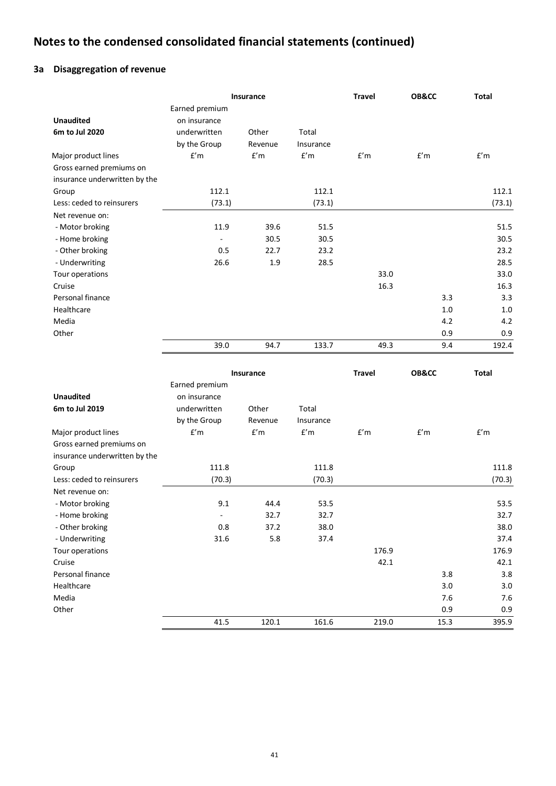# **3a Disaggregation of revenue**

|                               |                          | Insurance |           | <b>Travel</b> | OB&CC | <b>Total</b> |
|-------------------------------|--------------------------|-----------|-----------|---------------|-------|--------------|
|                               | Earned premium           |           |           |               |       |              |
| <b>Unaudited</b>              | on insurance             |           |           |               |       |              |
| 6m to Jul 2020                | underwritten             | Other     | Total     |               |       |              |
|                               | by the Group             | Revenue   | Insurance |               |       |              |
| Major product lines           | f'm                      | f'm       | f'm       | f'm           | f'm   | f'm          |
| Gross earned premiums on      |                          |           |           |               |       |              |
| insurance underwritten by the |                          |           |           |               |       |              |
| Group                         | 112.1                    |           | 112.1     |               |       | 112.1        |
| Less: ceded to reinsurers     | (73.1)                   |           | (73.1)    |               |       | (73.1)       |
| Net revenue on:               |                          |           |           |               |       |              |
| - Motor broking               | 11.9                     | 39.6      | 51.5      |               |       | 51.5         |
| - Home broking                | $\overline{\phantom{a}}$ | 30.5      | 30.5      |               |       | 30.5         |
| - Other broking               | 0.5                      | 22.7      | 23.2      |               |       | 23.2         |
| - Underwriting                | 26.6                     | 1.9       | 28.5      |               |       | 28.5         |
| Tour operations               |                          |           |           | 33.0          |       | 33.0         |
| Cruise                        |                          |           |           | 16.3          |       | 16.3         |
| Personal finance              |                          |           |           |               | 3.3   | 3.3          |
| Healthcare                    |                          |           |           |               | 1.0   | 1.0          |
| Media                         |                          |           |           |               | 4.2   | 4.2          |
| Other                         |                          |           |           |               | 0.9   | 0.9          |
|                               | 39.0                     | 94.7      | 133.7     | 49.3          | 9.4   | 192.4        |

|                               |                          | Insurance |           | <b>Travel</b> | OB&CC | <b>Total</b> |
|-------------------------------|--------------------------|-----------|-----------|---------------|-------|--------------|
|                               | Earned premium           |           |           |               |       |              |
| <b>Unaudited</b>              | on insurance             |           |           |               |       |              |
| 6m to Jul 2019                | underwritten             | Other     | Total     |               |       |              |
|                               | by the Group             | Revenue   | Insurance |               |       |              |
| Major product lines           | f'm                      | f'm       | f'm       | f'm           | f'm   | f'm          |
| Gross earned premiums on      |                          |           |           |               |       |              |
| insurance underwritten by the |                          |           |           |               |       |              |
| Group                         | 111.8                    |           | 111.8     |               |       | 111.8        |
| Less: ceded to reinsurers     | (70.3)                   |           | (70.3)    |               |       | (70.3)       |
| Net revenue on:               |                          |           |           |               |       |              |
| - Motor broking               | 9.1                      | 44.4      | 53.5      |               |       | 53.5         |
| - Home broking                | $\overline{\phantom{a}}$ | 32.7      | 32.7      |               |       | 32.7         |
| - Other broking               | 0.8                      | 37.2      | 38.0      |               |       | 38.0         |
| - Underwriting                | 31.6                     | 5.8       | 37.4      |               |       | 37.4         |
| Tour operations               |                          |           |           | 176.9         |       | 176.9        |
| Cruise                        |                          |           |           | 42.1          |       | 42.1         |
| Personal finance              |                          |           |           |               | 3.8   | 3.8          |
| Healthcare                    |                          |           |           |               | 3.0   | 3.0          |
| Media                         |                          |           |           |               | 7.6   | 7.6          |
| Other                         |                          |           |           |               | 0.9   | 0.9          |
|                               | 41.5                     | 120.1     | 161.6     | 219.0         | 15.3  | 395.9        |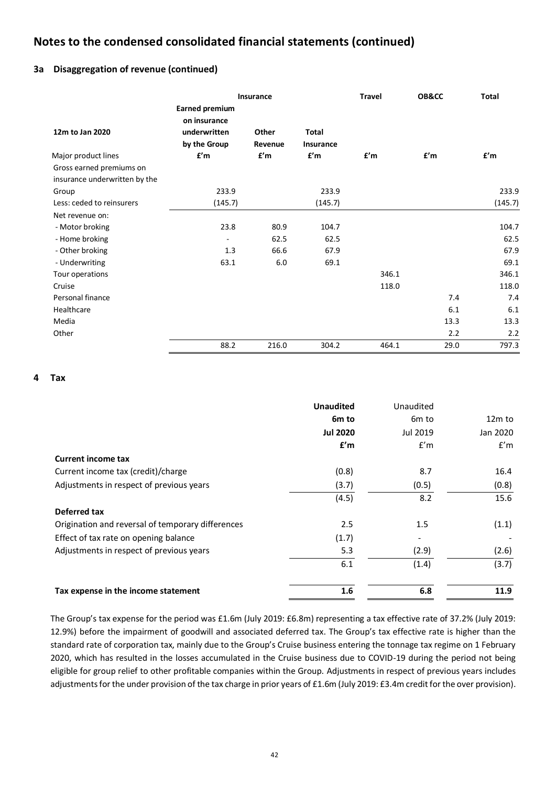## **3a Disaggregation of revenue (continued)**

|                               |                                       | Insurance        |                           | <b>Travel</b> | OB&CC | <b>Total</b> |
|-------------------------------|---------------------------------------|------------------|---------------------------|---------------|-------|--------------|
|                               | <b>Earned premium</b><br>on insurance |                  |                           |               |       |              |
| 12m to Jan 2020               | underwritten<br>by the Group          | Other<br>Revenue | <b>Total</b><br>Insurance |               |       |              |
| Major product lines           | f'm                                   | f'm              | f'm                       | f'm           | f'm   | f'm          |
| Gross earned premiums on      |                                       |                  |                           |               |       |              |
| insurance underwritten by the |                                       |                  |                           |               |       |              |
| Group                         | 233.9                                 |                  | 233.9                     |               |       | 233.9        |
| Less: ceded to reinsurers     | (145.7)                               |                  | (145.7)                   |               |       | (145.7)      |
| Net revenue on:               |                                       |                  |                           |               |       |              |
| - Motor broking               | 23.8                                  | 80.9             | 104.7                     |               |       | 104.7        |
| - Home broking                | $\overline{\phantom{a}}$              | 62.5             | 62.5                      |               |       | 62.5         |
| - Other broking               | 1.3                                   | 66.6             | 67.9                      |               |       | 67.9         |
| - Underwriting                | 63.1                                  | 6.0              | 69.1                      |               |       | 69.1         |
| Tour operations               |                                       |                  |                           | 346.1         |       | 346.1        |
| Cruise                        |                                       |                  |                           | 118.0         |       | 118.0        |
| Personal finance              |                                       |                  |                           |               | 7.4   | 7.4          |
| Healthcare                    |                                       |                  |                           |               | 6.1   | 6.1          |
| Media                         |                                       |                  |                           |               | 13.3  | 13.3         |
| Other                         |                                       |                  |                           |               | 2.2   | 2.2          |
|                               | 88.2                                  | 216.0            | 304.2                     | 464.1         | 29.0  | 797.3        |

## **4 Tax**

|                                                   | <b>Unaudited</b> | Unaudited         |          |
|---------------------------------------------------|------------------|-------------------|----------|
|                                                   | 6m to            | 6 <sub>m</sub> to | $12m$ to |
|                                                   | <b>Jul 2020</b>  | Jul 2019          | Jan 2020 |
|                                                   | f'm              | f'm               | f'm      |
| <b>Current income tax</b>                         |                  |                   |          |
| Current income tax (credit)/charge                | (0.8)            | 8.7               | 16.4     |
| Adjustments in respect of previous years          | (3.7)            | (0.5)             | (0.8)    |
|                                                   | (4.5)            | 8.2               | 15.6     |
| Deferred tax                                      |                  |                   |          |
| Origination and reversal of temporary differences | 2.5              | 1.5               | (1.1)    |
| Effect of tax rate on opening balance             | (1.7)            |                   |          |
| Adjustments in respect of previous years          | 5.3              | (2.9)             | (2.6)    |
|                                                   | 6.1              | (1.4)             | (3.7)    |
| Tax expense in the income statement               | 1.6              | 6.8               | 11.9     |

The Group's tax expense for the period was £1.6m (July 2019: £6.8m) representing a tax effective rate of 37.2% (July 2019: 12.9%) before the impairment of goodwill and associated deferred tax. The Group's tax effective rate is higher than the standard rate of corporation tax, mainly due to the Group's Cruise business entering the tonnage tax regime on 1 February 2020, which has resulted in the losses accumulated in the Cruise business due to COVID-19 during the period not being eligible for group relief to other profitable companies within the Group. Adjustments in respect of previous years includes adjustments for the under provision of the tax charge in prior years of £1.6m (July 2019: £3.4m credit for the over provision).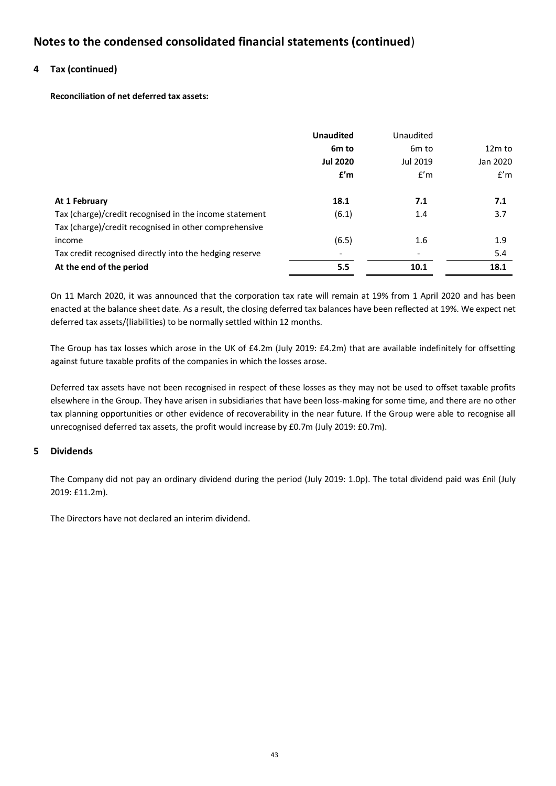## **4 Tax (continued)**

**Reconciliation of net deferred tax assets:**

|                                                         | <b>Unaudited</b>  | Unaudited         |          |
|---------------------------------------------------------|-------------------|-------------------|----------|
|                                                         | 6 <sub>m</sub> to | 6 <sub>m</sub> to | $12m$ to |
|                                                         | <b>Jul 2020</b>   | Jul 2019          | Jan 2020 |
|                                                         | f'm               | f'm               | f'm      |
| At 1 February                                           | 18.1              | 7.1               | 7.1      |
| Tax (charge)/credit recognised in the income statement  | (6.1)             | 1.4               | 3.7      |
| Tax (charge)/credit recognised in other comprehensive   |                   |                   |          |
| income                                                  | (6.5)             | 1.6               | 1.9      |
| Tax credit recognised directly into the hedging reserve |                   |                   | 5.4      |
| At the end of the period                                | 5.5               | 10.1              | 18.1     |

On 11 March 2020, it was announced that the corporation tax rate will remain at 19% from 1 April 2020 and has been enacted at the balance sheet date. As a result, the closing deferred tax balances have been reflected at 19%. We expect net deferred tax assets/(liabilities) to be normally settled within 12 months.

The Group has tax losses which arose in the UK of £4.2m (July 2019: £4.2m) that are available indefinitely for offsetting against future taxable profits of the companies in which the losses arose.

Deferred tax assets have not been recognised in respect of these losses as they may not be used to offset taxable profits elsewhere in the Group. They have arisen in subsidiaries that have been loss-making for some time, and there are no other tax planning opportunities or other evidence of recoverability in the near future. If the Group were able to recognise all unrecognised deferred tax assets, the profit would increase by £0.7m (July 2019: £0.7m).

## **5 Dividends**

The Company did not pay an ordinary dividend during the period (July 2019: 1.0p). The total dividend paid was £nil (July 2019: £11.2m).

The Directors have not declared an interim dividend.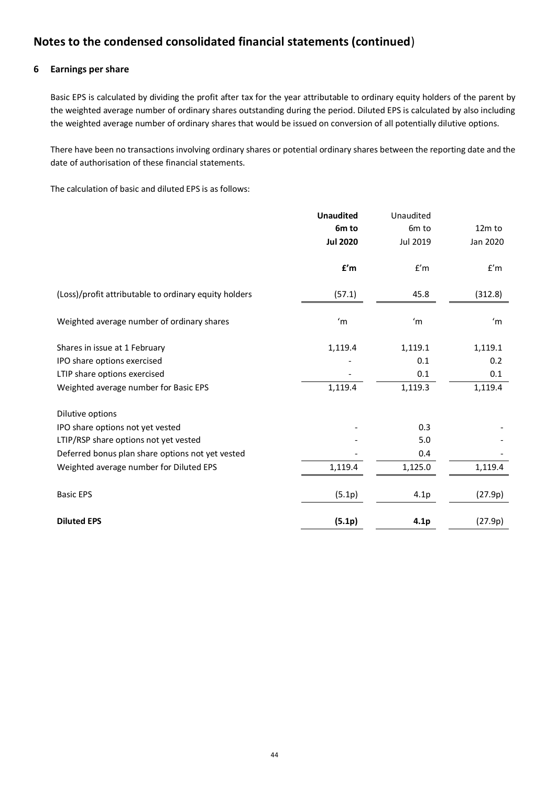## **6 Earnings per share**

Basic EPS is calculated by dividing the profit after tax for the year attributable to ordinary equity holders of the parent by the weighted average number of ordinary shares outstanding during the period. Diluted EPS is calculated by also including the weighted average number of ordinary shares that would be issued on conversion of all potentially dilutive options.

There have been no transactions involving ordinary shares or potential ordinary shares between the reporting date and the date of authorisation of these financial statements.

The calculation of basic and diluted EPS is as follows:

|                                                       | <b>Unaudited</b>        | Unaudited         |          |
|-------------------------------------------------------|-------------------------|-------------------|----------|
|                                                       | 6 <sub>m</sub> to       | 6 <sub>m</sub> to | $12m$ to |
|                                                       | <b>Jul 2020</b>         | Jul 2019          | Jan 2020 |
|                                                       | $\mathbf{f}'\mathsf{m}$ | f'm               | f'm      |
| (Loss)/profit attributable to ordinary equity holders | (57.1)                  | 45.8              | (312.8)  |
| Weighted average number of ordinary shares            | 'm                      | 'm                | 'm       |
| Shares in issue at 1 February                         | 1,119.4                 | 1,119.1           | 1,119.1  |
| IPO share options exercised                           |                         | 0.1               | 0.2      |
| LTIP share options exercised                          |                         | 0.1               | 0.1      |
| Weighted average number for Basic EPS                 | 1,119.4                 | 1,119.3           | 1,119.4  |
| Dilutive options                                      |                         |                   |          |
| IPO share options not yet vested                      |                         | 0.3               |          |
| LTIP/RSP share options not yet vested                 |                         | 5.0               |          |
| Deferred bonus plan share options not yet vested      |                         | 0.4               |          |
| Weighted average number for Diluted EPS               | 1,119.4                 | 1,125.0           | 1,119.4  |
| <b>Basic EPS</b>                                      | (5.1p)                  | 4.1p              | (27.9p)  |
| <b>Diluted EPS</b>                                    | (5.1p)                  | 4.1p              | (27.9p)  |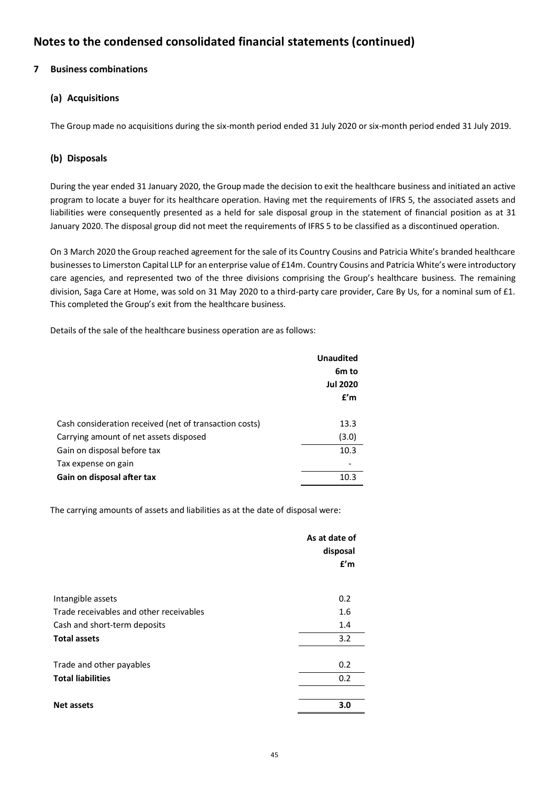# **7 Business combinations**

# **(a) Acquisitions**

The Group made no acquisitions during the six-month period ended 31 July 2020 or six-month period ended 31 July 2019.

## **(b) Disposals**

During the year ended 31 January 2020, the Group made the decision to exit the healthcare business and initiated an active program to locate a buyer for its healthcare operation. Having met the requirements of IFRS 5, the associated assets and liabilities were consequently presented as a held for sale disposal group in the statement of financial position as at 31 January 2020. The disposal group did not meet the requirements of IFRS 5 to be classified as a discontinued operation.

On 3 March 2020 the Group reached agreement for the sale of its Country Cousins and Patricia White's branded healthcare businesses to Limerston Capital LLP for an enterprise value of £14m. Country Cousins and Patricia White's were introductory care agencies, and represented two of the three divisions comprising the Group's healthcare business. The remaining division, Saga Care at Home, was sold on 31 May 2020 to a third-party care provider, Care By Us, for a nominal sum of £1. This completed the Group's exit from the healthcare business.

Details of the sale of the healthcare business operation are as follows:

|                                                        | <b>Unaudited</b> |
|--------------------------------------------------------|------------------|
|                                                        | 6m to            |
|                                                        | <b>Jul 2020</b>  |
|                                                        | f'm              |
| Cash consideration received (net of transaction costs) | 13.3             |
| Carrying amount of net assets disposed                 | (3.0)            |
| Gain on disposal before tax                            | 10.3             |
| Tax expense on gain                                    |                  |
| Gain on disposal after tax                             | 10.3             |

The carrying amounts of assets and liabilities as at the date of disposal were:

|                                         | As at date of<br>disposal |
|-----------------------------------------|---------------------------|
|                                         | f'm                       |
| Intangible assets                       | 0.2                       |
| Trade receivables and other receivables | 1.6                       |
| Cash and short-term deposits            | 1.4                       |
| <b>Total assets</b>                     | 3.2                       |
| Trade and other payables                | 0.2                       |
| <b>Total liabilities</b>                | 0.2                       |
|                                         |                           |
| <b>Net assets</b>                       | 3.0                       |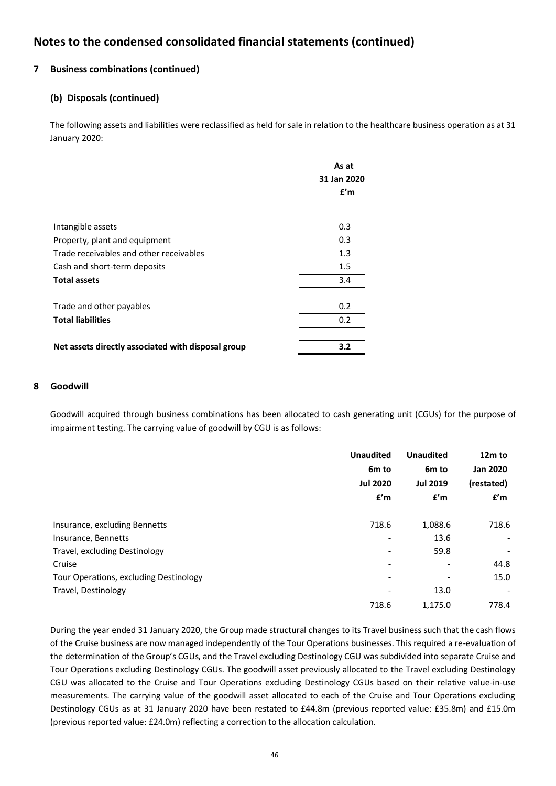## **7 Business combinations (continued)**

## **(b) Disposals (continued)**

The following assets and liabilities were reclassified as held for sale in relation to the healthcare business operation as at 31 January 2020:

|                                                    | As at       |
|----------------------------------------------------|-------------|
|                                                    | 31 Jan 2020 |
|                                                    | f'm         |
| Intangible assets                                  | 0.3         |
| Property, plant and equipment                      | 0.3         |
| Trade receivables and other receivables            | 1.3         |
| Cash and short-term deposits                       | 1.5         |
| <b>Total assets</b>                                | 3.4         |
| Trade and other payables                           | 0.2         |
| <b>Total liabilities</b>                           | 0.2         |
| Net assets directly associated with disposal group | 3.2         |

## **8 Goodwill**

Goodwill acquired through business combinations has been allocated to cash generating unit (CGUs) for the purpose of impairment testing. The carrying value of goodwill by CGU is as follows:

|                                        | <b>Unaudited</b><br>6 <sub>m</sub> to<br><b>Jul 2020</b><br>f'm | <b>Unaudited</b><br>6 <sub>m</sub> to<br><b>Jul 2019</b><br>f'm | 12m to<br><b>Jan 2020</b><br>(restated)<br>f'm |
|----------------------------------------|-----------------------------------------------------------------|-----------------------------------------------------------------|------------------------------------------------|
| Insurance, excluding Bennetts          | 718.6                                                           | 1,088.6                                                         | 718.6                                          |
| Insurance, Bennetts                    |                                                                 | 13.6                                                            | $\overline{\phantom{a}}$                       |
| Travel, excluding Destinology          |                                                                 | 59.8                                                            | $\overline{\phantom{a}}$                       |
| Cruise                                 |                                                                 | $\overline{\phantom{a}}$                                        | 44.8                                           |
| Tour Operations, excluding Destinology |                                                                 | $\overline{\phantom{a}}$                                        | 15.0                                           |
| Travel, Destinology                    |                                                                 | 13.0                                                            | $\overline{\phantom{a}}$                       |
|                                        | 718.6                                                           | 1,175.0                                                         | 778.4                                          |

During the year ended 31 January 2020, the Group made structural changes to its Travel business such that the cash flows of the Cruise business are now managed independently of the Tour Operations businesses. This required a re-evaluation of the determination of the Group's CGUs, and the Travel excluding Destinology CGU was subdivided into separate Cruise and Tour Operations excluding Destinology CGUs. The goodwill asset previously allocated to the Travel excluding Destinology CGU was allocated to the Cruise and Tour Operations excluding Destinology CGUs based on their relative value-in-use measurements. The carrying value of the goodwill asset allocated to each of the Cruise and Tour Operations excluding Destinology CGUs as at 31 January 2020 have been restated to £44.8m (previous reported value: £35.8m) and £15.0m (previous reported value: £24.0m) reflecting a correction to the allocation calculation.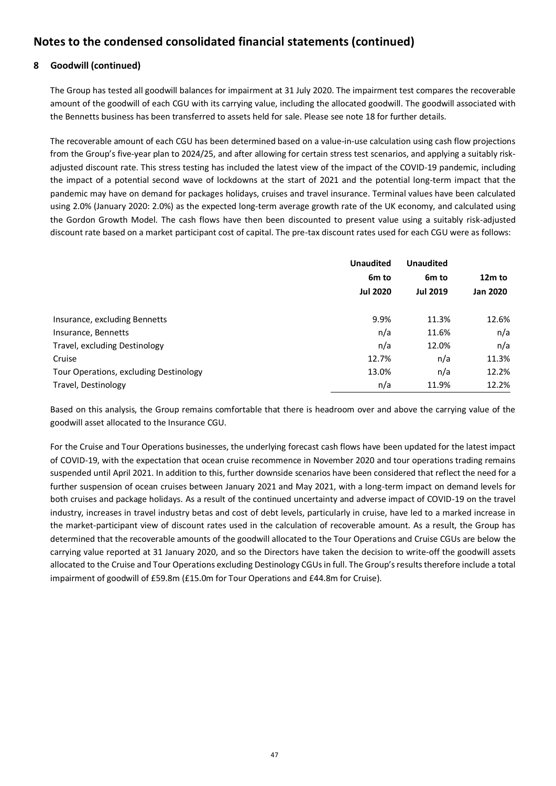# **8 Goodwill (continued)**

The Group has tested all goodwill balances for impairment at 31 July 2020. The impairment test compares the recoverable amount of the goodwill of each CGU with its carrying value, including the allocated goodwill. The goodwill associated with the Bennetts business has been transferred to assets held for sale. Please see note 18 for further details.

The recoverable amount of each CGU has been determined based on a value-in-use calculation using cash flow projections from the Group's five-year plan to 2024/25, and after allowing for certain stress test scenarios, and applying a suitably riskadjusted discount rate. This stress testing has included the latest view of the impact of the COVID-19 pandemic, including the impact of a potential second wave of lockdowns at the start of 2021 and the potential long-term impact that the pandemic may have on demand for packages holidays, cruises and travel insurance. Terminal values have been calculated using 2.0% (January 2020: 2.0%) as the expected long-term average growth rate of the UK economy, and calculated using the Gordon Growth Model. The cash flows have then been discounted to present value using a suitably risk-adjusted discount rate based on a market participant cost of capital. The pre-tax discount rates used for each CGU were as follows:

|                                        | <b>Unaudited</b>  | <b>Unaudited</b>  |                 |  |
|----------------------------------------|-------------------|-------------------|-----------------|--|
|                                        | 6 <sub>m</sub> to | 6 <sub>m</sub> to | 12m to          |  |
|                                        | <b>Jul 2020</b>   | <b>Jul 2019</b>   | <b>Jan 2020</b> |  |
| Insurance, excluding Bennetts          | 9.9%              | 11.3%             | 12.6%           |  |
| Insurance, Bennetts                    | n/a               | 11.6%             | n/a             |  |
| Travel, excluding Destinology          | n/a               | 12.0%             | n/a             |  |
| Cruise                                 | 12.7%             | n/a               | 11.3%           |  |
| Tour Operations, excluding Destinology | 13.0%             | n/a               | 12.2%           |  |
| Travel, Destinology                    | n/a               | 11.9%             | 12.2%           |  |

Based on this analysis, the Group remains comfortable that there is headroom over and above the carrying value of the goodwill asset allocated to the Insurance CGU.

For the Cruise and Tour Operations businesses, the underlying forecast cash flows have been updated for the latest impact of COVID-19, with the expectation that ocean cruise recommence in November 2020 and tour operations trading remains suspended until April 2021. In addition to this, further downside scenarios have been considered that reflect the need for a further suspension of ocean cruises between January 2021 and May 2021, with a long-term impact on demand levels for both cruises and package holidays. As a result of the continued uncertainty and adverse impact of COVID-19 on the travel industry, increases in travel industry betas and cost of debt levels, particularly in cruise, have led to a marked increase in the market-participant view of discount rates used in the calculation of recoverable amount. As a result, the Group has determined that the recoverable amounts of the goodwill allocated to the Tour Operations and Cruise CGUs are below the carrying value reported at 31 January 2020, and so the Directors have taken the decision to write-off the goodwill assets allocated to the Cruise and Tour Operations excluding Destinology CGUs in full. The Group's results therefore include a total impairment of goodwill of £59.8m (£15.0m for Tour Operations and £44.8m for Cruise).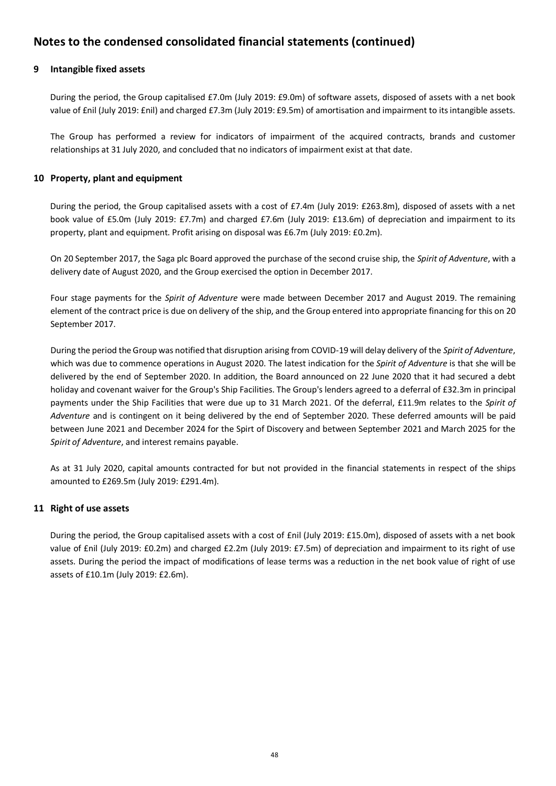## **9 Intangible fixed assets**

During the period, the Group capitalised £7.0m (July 2019: £9.0m) of software assets, disposed of assets with a net book value of £nil (July 2019: £nil) and charged £7.3m (July 2019: £9.5m) of amortisation and impairment to its intangible assets.

The Group has performed a review for indicators of impairment of the acquired contracts, brands and customer relationships at 31 July 2020, and concluded that no indicators of impairment exist at that date.

## **10 Property, plant and equipment**

During the period, the Group capitalised assets with a cost of £7.4m (July 2019: £263.8m), disposed of assets with a net book value of £5.0m (July 2019: £7.7m) and charged £7.6m (July 2019: £13.6m) of depreciation and impairment to its property, plant and equipment. Profit arising on disposal was £6.7m (July 2019: £0.2m).

On 20 September 2017, the Saga plc Board approved the purchase of the second cruise ship, the *Spirit of Adventure*, with a delivery date of August 2020, and the Group exercised the option in December 2017.

Four stage payments for the *Spirit of Adventure* were made between December 2017 and August 2019. The remaining element of the contract price is due on delivery of the ship, and the Group entered into appropriate financing for this on 20 September 2017.

During the period the Group was notified that disruption arising from COVID-19 will delay delivery of the *Spirit of Adventure*, which was due to commence operations in August 2020. The latest indication for the *Spirit of Adventure* is that she will be delivered by the end of September 2020. In addition, the Board announced on 22 June 2020 that it had secured a debt holiday and covenant waiver for the Group's Ship Facilities. The Group's lenders agreed to a deferral of £32.3m in principal payments under the Ship Facilities that were due up to 31 March 2021. Of the deferral, £11.9m relates to the *Spirit of Adventure* and is contingent on it being delivered by the end of September 2020. These deferred amounts will be paid between June 2021 and December 2024 for the Spirt of Discovery and between September 2021 and March 2025 for the *Spirit of Adventure*, and interest remains payable.

As at 31 July 2020, capital amounts contracted for but not provided in the financial statements in respect of the ships amounted to £269.5m (July 2019: £291.4m).

## **11 Right of use assets**

During the period, the Group capitalised assets with a cost of £nil (July 2019: £15.0m), disposed of assets with a net book value of £nil (July 2019: £0.2m) and charged £2.2m (July 2019: £7.5m) of depreciation and impairment to its right of use assets. During the period the impact of modifications of lease terms was a reduction in the net book value of right of use assets of £10.1m (July 2019: £2.6m).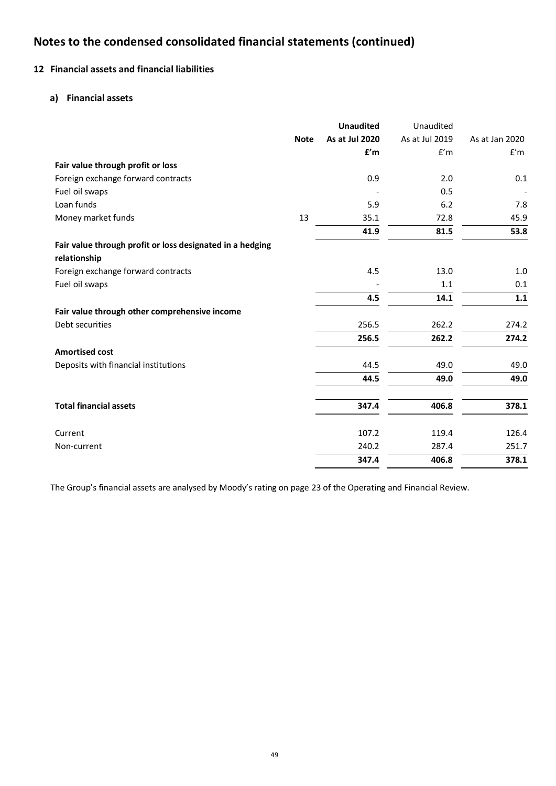# **12 Financial assets and financial liabilities**

## **a) Financial assets**

|                                                           |             | <b>Unaudited</b> | Unaudited      |                |
|-----------------------------------------------------------|-------------|------------------|----------------|----------------|
|                                                           | <b>Note</b> | As at Jul 2020   | As at Jul 2019 | As at Jan 2020 |
|                                                           |             | f'm              | f'm            | f'm            |
| Fair value through profit or loss                         |             |                  |                |                |
| Foreign exchange forward contracts                        |             | 0.9              | 2.0            | 0.1            |
| Fuel oil swaps                                            |             |                  | 0.5            |                |
| Loan funds                                                |             | 5.9              | 6.2            | 7.8            |
| Money market funds                                        | 13          | 35.1             | 72.8           | 45.9           |
|                                                           |             | 41.9             | 81.5           | 53.8           |
| Fair value through profit or loss designated in a hedging |             |                  |                |                |
| relationship                                              |             |                  |                |                |
| Foreign exchange forward contracts                        |             | 4.5              | 13.0           | 1.0            |
| Fuel oil swaps                                            |             |                  | 1.1            | 0.1            |
|                                                           |             | 4.5              | 14.1           | 1.1            |
| Fair value through other comprehensive income             |             |                  |                |                |
| Debt securities                                           |             | 256.5            | 262.2          | 274.2          |
|                                                           |             | 256.5            | 262.2          | 274.2          |
| <b>Amortised cost</b>                                     |             |                  |                |                |
| Deposits with financial institutions                      |             | 44.5             | 49.0           | 49.0           |
|                                                           |             | 44.5             | 49.0           | 49.0           |
| <b>Total financial assets</b>                             |             | 347.4            | 406.8          | 378.1          |
|                                                           |             |                  |                |                |
| Current                                                   |             | 107.2            | 119.4          | 126.4          |
| Non-current                                               |             | 240.2            | 287.4          | 251.7          |
|                                                           |             | 347.4            | 406.8          | 378.1          |

The Group's financial assets are analysed by Moody's rating on page 23 of the Operating and Financial Review.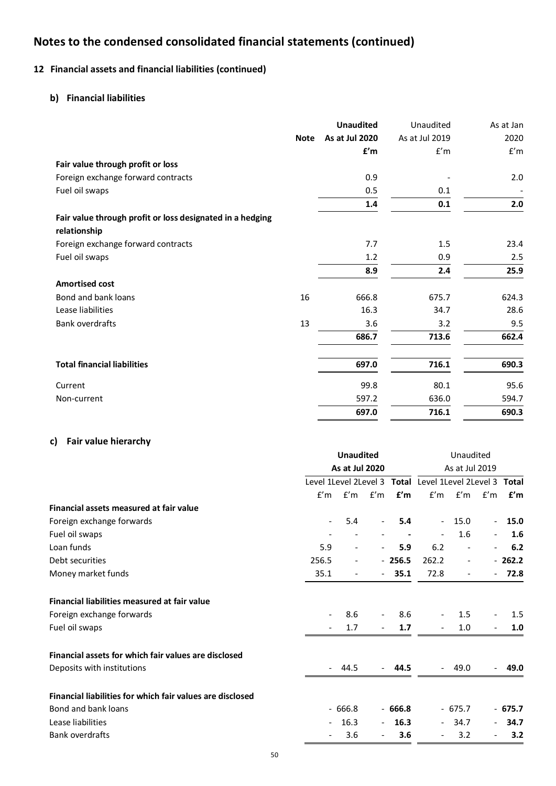# **12 Financial assets and financial liabilities (continued)**

# **b) Financial liabilities**

|                                                           |             | <b>Unaudited</b> | Unaudited      | As at Jan |
|-----------------------------------------------------------|-------------|------------------|----------------|-----------|
|                                                           | <b>Note</b> | As at Jul 2020   | As at Jul 2019 | 2020      |
|                                                           |             | f'm              | f'm            | f'm       |
| Fair value through profit or loss                         |             |                  |                |           |
| Foreign exchange forward contracts                        |             | 0.9              |                | 2.0       |
| Fuel oil swaps                                            |             | 0.5              | 0.1            |           |
|                                                           |             | 1.4              | 0.1            | 2.0       |
| Fair value through profit or loss designated in a hedging |             |                  |                |           |
| relationship                                              |             |                  |                |           |
| Foreign exchange forward contracts                        |             | 7.7              | 1.5            | 23.4      |
| Fuel oil swaps                                            |             | 1.2              | 0.9            | 2.5       |
|                                                           |             | 8.9              | 2.4            | 25.9      |
| <b>Amortised cost</b>                                     |             |                  |                |           |
| Bond and bank loans                                       | 16          | 666.8            | 675.7          | 624.3     |
| Lease liabilities                                         |             | 16.3             | 34.7           | 28.6      |
| <b>Bank overdrafts</b>                                    | 13          | 3.6              | 3.2            | 9.5       |
|                                                           |             | 686.7            | 713.6          | 662.4     |
| <b>Total financial liabilities</b>                        |             | 697.0            | 716.1          | 690.3     |
| Current                                                   |             | 99.8             | 80.1           | 95.6      |
| Non-current                                               |             | 597.2            | 636.0          | 594.7     |
|                                                           |             | 697.0            | 716.1          | 690.3     |

# **c) Fair value hierarchy**

|                                                           | <b>Unaudited</b><br>As at Jul 2020 |                          | Unaudited<br>As at Jul 2019 |          |                                                         |                          |                          |          |
|-----------------------------------------------------------|------------------------------------|--------------------------|-----------------------------|----------|---------------------------------------------------------|--------------------------|--------------------------|----------|
|                                                           |                                    |                          |                             |          | Level 1Level 2Level 3 Total Level 1Level 2Level 3 Total |                          |                          |          |
|                                                           | f'm                                |                          | $f'm$ $f'm$                 | f'm      |                                                         | $f'm$ $f'm$ $f'm$        |                          | f'm      |
| Financial assets measured at fair value                   |                                    |                          |                             |          |                                                         |                          |                          |          |
| Foreign exchange forwards                                 |                                    | 5.4                      | $\overline{\phantom{a}}$    | 5.4      |                                                         | 15.0                     |                          | 15.0     |
| Fuel oil swaps                                            |                                    |                          |                             |          |                                                         | 1.6                      |                          | 1.6      |
| Loan funds                                                | 5.9                                | $\overline{\phantom{0}}$ | $\overline{\phantom{a}}$    | 5.9      | 6.2                                                     | $\frac{1}{2}$            | $\overline{\phantom{a}}$ | 6.2      |
| Debt securities                                           | 256.5                              | -                        |                             | $-256.5$ | 262.2                                                   | $\overline{\phantom{a}}$ |                          | $-262.2$ |
| Money market funds                                        | 35.1                               | $\overline{\phantom{a}}$ | $\overline{\phantom{a}}$    | 35.1     | 72.8                                                    | $\overline{\phantom{a}}$ | $\sim$                   | 72.8     |
| Financial liabilities measured at fair value              |                                    |                          |                             |          |                                                         |                          |                          |          |
| Foreign exchange forwards                                 |                                    | 8.6                      | $\overline{\phantom{a}}$    | 8.6      |                                                         | 1.5                      |                          | 1.5      |
| Fuel oil swaps                                            |                                    | 1.7                      | $\overline{\phantom{a}}$    | 1.7      |                                                         | 1.0                      | $\overline{\phantom{a}}$ | 1.0      |
| Financial assets for which fair values are disclosed      |                                    |                          |                             |          |                                                         |                          |                          |          |
| Deposits with institutions                                |                                    | 44.5                     | $\blacksquare$              | 44.5     |                                                         | 49.0                     |                          | 49.0     |
| Financial liabilities for which fair values are disclosed |                                    |                          |                             |          |                                                         |                          |                          |          |
| Bond and bank loans                                       |                                    | $-666.8$                 |                             | $-666.8$ |                                                         | $-675.7$                 |                          | $-675.7$ |
| Lease liabilities                                         |                                    | 16.3                     | $\overline{\phantom{a}}$    | 16.3     |                                                         | 34.7                     | $\sim$                   | 34.7     |
| <b>Bank overdrafts</b>                                    |                                    | 3.6                      | $\overline{\phantom{a}}$    | 3.6      |                                                         | 3.2                      | $\overline{\phantom{a}}$ | 3.2      |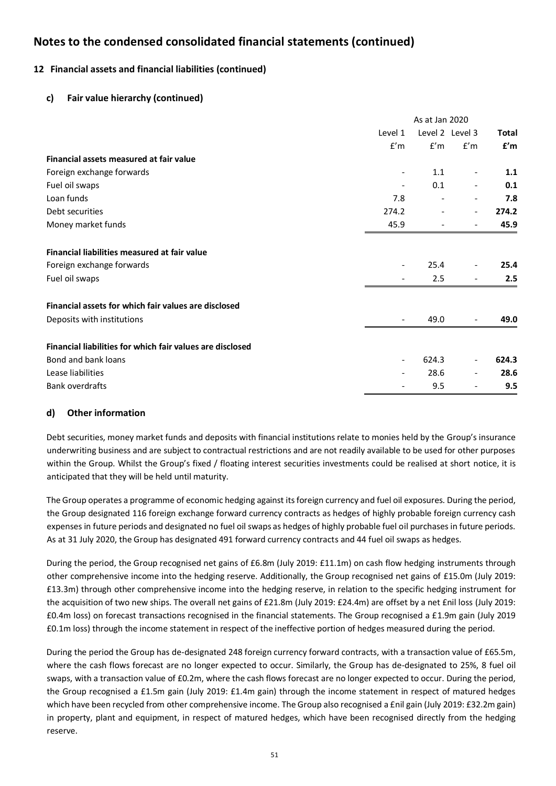# **12 Financial assets and financial liabilities (continued)**

## **c) Fair value hierarchy (continued)**

|                                                           | As at Jan 2020           |                          |                              |       |
|-----------------------------------------------------------|--------------------------|--------------------------|------------------------------|-------|
|                                                           | Level 1                  |                          | Level 2 Level 3              | Total |
|                                                           | f'm                      | f'm                      | f'm                          | f'm   |
| Financial assets measured at fair value                   |                          |                          |                              |       |
| Foreign exchange forwards                                 | $\overline{\phantom{a}}$ | 1.1                      |                              | 1.1   |
| Fuel oil swaps                                            | $\overline{\phantom{a}}$ | 0.1                      |                              | 0.1   |
| Loan funds                                                | 7.8                      |                          |                              | 7.8   |
| Debt securities                                           | 274.2                    | $\overline{\phantom{a}}$ | $\qquad \qquad \blacksquare$ | 274.2 |
| Money market funds                                        | 45.9                     |                          |                              | 45.9  |
| Financial liabilities measured at fair value              |                          |                          |                              |       |
| Foreign exchange forwards                                 | $\overline{\phantom{a}}$ | 25.4                     |                              | 25.4  |
| Fuel oil swaps                                            |                          | 2.5                      |                              | 2.5   |
| Financial assets for which fair values are disclosed      |                          |                          |                              |       |
| Deposits with institutions                                | $\overline{\phantom{a}}$ | 49.0                     |                              | 49.0  |
| Financial liabilities for which fair values are disclosed |                          |                          |                              |       |
| Bond and bank loans                                       | $\overline{\phantom{a}}$ | 624.3                    |                              | 624.3 |
| Lease liabilities                                         | ۰                        | 28.6                     |                              | 28.6  |
| Bank overdrafts                                           |                          | 9.5                      |                              | 9.5   |

## **d) Other information**

Debt securities, money market funds and deposits with financial institutions relate to monies held by the Group's insurance underwriting business and are subject to contractual restrictions and are not readily available to be used for other purposes within the Group. Whilst the Group's fixed / floating interest securities investments could be realised at short notice, it is anticipated that they will be held until maturity.

The Group operates a programme of economic hedging against its foreign currency and fuel oil exposures. During the period, the Group designated 116 foreign exchange forward currency contracts as hedges of highly probable foreign currency cash expenses in future periods and designated no fuel oil swaps as hedges of highly probable fuel oil purchases in future periods. As at 31 July 2020, the Group has designated 491 forward currency contracts and 44 fuel oil swaps as hedges.

During the period, the Group recognised net gains of £6.8m (July 2019: £11.1m) on cash flow hedging instruments through other comprehensive income into the hedging reserve. Additionally, the Group recognised net gains of £15.0m (July 2019: £13.3m) through other comprehensive income into the hedging reserve, in relation to the specific hedging instrument for the acquisition of two new ships. The overall net gains of £21.8m (July 2019: £24.4m) are offset by a net £nil loss (July 2019: £0.4m loss) on forecast transactions recognised in the financial statements. The Group recognised a £1.9m gain (July 2019 £0.1m loss) through the income statement in respect of the ineffective portion of hedges measured during the period.

During the period the Group has de-designated 248 foreign currency forward contracts, with a transaction value of £65.5m, where the cash flows forecast are no longer expected to occur. Similarly, the Group has de-designated to 25%, 8 fuel oil swaps, with a transaction value of £0.2m, where the cash flows forecast are no longer expected to occur. During the period, the Group recognised a £1.5m gain (July 2019: £1.4m gain) through the income statement in respect of matured hedges which have been recycled from other comprehensive income. The Group also recognised a £nil gain (July 2019: £32.2m gain) in property, plant and equipment, in respect of matured hedges, which have been recognised directly from the hedging reserve.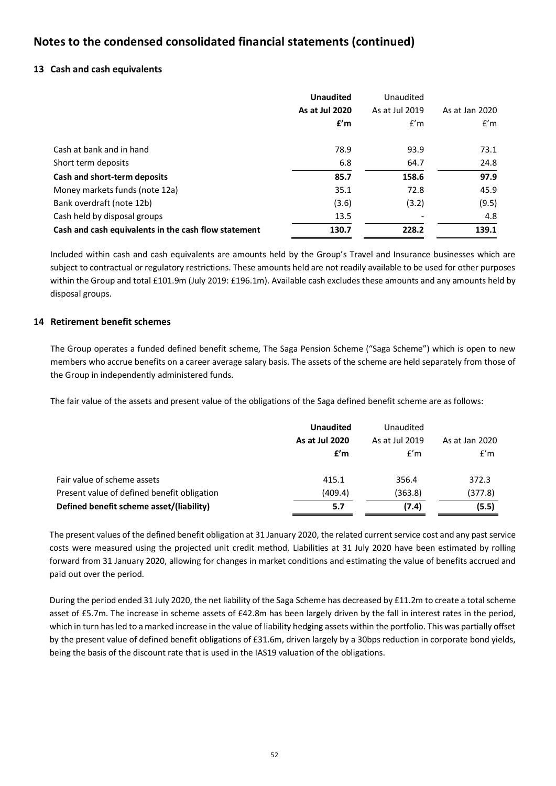## **13 Cash and cash equivalents**

|                                                      | <b>Unaudited</b> | Unaudited      |                |
|------------------------------------------------------|------------------|----------------|----------------|
|                                                      | As at Jul 2020   | As at Jul 2019 | As at Jan 2020 |
|                                                      | f'm              | f'm            | f'm            |
| Cash at bank and in hand                             | 78.9             | 93.9           | 73.1           |
| Short term deposits                                  | 6.8              | 64.7           | 24.8           |
| Cash and short-term deposits                         | 85.7             | 158.6          | 97.9           |
| Money markets funds (note 12a)                       | 35.1             | 72.8           | 45.9           |
| Bank overdraft (note 12b)                            | (3.6)            | (3.2)          | (9.5)          |
| Cash held by disposal groups                         | 13.5             |                | 4.8            |
| Cash and cash equivalents in the cash flow statement | 130.7            | 228.2          | 139.1          |

Included within cash and cash equivalents are amounts held by the Group's Travel and Insurance businesses which are subject to contractual or regulatory restrictions. These amounts held are not readily available to be used for other purposes within the Group and total £101.9m (July 2019: £196.1m). Available cash excludes these amounts and any amounts held by disposal groups.

## **14 Retirement benefit schemes**

The Group operates a funded defined benefit scheme, The Saga Pension Scheme ("Saga Scheme") which is open to new members who accrue benefits on a career average salary basis. The assets of the scheme are held separately from those of the Group in independently administered funds.

The fair value of the assets and present value of the obligations of the Saga defined benefit scheme are as follows:

|                                             | <b>Unaudited</b><br>As at Jul 2020<br>f'm | Unaudited<br>As at Jul 2019<br>f'm | As at Jan 2020<br>f'm |
|---------------------------------------------|-------------------------------------------|------------------------------------|-----------------------|
| Fair value of scheme assets                 | 415.1                                     | 356.4                              | 372.3                 |
| Present value of defined benefit obligation | (409.4)                                   | (363.8)                            | (377.8)               |
| Defined benefit scheme asset/(liability)    | 5.7                                       | (7.4)                              | (5.5)                 |

The present values of the defined benefit obligation at 31 January 2020, the related current service cost and any past service costs were measured using the projected unit credit method. Liabilities at 31 July 2020 have been estimated by rolling forward from 31 January 2020, allowing for changes in market conditions and estimating the value of benefits accrued and paid out over the period.

During the period ended 31 July 2020, the net liability of the Saga Scheme has decreased by £11.2m to create a total scheme asset of £5.7m. The increase in scheme assets of £42.8m has been largely driven by the fall in interest rates in the period, which in turn has led to a marked increase in the value of liability hedging assets within the portfolio. This was partially offset by the present value of defined benefit obligations of £31.6m, driven largely by a 30bps reduction in corporate bond yields, being the basis of the discount rate that is used in the IAS19 valuation of the obligations.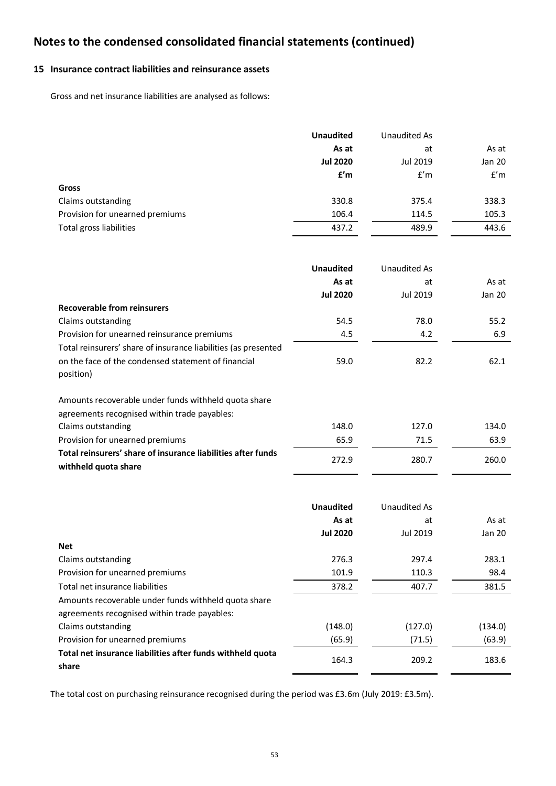# **15 Insurance contract liabilities and reinsurance assets**

Gross and net insurance liabilities are analysed as follows:

|                                 | <b>Unaudited</b> | Unaudited As |        |
|---------------------------------|------------------|--------------|--------|
|                                 | As at            | at           | As at  |
|                                 | <b>Jul 2020</b>  | Jul 2019     | Jan 20 |
|                                 | f'm              | f'm          | f'm    |
| Gross                           |                  |              |        |
| Claims outstanding              | 330.8            | 375.4        | 338.3  |
| Provision for unearned premiums | 106.4            | 114.5        | 105.3  |
| Total gross liabilities         | 437.2            | 489.9        | 443.6  |

|                                                                | <b>Unaudited</b> | Unaudited As |        |
|----------------------------------------------------------------|------------------|--------------|--------|
|                                                                | As at            | at           | As at  |
|                                                                | <b>Jul 2020</b>  | Jul 2019     | Jan 20 |
| <b>Recoverable from reinsurers</b>                             |                  |              |        |
| Claims outstanding                                             | 54.5             | 78.0         | 55.2   |
| Provision for unearned reinsurance premiums                    | 4.5              | 4.2          | 6.9    |
| Total reinsurers' share of insurance liabilities (as presented |                  |              |        |
| on the face of the condensed statement of financial            | 59.0             | 82.2         | 62.1   |
| position)                                                      |                  |              |        |
| Amounts recoverable under funds withheld quota share           |                  |              |        |
| agreements recognised within trade payables:                   |                  |              |        |
| Claims outstanding                                             | 148.0            | 127.0        | 134.0  |
| Provision for unearned premiums                                | 65.9             | 71.5         | 63.9   |
| Total reinsurers' share of insurance liabilities after funds   |                  |              |        |
| withheld quota share                                           | 272.9            | 280.7        | 260.0  |

|                                                                     | <b>Unaudited</b> | Unaudited As |         |
|---------------------------------------------------------------------|------------------|--------------|---------|
|                                                                     | As at            | at           | As at   |
|                                                                     | <b>Jul 2020</b>  | Jul 2019     | Jan 20  |
| <b>Net</b>                                                          |                  |              |         |
| Claims outstanding                                                  | 276.3            | 297.4        | 283.1   |
| Provision for unearned premiums                                     | 101.9            | 110.3        | 98.4    |
| Total net insurance liabilities                                     | 378.2            | 407.7        | 381.5   |
| Amounts recoverable under funds withheld quota share                |                  |              |         |
| agreements recognised within trade payables:                        |                  |              |         |
| Claims outstanding                                                  | (148.0)          | (127.0)      | (134.0) |
| Provision for unearned premiums                                     | (65.9)           | (71.5)       | (63.9)  |
| Total net insurance liabilities after funds withheld quota<br>share | 164.3            | 209.2        | 183.6   |

The total cost on purchasing reinsurance recognised during the period was £3.6m (July 2019: £3.5m).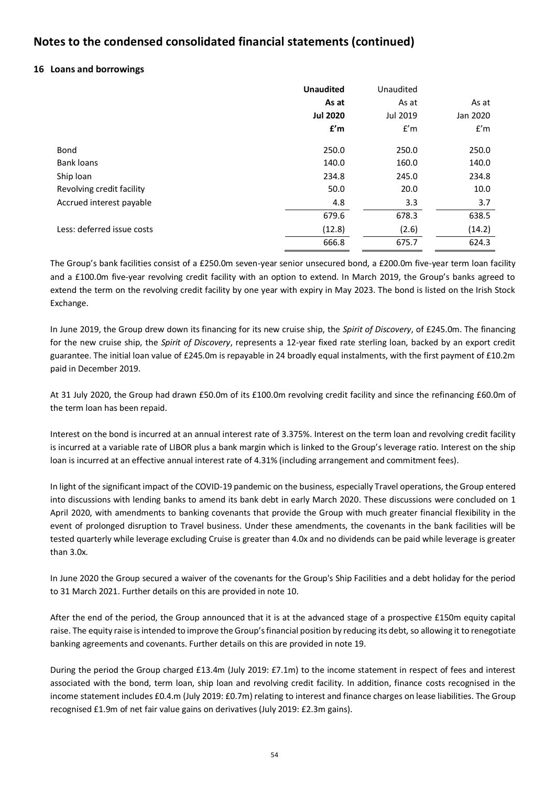## **16 Loans and borrowings**

|                            | <b>Unaudited</b> | Unaudited |          |
|----------------------------|------------------|-----------|----------|
|                            | As at            | As at     | As at    |
|                            | <b>Jul 2020</b>  | Jul 2019  | Jan 2020 |
|                            | f'm              | f'm       | f'm      |
| Bond                       | 250.0            | 250.0     | 250.0    |
| <b>Bank loans</b>          | 140.0            | 160.0     | 140.0    |
| Ship loan                  | 234.8            | 245.0     | 234.8    |
| Revolving credit facility  | 50.0             | 20.0      | 10.0     |
| Accrued interest payable   | 4.8              | 3.3       | 3.7      |
|                            | 679.6            | 678.3     | 638.5    |
| Less: deferred issue costs | (12.8)           | (2.6)     | (14.2)   |
|                            | 666.8            | 675.7     | 624.3    |

The Group's bank facilities consist of a £250.0m seven-year senior unsecured bond, a £200.0m five-year term loan facility and a £100.0m five-year revolving credit facility with an option to extend. In March 2019, the Group's banks agreed to extend the term on the revolving credit facility by one year with expiry in May 2023. The bond is listed on the Irish Stock Exchange.

In June 2019, the Group drew down its financing for its new cruise ship, the *Spirit of Discovery*, of £245.0m. The financing for the new cruise ship, the *Spirit of Discovery*, represents a 12-year fixed rate sterling loan, backed by an export credit guarantee. The initial loan value of £245.0m is repayable in 24 broadly equal instalments, with the first payment of £10.2m paid in December 2019.

At 31 July 2020, the Group had drawn £50.0m of its £100.0m revolving credit facility and since the refinancing £60.0m of the term loan has been repaid.

Interest on the bond is incurred at an annual interest rate of 3.375%. Interest on the term loan and revolving credit facility is incurred at a variable rate of LIBOR plus a bank margin which is linked to the Group's leverage ratio. Interest on the ship loan is incurred at an effective annual interest rate of 4.31% (including arrangement and commitment fees).

In light of the significant impact of the COVID-19 pandemic on the business, especially Travel operations, the Group entered into discussions with lending banks to amend its bank debt in early March 2020. These discussions were concluded on 1 April 2020, with amendments to banking covenants that provide the Group with much greater financial flexibility in the event of prolonged disruption to Travel business. Under these amendments, the covenants in the bank facilities will be tested quarterly while leverage excluding Cruise is greater than 4.0x and no dividends can be paid while leverage is greater than 3.0x.

In June 2020 the Group secured a waiver of the covenants for the Group's Ship Facilities and a debt holiday for the period to 31 March 2021. Further details on this are provided in note 10.

After the end of the period, the Group announced that it is at the advanced stage of a prospective £150m equity capital raise. The equity raise is intended to improve the Group's financial position by reducing its debt, so allowing it to renegotiate banking agreements and covenants. Further details on this are provided in note 19.

During the period the Group charged £13.4m (July 2019: £7.1m) to the income statement in respect of fees and interest associated with the bond, term loan, ship loan and revolving credit facility. In addition, finance costs recognised in the income statement includes £0.4.m (July 2019: £0.7m) relating to interest and finance charges on lease liabilities. The Group recognised £1.9m of net fair value gains on derivatives (July 2019: £2.3m gains).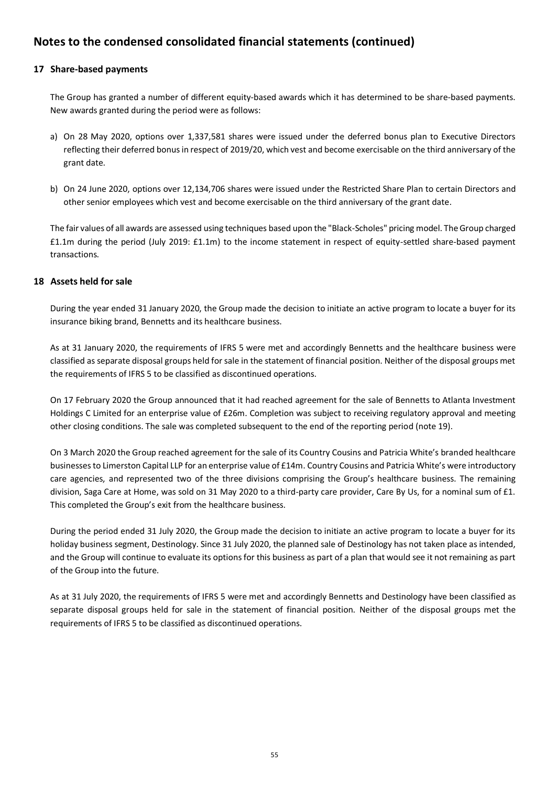## **17 Share-based payments**

The Group has granted a number of different equity-based awards which it has determined to be share-based payments. New awards granted during the period were as follows:

- a) On 28 May 2020, options over 1,337,581 shares were issued under the deferred bonus plan to Executive Directors reflecting their deferred bonus in respect of 2019/20, which vest and become exercisable on the third anniversary of the grant date.
- b) On 24 June 2020, options over 12,134,706 shares were issued under the Restricted Share Plan to certain Directors and other senior employees which vest and become exercisable on the third anniversary of the grant date.

The fair values of all awards are assessed using techniques based upon the "Black-Scholes" pricing model. The Group charged £1.1m during the period (July 2019: £1.1m) to the income statement in respect of equity-settled share-based payment transactions.

## **18 Assets held for sale**

During the year ended 31 January 2020, the Group made the decision to initiate an active program to locate a buyer for its insurance biking brand, Bennetts and its healthcare business.

As at 31 January 2020, the requirements of IFRS 5 were met and accordingly Bennetts and the healthcare business were classified as separate disposal groups held for sale in the statement of financial position. Neither of the disposal groups met the requirements of IFRS 5 to be classified as discontinued operations.

On 17 February 2020 the Group announced that it had reached agreement for the sale of Bennetts to Atlanta Investment Holdings C Limited for an enterprise value of £26m. Completion was subject to receiving regulatory approval and meeting other closing conditions. The sale was completed subsequent to the end of the reporting period (note 19).

On 3 March 2020 the Group reached agreement for the sale of its Country Cousins and Patricia White's branded healthcare businesses to Limerston Capital LLP for an enterprise value of £14m. Country Cousins and Patricia White's were introductory care agencies, and represented two of the three divisions comprising the Group's healthcare business. The remaining division, Saga Care at Home, was sold on 31 May 2020 to a third-party care provider, Care By Us, for a nominal sum of £1. This completed the Group's exit from the healthcare business.

During the period ended 31 July 2020, the Group made the decision to initiate an active program to locate a buyer for its holiday business segment, Destinology. Since 31 July 2020, the planned sale of Destinology has not taken place as intended, and the Group will continue to evaluate its options for this business as part of a plan that would see it not remaining as part of the Group into the future.

As at 31 July 2020, the requirements of IFRS 5 were met and accordingly Bennetts and Destinology have been classified as separate disposal groups held for sale in the statement of financial position. Neither of the disposal groups met the requirements of IFRS 5 to be classified as discontinued operations.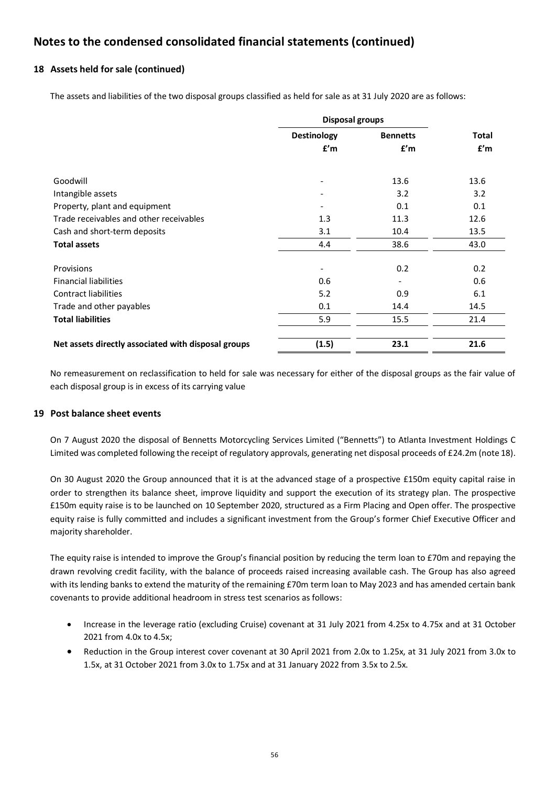## **18 Assets held for sale (continued)**

The assets and liabilities of the two disposal groups classified as held for sale as at 31 July 2020 are as follows:

|                                                     | <b>Disposal groups</b>       |                              |              |
|-----------------------------------------------------|------------------------------|------------------------------|--------------|
|                                                     | <b>Destinology</b>           | <b>Bennetts</b>              | <b>Total</b> |
|                                                     | f'm                          | f'm                          | f'm          |
| Goodwill                                            |                              | 13.6                         | 13.6         |
| Intangible assets                                   |                              | 3.2                          | 3.2          |
| Property, plant and equipment                       |                              | 0.1                          | 0.1          |
| Trade receivables and other receivables             | 1.3                          | 11.3                         | 12.6         |
| Cash and short-term deposits                        | 3.1                          | 10.4                         | 13.5         |
| <b>Total assets</b>                                 | 4.4                          | 38.6                         | 43.0         |
|                                                     |                              |                              |              |
| Provisions                                          | $\qquad \qquad \blacksquare$ | 0.2                          | 0.2          |
| <b>Financial liabilities</b>                        | 0.6                          | $\qquad \qquad \blacksquare$ | 0.6          |
| <b>Contract liabilities</b>                         | 5.2                          | 0.9                          | 6.1          |
| Trade and other payables                            | 0.1                          | 14.4                         | 14.5         |
| <b>Total liabilities</b>                            | 5.9                          | 15.5                         | 21.4         |
|                                                     |                              |                              |              |
| Net assets directly associated with disposal groups | (1.5)                        | 23.1                         | 21.6         |

No remeasurement on reclassification to held for sale was necessary for either of the disposal groups as the fair value of each disposal group is in excess of its carrying value

## **19 Post balance sheet events**

On 7 August 2020 the disposal of Bennetts Motorcycling Services Limited ("Bennetts") to Atlanta Investment Holdings C Limited was completed following the receipt of regulatory approvals, generating net disposal proceeds of £24.2m (note 18).

On 30 August 2020 the Group announced that it is at the advanced stage of a prospective £150m equity capital raise in order to strengthen its balance sheet, improve liquidity and support the execution of its strategy plan. The prospective £150m equity raise is to be launched on 10 September 2020, structured as a Firm Placing and Open offer. The prospective equity raise is fully committed and includes a significant investment from the Group's former Chief Executive Officer and majority shareholder.

The equity raise is intended to improve the Group's financial position by reducing the term loan to £70m and repaying the drawn revolving credit facility, with the balance of proceeds raised increasing available cash. The Group has also agreed with its lending banks to extend the maturity of the remaining £70m term loan to May 2023 and has amended certain bank covenants to provide additional headroom in stress test scenarios as follows:

- Increase in the leverage ratio (excluding Cruise) covenant at 31 July 2021 from 4.25x to 4.75x and at 31 October 2021 from 4.0x to 4.5x;
- Reduction in the Group interest cover covenant at 30 April 2021 from 2.0x to 1.25x, at 31 July 2021 from 3.0x to 1.5x, at 31 October 2021 from 3.0x to 1.75x and at 31 January 2022 from 3.5x to 2.5x.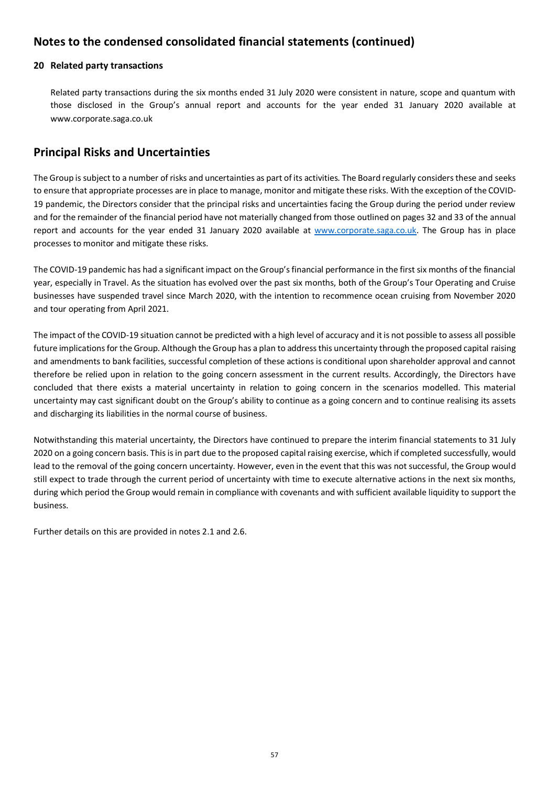### **20 Related party transactions**

Related party transactions during the six months ended 31 July 2020 were consistent in nature, scope and quantum with those disclosed in the Group's annual report and accounts for the year ended 31 January 2020 available at www.corporate.saga.co.uk

# **Principal Risks and Uncertainties**

The Group is subject to a number of risks and uncertainties as part of its activities. The Board regularly considers these and seeks to ensure that appropriate processes are in place to manage, monitor and mitigate these risks. With the exception of the COVID-19 pandemic, the Directors consider that the principal risks and uncertainties facing the Group during the period under review and for the remainder of the financial period have not materially changed from those outlined on pages 32 and 33 of the annual report and accounts for the year ended 31 January 2020 available at www.corporate.saga.co.uk. The Group has in place processes to monitor and mitigate these risks.

The COVID-19 pandemic has had a significant impact on the Group's financial performance in the first six months of the financial year, especially in Travel. As the situation has evolved over the past six months, both of the Group's Tour Operating and Cruise businesses have suspended travel since March 2020, with the intention to recommence ocean cruising from November 2020 and tour operating from April 2021.

The impact of the COVID-19 situation cannot be predicted with a high level of accuracy and it is not possible to assess all possible future implications for the Group. Although the Group has a plan to address this uncertainty through the proposed capital raising and amendments to bank facilities, successful completion of these actions is conditional upon shareholder approval and cannot therefore be relied upon in relation to the going concern assessment in the current results. Accordingly, the Directors have concluded that there exists a material uncertainty in relation to going concern in the scenarios modelled. This material uncertainty may cast significant doubt on the Group's ability to continue as a going concern and to continue realising its assets and discharging its liabilities in the normal course of business.

Notwithstanding this material uncertainty, the Directors have continued to prepare the interim financial statements to 31 July 2020 on a going concern basis. This is in part due to the proposed capital raising exercise, which if completed successfully, would lead to the removal of the going concern uncertainty. However, even in the event that this was not successful, the Group would still expect to trade through the current period of uncertainty with time to execute alternative actions in the next six months, during which period the Group would remain in compliance with covenants and with sufficient available liquidity to support the business.

Further details on this are provided in notes 2.1 and 2.6.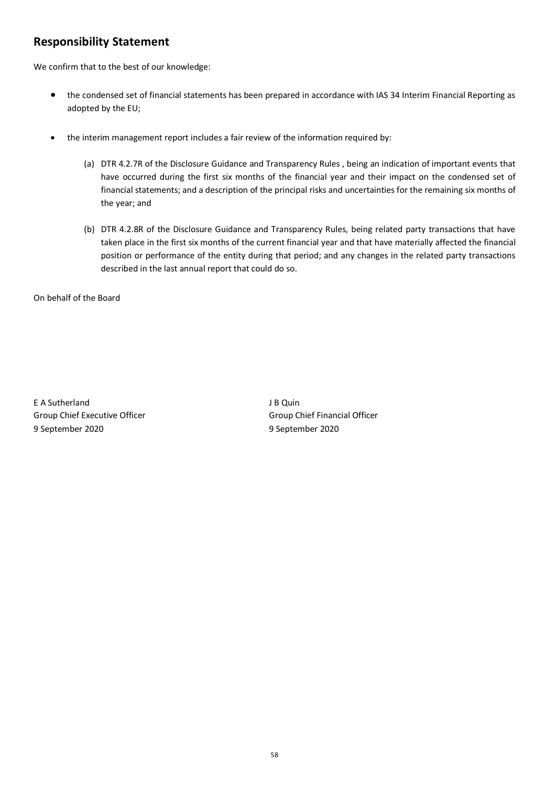# **Responsibility Statement**

We confirm that to the best of our knowledge:

- the condensed set of financial statements has been prepared in accordance with IAS 34 Interim Financial Reporting as adopted by the EU;
- the interim management report includes a fair review of the information required by:
	- (a) DTR 4.2.7R of the Disclosure Guidance and Transparency Rules , being an indication of important events that have occurred during the first six months of the financial year and their impact on the condensed set of financial statements; and a description of the principal risks and uncertainties for the remaining six months of the year; and
	- (b) DTR 4.2.8R of the Disclosure Guidance and Transparency Rules, being related party transactions that have taken place in the first six months of the current financial year and that have materially affected the financial position or performance of the entity during that period; and any changes in the related party transactions described in the last annual report that could do so.

On behalf of the Board

E A Sutherland J B Quin Group Chief Executive Officer Group Chief Financial Officer 9 September 2020 9 September 2020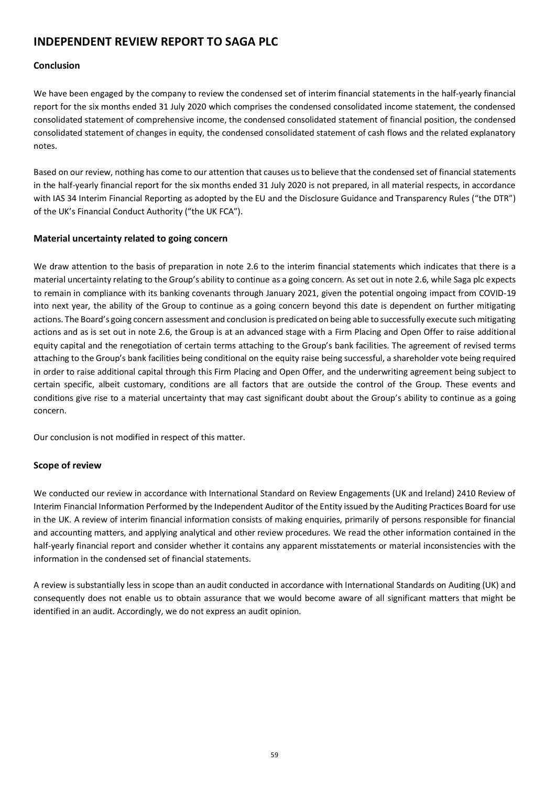# **INDEPENDENT REVIEW REPORT TO SAGA PLC**

## **Conclusion**

We have been engaged by the company to review the condensed set of interim financial statements in the half-yearly financial report for the six months ended 31 July 2020 which comprises the condensed consolidated income statement, the condensed consolidated statement of comprehensive income, the condensed consolidated statement of financial position, the condensed consolidated statement of changes in equity, the condensed consolidated statement of cash flows and the related explanatory notes.

Based on our review, nothing has come to our attention that causes us to believe that the condensed set of financial statements in the half-yearly financial report for the six months ended 31 July 2020 is not prepared, in all material respects, in accordance with IAS 34 Interim Financial Reporting as adopted by the EU and the Disclosure Guidance and Transparency Rules ("the DTR") of the UK's Financial Conduct Authority ("the UK FCA").

## **Material uncertainty related to going concern**

We draw attention to the basis of preparation in note 2.6 to the interim financial statements which indicates that there is a material uncertainty relating to the Group's ability to continue as a going concern. As set out in note 2.6, while Saga plc expects to remain in compliance with its banking covenants through January 2021, given the potential ongoing impact from COVID-19 into next year, the ability of the Group to continue as a going concern beyond this date is dependent on further mitigating actions. The Board's going concern assessment and conclusion is predicated on being able to successfully execute such mitigating actions and as is set out in note 2.6, the Group is at an advanced stage with a Firm Placing and Open Offer to raise additional equity capital and the renegotiation of certain terms attaching to the Group's bank facilities. The agreement of revised terms attaching to the Group's bank facilities being conditional on the equity raise being successful, a shareholder vote being required in order to raise additional capital through this Firm Placing and Open Offer, and the underwriting agreement being subject to certain specific, albeit customary, conditions are all factors that are outside the control of the Group. These events and conditions give rise to a material uncertainty that may cast significant doubt about the Group's ability to continue as a going concern.

Our conclusion is not modified in respect of this matter.

# **Scope of review**

We conducted our review in accordance with International Standard on Review Engagements (UK and Ireland) 2410 Review of Interim Financial Information Performed by the Independent Auditor of the Entity issued by the Auditing Practices Board for use in the UK. A review of interim financial information consists of making enquiries, primarily of persons responsible for financial and accounting matters, and applying analytical and other review procedures. We read the other information contained in the half-yearly financial report and consider whether it contains any apparent misstatements or material inconsistencies with the information in the condensed set of financial statements.

A review is substantially less in scope than an audit conducted in accordance with International Standards on Auditing (UK) and consequently does not enable us to obtain assurance that we would become aware of all significant matters that might be identified in an audit. Accordingly, we do not express an audit opinion.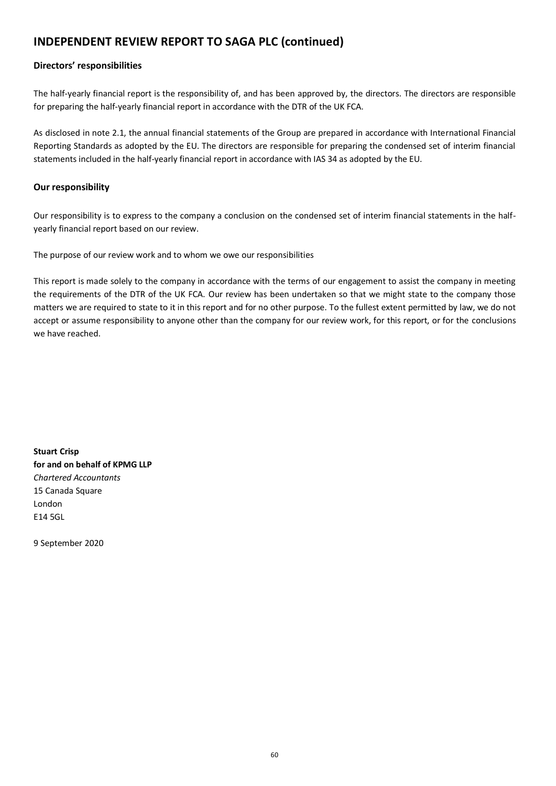# **INDEPENDENT REVIEW REPORT TO SAGA PLC (continued)**

## **Directors' responsibilities**

The half-yearly financial report is the responsibility of, and has been approved by, the directors. The directors are responsible for preparing the half-yearly financial report in accordance with the DTR of the UK FCA.

As disclosed in note 2.1, the annual financial statements of the Group are prepared in accordance with International Financial Reporting Standards as adopted by the EU. The directors are responsible for preparing the condensed set of interim financial statements included in the half-yearly financial report in accordance with IAS 34 as adopted by the EU.

## **Our responsibility**

Our responsibility is to express to the company a conclusion on the condensed set of interim financial statements in the halfyearly financial report based on our review.

The purpose of our review work and to whom we owe our responsibilities

This report is made solely to the company in accordance with the terms of our engagement to assist the company in meeting the requirements of the DTR of the UK FCA. Our review has been undertaken so that we might state to the company those matters we are required to state to it in this report and for no other purpose. To the fullest extent permitted by law, we do not accept or assume responsibility to anyone other than the company for our review work, for this report, or for the conclusions we have reached.

**Stuart Crisp for and on behalf of KPMG LLP** *Chartered Accountants* 15 Canada Square London E14 5GL

9 September 2020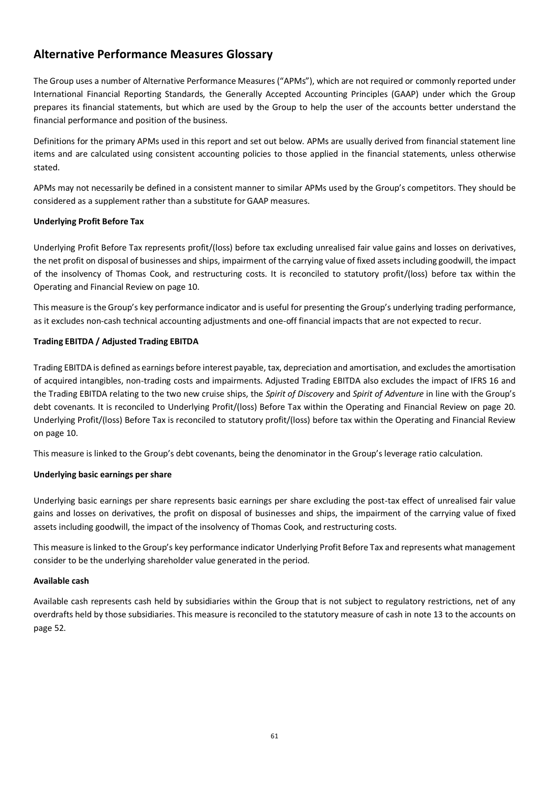# **Alternative Performance Measures Glossary**

The Group uses a number of Alternative Performance Measures ("APMs"), which are not required or commonly reported under International Financial Reporting Standards, the Generally Accepted Accounting Principles (GAAP) under which the Group prepares its financial statements, but which are used by the Group to help the user of the accounts better understand the financial performance and position of the business.

Definitions for the primary APMs used in this report and set out below. APMs are usually derived from financial statement line items and are calculated using consistent accounting policies to those applied in the financial statements, unless otherwise stated.

APMs may not necessarily be defined in a consistent manner to similar APMs used by the Group's competitors. They should be considered as a supplement rather than a substitute for GAAP measures.

## **Underlying Profit Before Tax**

Underlying Profit Before Tax represents profit/(loss) before tax excluding unrealised fair value gains and losses on derivatives, the net profit on disposal of businesses and ships, impairment of the carrying value of fixed assets including goodwill, the impact of the insolvency of Thomas Cook, and restructuring costs. It is reconciled to statutory profit/(loss) before tax within the Operating and Financial Review on page 10.

This measure is the Group's key performance indicator and is useful for presenting the Group's underlying trading performance, as it excludes non-cash technical accounting adjustments and one-off financial impacts that are not expected to recur.

## **Trading EBITDA / Adjusted Trading EBITDA**

Trading EBITDA is defined as earnings before interest payable, tax, depreciation and amortisation, and excludes the amortisation of acquired intangibles, non-trading costs and impairments. Adjusted Trading EBITDA also excludes the impact of IFRS 16 and the Trading EBITDA relating to the two new cruise ships, the *Spirit of Discovery* and *Spirit of Adventure* in line with the Group's debt covenants. It is reconciled to Underlying Profit/(loss) Before Tax within the Operating and Financial Review on page 20. Underlying Profit/(loss) Before Tax is reconciled to statutory profit/(loss) before tax within the Operating and Financial Review on page 10.

This measure is linked to the Group's debt covenants, being the denominator in the Group's leverage ratio calculation.

#### **Underlying basic earnings per share**

Underlying basic earnings per share represents basic earnings per share excluding the post-tax effect of unrealised fair value gains and losses on derivatives, the profit on disposal of businesses and ships, the impairment of the carrying value of fixed assets including goodwill, the impact of the insolvency of Thomas Cook, and restructuring costs.

This measure is linked to the Group's key performance indicator Underlying Profit Before Tax and represents what management consider to be the underlying shareholder value generated in the period.

#### **Available cash**

Available cash represents cash held by subsidiaries within the Group that is not subject to regulatory restrictions, net of any overdrafts held by those subsidiaries. This measure is reconciled to the statutory measure of cash in note 13 to the accounts on page 52.